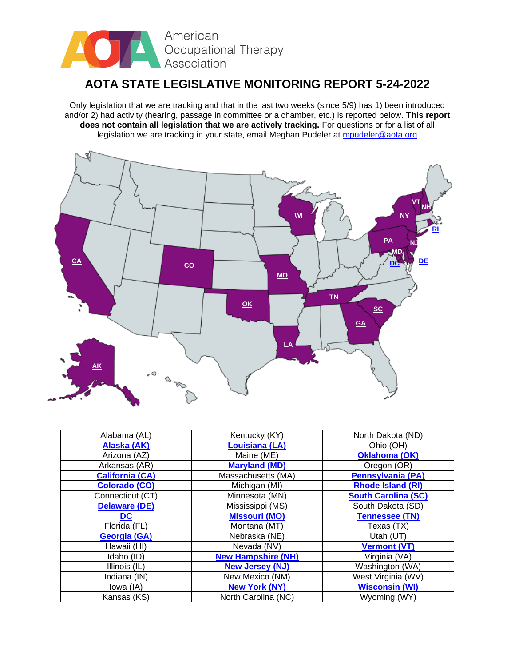

# **AOTA STATE LEGISLATIVE MONITORING REPORT 5-24-2022**

Only legislation that we are tracking and that in the last two weeks (since 5/9) has 1) been introduced and/or 2) had activity (hearing, passage in committee or a chamber, etc.) is reported below. **This report does not contain all legislation that we are actively tracking.** For questions or for a list of all legislation we are tracking in your state, email Meghan Pudeler at [mpudeler@aota.org](mailto:mpudeler@aota.org)



| Alabama (AL)           | Kentucky (KY)             | North Dakota (ND)          |
|------------------------|---------------------------|----------------------------|
| Alaska (AK)            | <b>Louisiana (LA)</b>     | Ohio (OH)                  |
| Arizona (AZ)           | Maine (ME)                | <b>Oklahoma (OK)</b>       |
| Arkansas (AR)          | <b>Maryland (MD)</b>      | Oregon (OR)                |
| <b>California (CA)</b> | Massachusetts (MA)        | <b>Pennsylvania (PA)</b>   |
| <b>Colorado (CO)</b>   | Michigan (MI)             | <b>Rhode Island (RI)</b>   |
| Connecticut (CT)       | Minnesota (MN)            | <b>South Carolina (SC)</b> |
| <b>Delaware (DE)</b>   | Mississippi (MS)          | South Dakota (SD)          |
| DC.                    | <b>Missouri (MO)</b>      | <b>Tennessee (TN)</b>      |
| Florida (FL)           | Montana (MT)              | Texas (TX)                 |
| Georgia (GA)           | Nebraska (NE)             | Utah (UT)                  |
| Hawaii (HI)            | Nevada (NV)               | <b>Vermont (VT)</b>        |
| Idaho (ID)             | <b>New Hampshire (NH)</b> | Virginia (VA)              |
| Illinois (IL)          | <b>New Jersey (NJ)</b>    | Washington (WA)            |
| Indiana (IN)           | New Mexico (NM)           | West Virginia (WV)         |
| lowa (IA)              | <b>New York (NY)</b>      | <b>Wisconsin (WI)</b>      |
| Kansas (KS)            | North Carolina (NC)       | Wyoming (WY)               |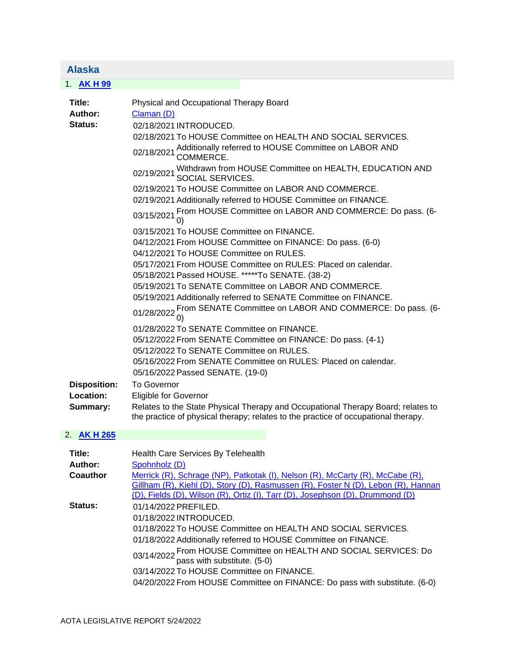<span id="page-1-0"></span>

| <b>Alaska</b>                                                    |                                                                                                                                                                                                                                                                                                                                                                                                                                                                                                                                                                                                                                                                                                                                                                                                                                                                                                                                                                                                                                                                                                                                                                                                                                                                                                                                                          |
|------------------------------------------------------------------|----------------------------------------------------------------------------------------------------------------------------------------------------------------------------------------------------------------------------------------------------------------------------------------------------------------------------------------------------------------------------------------------------------------------------------------------------------------------------------------------------------------------------------------------------------------------------------------------------------------------------------------------------------------------------------------------------------------------------------------------------------------------------------------------------------------------------------------------------------------------------------------------------------------------------------------------------------------------------------------------------------------------------------------------------------------------------------------------------------------------------------------------------------------------------------------------------------------------------------------------------------------------------------------------------------------------------------------------------------|
| 1. AKH 99                                                        |                                                                                                                                                                                                                                                                                                                                                                                                                                                                                                                                                                                                                                                                                                                                                                                                                                                                                                                                                                                                                                                                                                                                                                                                                                                                                                                                                          |
| Title:<br>Author:<br>Status:<br><b>Disposition:</b><br>Location: | Physical and Occupational Therapy Board<br>Claman (D)<br>02/18/2021 INTRODUCED.<br>02/18/2021 To HOUSE Committee on HEALTH AND SOCIAL SERVICES.<br>Additionally referred to HOUSE Committee on LABOR AND<br>COMMERCE.<br>02/18/2021<br>02/19/2021 Withdrawn from HOUSE Committee on HEALTH, EDUCATION AND 02/19/2021 SOCIAL SERVICES.<br>02/19/2021 To HOUSE Committee on LABOR AND COMMERCE.<br>02/19/2021 Additionally referred to HOUSE Committee on FINANCE.<br>From HOUSE Committee on LABOR AND COMMERCE: Do pass. (6-<br>03/15/2021<br>03/15/2021 To HOUSE Committee on FINANCE.<br>04/12/2021 From HOUSE Committee on FINANCE: Do pass. (6-0)<br>04/12/2021 To HOUSE Committee on RULES.<br>05/17/2021 From HOUSE Committee on RULES: Placed on calendar.<br>05/18/2021 Passed HOUSE. *****To SENATE. (38-2)<br>05/19/2021 To SENATE Committee on LABOR AND COMMERCE.<br>05/19/2021 Additionally referred to SENATE Committee on FINANCE.<br>01/28/2022 From SENATE Committee on LABOR AND COMMERCE: Do pass. (6-<br>01/28/2022 0)<br>01/28/2022 To SENATE Committee on FINANCE.<br>05/12/2022 From SENATE Committee on FINANCE: Do pass. (4-1)<br>05/12/2022 To SENATE Committee on RULES.<br>05/16/2022 From SENATE Committee on RULES: Placed on calendar.<br>05/16/2022 Passed SENATE. (19-0)<br><b>To Governor</b><br>Eligible for Governor |
| Summary:                                                         | Relates to the State Physical Therapy and Occupational Therapy Board; relates to<br>the practice of physical therapy; relates to the practice of occupational therapy.                                                                                                                                                                                                                                                                                                                                                                                                                                                                                                                                                                                                                                                                                                                                                                                                                                                                                                                                                                                                                                                                                                                                                                                   |
| $\Omega$ avuse                                                   |                                                                                                                                                                                                                                                                                                                                                                                                                                                                                                                                                                                                                                                                                                                                                                                                                                                                                                                                                                                                                                                                                                                                                                                                                                                                                                                                                          |

#### 2. **[AK H 265](https://protect-us.mimecast.com/s/b8rKC73y1QUAVV4AfB6Xcd?domain=custom.statenet.com)**

| Title:   | <b>Health Care Services By Telehealth</b>                                                                                                                                                                                                                                                                                                                                                                        |
|----------|------------------------------------------------------------------------------------------------------------------------------------------------------------------------------------------------------------------------------------------------------------------------------------------------------------------------------------------------------------------------------------------------------------------|
| Author:  | Spohnholz (D)                                                                                                                                                                                                                                                                                                                                                                                                    |
| Coauthor | Merrick (R), Schrage (NP), Patkotak (I), Nelson (R), McCarty (R), McCabe (R),<br>Gillham (R), Kiehl (D), Story (D), Rasmussen (R), Foster N (D), Lebon (R), Hannan<br>(D), Fields (D), Wilson (R), Ortiz (I), Tarr (D), Josephson (D), Drummond (D)                                                                                                                                                              |
| Status:  | 01/14/2022 PREFILED.<br>01/18/2022 INTRODUCED.<br>01/18/2022 To HOUSE Committee on HEALTH AND SOCIAL SERVICES.<br>01/18/2022 Additionally referred to HOUSE Committee on FINANCE.<br>03/14/2022 From HOUSE Committee on HEALTH AND SOCIAL SERVICES: Do<br>pass with substitute. (5-0)<br>03/14/2022 To HOUSE Committee on FINANCE.<br>04/20/2022 From HOUSE Committee on FINANCE: Do pass with substitute. (6-0) |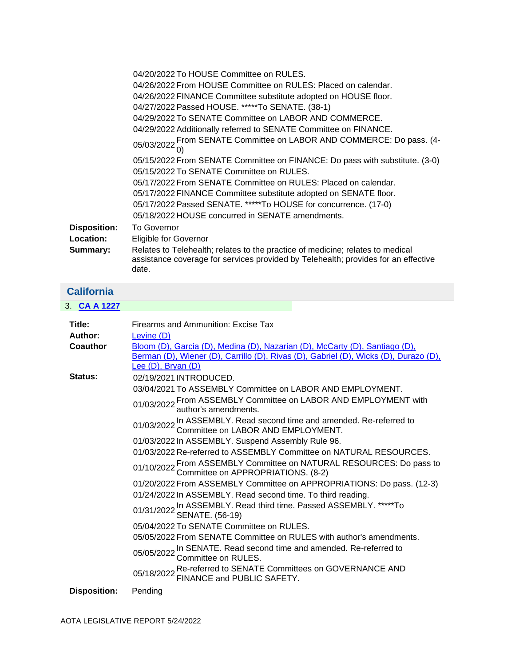|                     | 04/20/2022 To HOUSE Committee on RULES.                                                                                                                                       |
|---------------------|-------------------------------------------------------------------------------------------------------------------------------------------------------------------------------|
|                     | 04/26/2022 From HOUSE Committee on RULES: Placed on calendar.                                                                                                                 |
|                     | 04/26/2022 FINANCE Committee substitute adopted on HOUSE floor.                                                                                                               |
|                     | 04/27/2022 Passed HOUSE. *****To SENATE. (38-1)                                                                                                                               |
|                     | 04/29/2022 To SENATE Committee on LABOR AND COMMERCE.                                                                                                                         |
|                     | 04/29/2022 Additionally referred to SENATE Committee on FINANCE.                                                                                                              |
|                     | 05/03/2022 From SENATE Committee on LABOR AND COMMERCE: Do pass. (4-                                                                                                          |
|                     | 05/15/2022 From SENATE Committee on FINANCE: Do pass with substitute. (3-0)                                                                                                   |
|                     | 05/15/2022 To SENATE Committee on RULES.                                                                                                                                      |
|                     | 05/17/2022 From SENATE Committee on RULES: Placed on calendar.                                                                                                                |
|                     | 05/17/2022 FINANCE Committee substitute adopted on SENATE floor.                                                                                                              |
|                     | 05/17/2022 Passed SENATE. *****To HOUSE for concurrence. (17-0)                                                                                                               |
|                     | 05/18/2022 HOUSE concurred in SENATE amendments.                                                                                                                              |
| <b>Disposition:</b> | <b>To Governor</b>                                                                                                                                                            |
| Location:           | <b>Eligible for Governor</b>                                                                                                                                                  |
| Summary:            | Relates to Telehealth; relates to the practice of medicine; relates to medical<br>assistance coverage for services provided by Telehealth; provides for an effective<br>date. |

<span id="page-2-0"></span>

| <b>California</b>   |                                                                                                                                                                                           |
|---------------------|-------------------------------------------------------------------------------------------------------------------------------------------------------------------------------------------|
| 3. CA A 1227        |                                                                                                                                                                                           |
| Title:              | Firearms and Ammunition: Excise Tax                                                                                                                                                       |
| Author:             | Levine (D)                                                                                                                                                                                |
| Coauthor            | Bloom (D), Garcia (D), Medina (D), Nazarian (D), McCarty (D), Santiago (D),<br>Berman (D), Wiener (D), Carrillo (D), Rivas (D), Gabriel (D), Wicks (D), Durazo (D),<br>Lee (D), Bryan (D) |
| Status:             | 02/19/2021 INTRODUCED.                                                                                                                                                                    |
|                     | 03/04/2021 To ASSEMBLY Committee on LABOR AND EMPLOYMENT.                                                                                                                                 |
|                     | 01/03/2022 From ASSEMBLY Committee on LABOR AND EMPLOYMENT with<br>01/03/2022 author's amendments.                                                                                        |
|                     | 01/03/2022 In ASSEMBLY. Read second time and amended. Re-referred to 01/03/2022 Committee on LABOR AND EMPLOYMENT.                                                                        |
|                     | 01/03/2022 In ASSEMBLY. Suspend Assembly Rule 96.                                                                                                                                         |
|                     | 01/03/2022 Re-referred to ASSEMBLY Committee on NATURAL RESOURCES.                                                                                                                        |
|                     | 01/10/2022 From ASSEMBLY Committee on NATURAL RESOURCES: Do pass to<br>01/10/2022 Committee on APPROPRIATIONS. (8-2)                                                                      |
|                     | 01/20/2022 From ASSEMBLY Committee on APPROPRIATIONS: Do pass. (12-3)                                                                                                                     |
|                     | 01/24/2022 In ASSEMBLY. Read second time. To third reading.                                                                                                                               |
|                     | 01/31/2022 In ASSEMBLY. Read third time. Passed ASSEMBLY. *****To<br>01/31/2022 SENATE. (56-19)                                                                                           |
|                     | 05/04/2022 To SENATE Committee on RULES.                                                                                                                                                  |
|                     | 05/05/2022 From SENATE Committee on RULES with author's amendments.                                                                                                                       |
|                     | 05/05/2022 In SENATE. Read second time and amended. Re-referred to 05/05/2022 Committee on RULES.                                                                                         |
|                     | 05/18/2022 Re-referred to SENATE Committees on GOVERNANCE AND<br>FINANCE and PUBLIC SAFETY.                                                                                               |
| <b>Disposition:</b> | Pending                                                                                                                                                                                   |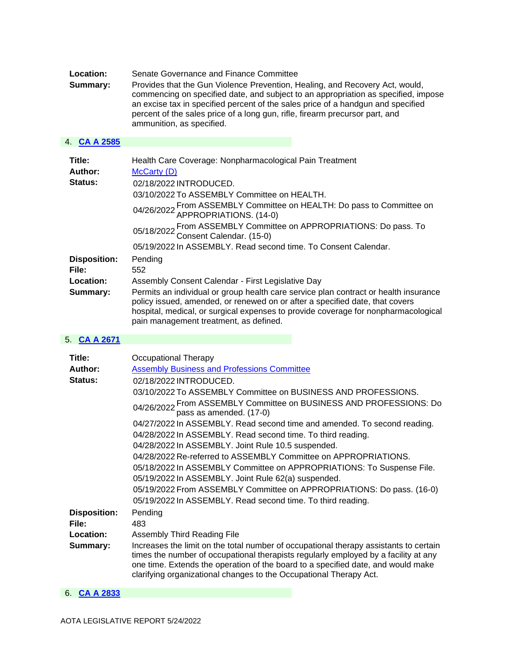| <b>Location:</b> | Senate Governance and Finance Committee                                                                                                                                                                                                                                                                                                                             |
|------------------|---------------------------------------------------------------------------------------------------------------------------------------------------------------------------------------------------------------------------------------------------------------------------------------------------------------------------------------------------------------------|
| Summary:         | Provides that the Gun Violence Prevention, Healing, and Recovery Act, would,<br>commencing on specified date, and subject to an appropriation as specified, impose<br>an excise tax in specified percent of the sales price of a handgun and specified<br>percent of the sales price of a long gun, rifle, firearm precursor part, and<br>ammunition, as specified. |

# 4. **[CA A 2585](https://protect-us.mimecast.com/s/9tE7C1wpWKSMBB2MtrN63-?domain=custom.statenet.com)**

| Title:              | Health Care Coverage: Nonpharmacological Pain Treatment                                                                                                                                                                                                                                              |
|---------------------|------------------------------------------------------------------------------------------------------------------------------------------------------------------------------------------------------------------------------------------------------------------------------------------------------|
| Author:             | McCarty (D)                                                                                                                                                                                                                                                                                          |
| <b>Status:</b>      | 02/18/2022 INTRODUCED.                                                                                                                                                                                                                                                                               |
|                     | 03/10/2022 To ASSEMBLY Committee on HEALTH.                                                                                                                                                                                                                                                          |
|                     | 04/26/2022 From ASSEMBLY Committee on HEALTH: Do pass to Committee on 04/26/2022 APPROPRIATIONS. (14-0)                                                                                                                                                                                              |
|                     | 05/18/2022 From ASSEMBLY Committee on APPROPRIATIONS: Do pass. To 05/18/2022 Consent Calendar. (15-0)                                                                                                                                                                                                |
|                     | 05/19/2022 In ASSEMBLY, Read second time, To Consent Calendar.                                                                                                                                                                                                                                       |
| <b>Disposition:</b> | Pending                                                                                                                                                                                                                                                                                              |
| File:               | 552                                                                                                                                                                                                                                                                                                  |
| Location:           | Assembly Consent Calendar - First Legislative Day                                                                                                                                                                                                                                                    |
| Summary:            | Permits an individual or group health care service plan contract or health insurance<br>policy issued, amended, or renewed on or after a specified date, that covers<br>hospital, medical, or surgical expenses to provide coverage for nonpharmacological<br>pain management treatment, as defined. |

## 5. **[CA A 2671](https://protect-us.mimecast.com/s/Ql9LC31rQMsp996pSLQ2yy?domain=custom.statenet.com)**

| Title:<br>Author:<br>Status: | Occupational Therapy<br><b>Assembly Business and Professions Committee</b><br>02/18/2022 INTRODUCED.                                                                                                                                                                                                                                   |
|------------------------------|----------------------------------------------------------------------------------------------------------------------------------------------------------------------------------------------------------------------------------------------------------------------------------------------------------------------------------------|
|                              | 03/10/2022 To ASSEMBLY Committee on BUSINESS AND PROFESSIONS.<br>04/26/2022 From ASSEMBLY Committee on BUSINESS AND PROFESSIONS: Do<br>pass as amended. (17-0)                                                                                                                                                                         |
|                              | 04/27/2022 In ASSEMBLY. Read second time and amended. To second reading.<br>04/28/2022 In ASSEMBLY. Read second time. To third reading.<br>04/28/2022 In ASSEMBLY. Joint Rule 10.5 suspended.                                                                                                                                          |
|                              | 04/28/2022 Re-referred to ASSEMBLY Committee on APPROPRIATIONS.<br>05/18/2022 In ASSEMBLY Committee on APPROPRIATIONS: To Suspense File.<br>05/19/2022 In ASSEMBLY. Joint Rule 62(a) suspended.                                                                                                                                        |
|                              | 05/19/2022 From ASSEMBLY Committee on APPROPRIATIONS: Do pass. (16-0)<br>05/19/2022 In ASSEMBLY. Read second time. To third reading.                                                                                                                                                                                                   |
| <b>Disposition:</b><br>File: | Pending<br>483                                                                                                                                                                                                                                                                                                                         |
| Location:                    | Assembly Third Reading File                                                                                                                                                                                                                                                                                                            |
| Summary:                     | Increases the limit on the total number of occupational therapy assistants to certain<br>times the number of occupational therapists regularly employed by a facility at any<br>one time. Extends the operation of the board to a specified date, and would make<br>clarifying organizational changes to the Occupational Therapy Act. |

## 6. **[CA A 2833](https://protect-us.mimecast.com/s/X4gBC5ywQOCZpp5Zizz_DAR?domain=custom.statenet.com)**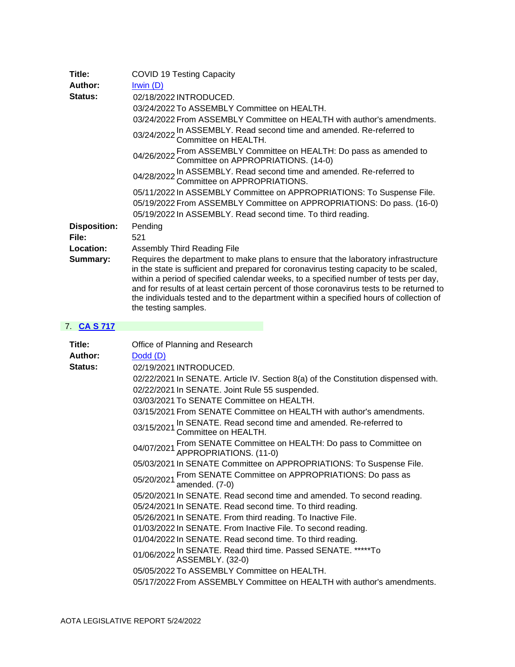| Title:              | <b>COVID 19 Testing Capacity</b>                                                                                                                                                                                                                                                                                                                                                                                                                                                   |
|---------------------|------------------------------------------------------------------------------------------------------------------------------------------------------------------------------------------------------------------------------------------------------------------------------------------------------------------------------------------------------------------------------------------------------------------------------------------------------------------------------------|
| Author:             | Irwin $(D)$                                                                                                                                                                                                                                                                                                                                                                                                                                                                        |
| Status:             | 02/18/2022 INTRODUCED.                                                                                                                                                                                                                                                                                                                                                                                                                                                             |
|                     | 03/24/2022 To ASSEMBLY Committee on HEALTH.                                                                                                                                                                                                                                                                                                                                                                                                                                        |
|                     | 03/24/2022 From ASSEMBLY Committee on HEALTH with author's amendments.                                                                                                                                                                                                                                                                                                                                                                                                             |
|                     | 03/24/2022 In ASSEMBLY. Read second time and amended. Re-referred to 03/24/2022 Committee on HEALTH.                                                                                                                                                                                                                                                                                                                                                                               |
|                     | 04/26/2022 From ASSEMBLY Committee on HEALTH: Do pass as amended to 04/26/2022 Committee on APPROPRIATIONS. (14-0)                                                                                                                                                                                                                                                                                                                                                                 |
|                     | 04/28/2022 In ASSEMBLY. Read second time and amended. Re-referred to 04/28/2022 Committee on APPROPRIATIONS.                                                                                                                                                                                                                                                                                                                                                                       |
|                     | 05/11/2022 In ASSEMBLY Committee on APPROPRIATIONS: To Suspense File.                                                                                                                                                                                                                                                                                                                                                                                                              |
|                     | 05/19/2022 From ASSEMBLY Committee on APPROPRIATIONS: Do pass. (16-0)                                                                                                                                                                                                                                                                                                                                                                                                              |
|                     | 05/19/2022 In ASSEMBLY. Read second time. To third reading.                                                                                                                                                                                                                                                                                                                                                                                                                        |
| <b>Disposition:</b> | Pending                                                                                                                                                                                                                                                                                                                                                                                                                                                                            |
| File:               | 521                                                                                                                                                                                                                                                                                                                                                                                                                                                                                |
| Location:           | Assembly Third Reading File                                                                                                                                                                                                                                                                                                                                                                                                                                                        |
| Summary:            | Requires the department to make plans to ensure that the laboratory infrastructure<br>in the state is sufficient and prepared for coronavirus testing capacity to be scaled,<br>within a period of specified calendar weeks, to a specified number of tests per day,<br>and for results of at least certain percent of those coronavirus tests to be returned to<br>the individuals tested and to the department within a specified hours of collection of<br>the testing samples. |

## 7. **[CA S 717](https://protect-us.mimecast.com/s/auBLC73y1QUAVV4Af8BzkCG?domain=custom.statenet.com)**

| Title:  | Office of Planning and Research                                                                    |
|---------|----------------------------------------------------------------------------------------------------|
| Author: | $Dodd$ ( $D$ )                                                                                     |
| Status: | 02/19/2021 INTRODUCED.                                                                             |
|         | 02/22/2021 In SENATE. Article IV. Section 8(a) of the Constitution dispensed with.                 |
|         | 02/22/2021 In SENATE. Joint Rule 55 suspended.                                                     |
|         | 03/03/2021 To SENATE Committee on HEALTH.                                                          |
|         | 03/15/2021 From SENATE Committee on HEALTH with author's amendments.                               |
|         | 03/15/2021 In SENATE. Read second time and amended. Re-referred to 03/15/2021 Committee on HEALTH. |
|         | 04/07/2021 From SENATE Committee on HEALTH: Do pass to Committee on<br>APPROPRIATIONS. (11-0)      |
|         | 05/03/2021 In SENATE Committee on APPROPRIATIONS: To Suspense File.                                |
|         | 05/20/2021 From SENATE Committee on APPROPRIATIONS: Do pass as<br>amended. (7-0)                   |
|         | 05/20/2021 In SENATE. Read second time and amended. To second reading.                             |
|         | 05/24/2021 In SENATE. Read second time. To third reading.                                          |
|         | 05/26/2021 In SENATE. From third reading. To Inactive File.                                        |
|         | 01/03/2022 In SENATE. From Inactive File. To second reading.                                       |
|         | 01/04/2022 In SENATE. Read second time. To third reading.                                          |
|         | 01/06/2022 In SENATE. Read third time. Passed SENATE. *****To<br>ASSEMBLY. (32-0)                  |
|         | 05/05/2022 To ASSEMBLY Committee on HEALTH.                                                        |
|         | 05/17/2022 From ASSEMBLY Committee on HEALTH with author's amendments.                             |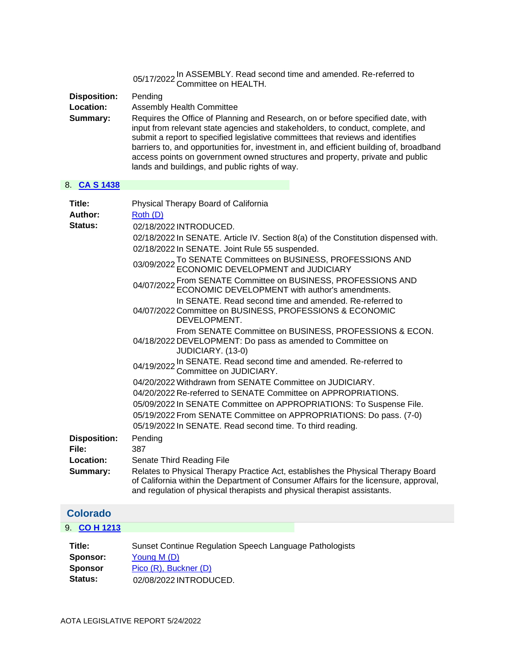|                                              | 05/17/2022 In ASSEMBLY. Read second time and amended. Re-referred to<br>Committee on HEALTH.                                                                                                                                                                                                                                                                                                                                                                                                                                                                                                                                                                                                                                                                                                                                                                                                                                                                                                                                                                                                                                                                                            |
|----------------------------------------------|-----------------------------------------------------------------------------------------------------------------------------------------------------------------------------------------------------------------------------------------------------------------------------------------------------------------------------------------------------------------------------------------------------------------------------------------------------------------------------------------------------------------------------------------------------------------------------------------------------------------------------------------------------------------------------------------------------------------------------------------------------------------------------------------------------------------------------------------------------------------------------------------------------------------------------------------------------------------------------------------------------------------------------------------------------------------------------------------------------------------------------------------------------------------------------------------|
| <b>Disposition:</b><br>Location:<br>Summary: | Pending<br><b>Assembly Health Committee</b><br>Requires the Office of Planning and Research, on or before specified date, with<br>input from relevant state agencies and stakeholders, to conduct, complete, and<br>submit a report to specified legislative committees that reviews and identifies<br>barriers to, and opportunities for, investment in, and efficient building of, broadband<br>access points on government owned structures and property, private and public<br>lands and buildings, and public rights of way.                                                                                                                                                                                                                                                                                                                                                                                                                                                                                                                                                                                                                                                       |
| 8. CAS 1438                                  |                                                                                                                                                                                                                                                                                                                                                                                                                                                                                                                                                                                                                                                                                                                                                                                                                                                                                                                                                                                                                                                                                                                                                                                         |
| Title:<br>Author:<br>Status:                 | Physical Therapy Board of California<br>Roth (D)<br>02/18/2022 INTRODUCED.<br>02/18/2022 In SENATE. Article IV. Section 8(a) of the Constitution dispensed with.<br>02/18/2022 In SENATE. Joint Rule 55 suspended.<br>03/09/2022 To SENATE Committees on BUSINESS, PROFESSIONS AND 03/09/2022 ECONOMIC DEVELOPMENT and JUDICIARY<br>04/07/2022 From SENATE Committee on BUSINESS, PROFESSIONS AND<br>ECONOMIC DEVELOPMENT with author's amendments.<br>In SENATE. Read second time and amended. Re-referred to<br>04/07/2022 Committee on BUSINESS, PROFESSIONS & ECONOMIC<br>DEVELOPMENT.<br>From SENATE Committee on BUSINESS, PROFESSIONS & ECON.<br>04/18/2022 DEVELOPMENT: Do pass as amended to Committee on<br>JUDICIARY. (13-0)<br>04/19/2022 In SENATE. Read second time and amended. Re-referred to 04/19/2022 Committee on JUDICIARY.<br>04/20/2022 Withdrawn from SENATE Committee on JUDICIARY.<br>04/20/2022 Re-referred to SENATE Committee on APPROPRIATIONS.<br>05/09/2022 In SENATE Committee on APPROPRIATIONS: To Suspense File.<br>05/19/2022 From SENATE Committee on APPROPRIATIONS: Do pass. (7-0)<br>05/19/2022 In SENATE. Read second time. To third reading. |
| <b>Disposition:</b><br>File:                 | Pending<br>387                                                                                                                                                                                                                                                                                                                                                                                                                                                                                                                                                                                                                                                                                                                                                                                                                                                                                                                                                                                                                                                                                                                                                                          |
| Location:                                    | Senate Third Reading File                                                                                                                                                                                                                                                                                                                                                                                                                                                                                                                                                                                                                                                                                                                                                                                                                                                                                                                                                                                                                                                                                                                                                               |
| Summary:                                     | Relates to Physical Therapy Practice Act, establishes the Physical Therapy Board<br>of California within the Department of Consumer Affairs for the licensure, approval,<br>and regulation of physical therapists and physical therapist assistants.                                                                                                                                                                                                                                                                                                                                                                                                                                                                                                                                                                                                                                                                                                                                                                                                                                                                                                                                    |
| <b>Colorado</b>                              |                                                                                                                                                                                                                                                                                                                                                                                                                                                                                                                                                                                                                                                                                                                                                                                                                                                                                                                                                                                                                                                                                                                                                                                         |
| <b>CO H 1213</b><br>9.                       |                                                                                                                                                                                                                                                                                                                                                                                                                                                                                                                                                                                                                                                                                                                                                                                                                                                                                                                                                                                                                                                                                                                                                                                         |
| Title:<br>Sponsor:                           | Sunset Continue Regulation Speech Language Pathologists<br>Young M (D)                                                                                                                                                                                                                                                                                                                                                                                                                                                                                                                                                                                                                                                                                                                                                                                                                                                                                                                                                                                                                                                                                                                  |

<span id="page-5-0"></span>**Sponsor** [Pico \(R\),](https://protect-us.mimecast.com/s/99TOCkRj8pcOXX8OC203hZZ?domain=sn.lexisnexis.com) Buckner (D)<br>**Status:** 02/08/2022 INTRODU **Status:** 02/08/2022 INTRODUCED.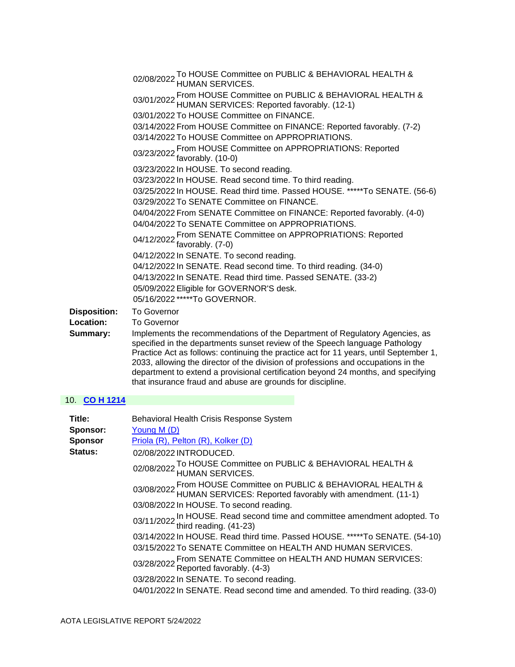|                     | 02/08/2022 To HOUSE Committee on PUBLIC & BEHAVIORAL HEALTH & 02/08/2022 HUMAN SERVICES.                                                                   |
|---------------------|------------------------------------------------------------------------------------------------------------------------------------------------------------|
|                     | 03/01/2022 From HOUSE Committee on PUBLIC & BEHAVIORAL HEALTH & 03/01/2022 HUMAN SERVICES: Reported favorably. (12-1)                                      |
|                     | 03/01/2022 To HOUSE Committee on FINANCE.                                                                                                                  |
|                     | 03/14/2022 From HOUSE Committee on FINANCE: Reported favorably. (7-2)                                                                                      |
|                     | 03/14/2022 To HOUSE Committee on APPROPRIATIONS.                                                                                                           |
|                     | 03/23/2022 From HOUSE Committee on APPROPRIATIONS: Reported favorably. (10-0)                                                                              |
|                     | 03/23/2022 In HOUSE. To second reading.                                                                                                                    |
|                     | 03/23/2022 In HOUSE. Read second time. To third reading.                                                                                                   |
|                     | 03/25/2022 In HOUSE. Read third time. Passed HOUSE. *****To SENATE. (56-6)                                                                                 |
|                     | 03/29/2022 To SENATE Committee on FINANCE.                                                                                                                 |
|                     | 04/04/2022 From SENATE Committee on FINANCE: Reported favorably. (4-0)                                                                                     |
|                     | 04/04/2022 To SENATE Committee on APPROPRIATIONS.                                                                                                          |
|                     | 04/12/2022 From SENATE Committee on APPROPRIATIONS: Reported<br>04/12/2022 favorably. (7-0)                                                                |
|                     | 04/12/2022 In SENATE. To second reading.                                                                                                                   |
|                     | 04/12/2022 In SENATE. Read second time. To third reading. (34-0)                                                                                           |
|                     | 04/13/2022 In SENATE. Read third time. Passed SENATE. (33-2)                                                                                               |
|                     | 05/09/2022 Eligible for GOVERNOR'S desk.                                                                                                                   |
|                     | 05/16/2022 *****To GOVERNOR.                                                                                                                               |
| <b>Disposition:</b> | <b>To Governor</b>                                                                                                                                         |
| Location:           | <b>To Governor</b>                                                                                                                                         |
| Summary:            | Implements the recommendations of the Department of Regulatory Agencies, as<br>specified in the departments sunset review of the Speech language Pathology |

**Summary:** Implements the recommendations of the Department of Regulatory Agencies, as Practice Act as follows: continuing the practice act for 11 years, until September 1, 2033, allowing the director of the division of professions and occupations in the department to extend a provisional certification beyond 24 months, and specifying that insurance fraud and abuse are grounds for discipline.

### 10. **[CO H 1214](https://protect-us.mimecast.com/s/nnfVCmZ0OrhjPPBjTGwftFs?domain=custom.statenet.com)**

| Title:<br>Sponsor: | Behavioral Health Crisis Response System<br>Young M (D)                                                                              |
|--------------------|--------------------------------------------------------------------------------------------------------------------------------------|
| <b>Sponsor</b>     | Priola (R), Pelton (R), Kolker (D)                                                                                                   |
| Status:            | 02/08/2022 INTRODUCED.                                                                                                               |
|                    | 02/08/2022 To HOUSE Committee on PUBLIC & BEHAVIORAL HEALTH & 02/08/2022 HUMAN SERVICES.                                             |
|                    | 03/08/2022 From HOUSE Committee on PUBLIC & BEHAVIORAL HEALTH & 03/08/2022 HUMAN SERVICES: Reported favorably with amendment. (11-1) |
|                    | 03/08/2022 In HOUSE. To second reading.                                                                                              |
|                    | 03/11/2022 In HOUSE. Read second time and committee amendment adopted. To third reading. (41-23)                                     |
|                    | 03/14/2022 In HOUSE. Read third time. Passed HOUSE. *****To SENATE. (54-10)                                                          |
|                    | 03/15/2022 To SENATE Committee on HEALTH AND HUMAN SERVICES.                                                                         |
|                    | 03/28/2022 From SENATE Committee on HEALTH AND HUMAN SERVICES:<br>Reported favorably. (4-3)                                          |
|                    | 03/28/2022 In SENATE. To second reading.                                                                                             |
|                    | 04/01/2022 In SENATE. Read second time and amended. To third reading. (33-0)                                                         |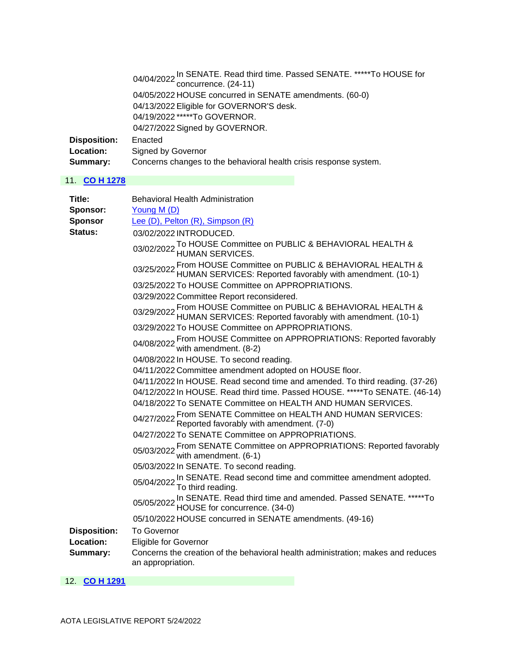|                     | 04/04/2022 In SENATE. Read third time. Passed SENATE. *****To HOUSE for<br>concurrence. (24-11) |
|---------------------|-------------------------------------------------------------------------------------------------|
|                     |                                                                                                 |
|                     | 04/05/2022 HOUSE concurred in SENATE amendments. (60-0)                                         |
|                     | 04/13/2022 Eligible for GOVERNOR'S desk.                                                        |
|                     | 04/19/2022 *****To GOVERNOR.                                                                    |
|                     | 04/27/2022 Signed by GOVERNOR.                                                                  |
| <b>Disposition:</b> | Enacted                                                                                         |
| Location:           | Signed by Governor                                                                              |
| Summary:            | Concerns changes to the behavioral health crisis response system.                               |

### 11. **[CO H 1278](https://protect-us.mimecast.com/s/_wUbCrkq8zC8nnP8H75C9Lb?domain=custom.statenet.com)**

| Title:              | <b>Behavioral Health Administration</b>                                                                                              |
|---------------------|--------------------------------------------------------------------------------------------------------------------------------------|
| Sponsor:            | Young M (D)                                                                                                                          |
| <b>Sponsor</b>      | Lee (D), Pelton (R), Simpson (R)                                                                                                     |
| <b>Status:</b>      | 03/02/2022 INTRODUCED.                                                                                                               |
|                     | 03/02/2022 To HOUSE Committee on PUBLIC & BEHAVIORAL HEALTH & 03/02/2022 HUMAN SERVICES.                                             |
|                     | 03/25/2022 From HOUSE Committee on PUBLIC & BEHAVIORAL HEALTH & 03/25/2022 HUMAN SERVICES: Reported favorably with amendment. (10-1) |
|                     | 03/25/2022 To HOUSE Committee on APPROPRIATIONS.                                                                                     |
|                     | 03/29/2022 Committee Report reconsidered.                                                                                            |
|                     | 03/29/2022 From HOUSE Committee on PUBLIC & BEHAVIORAL HEALTH & 03/29/2022 HUMAN SERVICES: Reported favorably with amendment. (10-1) |
|                     | 03/29/2022 To HOUSE Committee on APPROPRIATIONS.                                                                                     |
|                     | 04/08/2022 From HOUSE Committee on APPROPRIATIONS: Reported favorably<br>04/08/2022 with amendment. (8-2)                            |
|                     | 04/08/2022 In HOUSE. To second reading.                                                                                              |
|                     | 04/11/2022 Committee amendment adopted on HOUSE floor.                                                                               |
|                     | 04/11/2022 In HOUSE. Read second time and amended. To third reading. (37-26)                                                         |
|                     | 04/12/2022 In HOUSE. Read third time. Passed HOUSE. *****To SENATE. (46-14)                                                          |
|                     | 04/18/2022 To SENATE Committee on HEALTH AND HUMAN SERVICES.                                                                         |
|                     | 04/27/2022 From SENATE Committee on HEALTH AND HUMAN SERVICES:<br>Reported favorably with amendment. (7-0)                           |
|                     | 04/27/2022 To SENATE Committee on APPROPRIATIONS.                                                                                    |
|                     | 05/03/2022 From SENATE Committee on APPROPRIATIONS: Reported favorably<br>with amendment. (6-1)                                      |
|                     | 05/03/2022 In SENATE. To second reading.                                                                                             |
|                     | 05/04/2022 In SENATE. Read second time and committee amendment adopted.<br>To third reading.                                         |
|                     | 05/05/2022 In SENATE. Read third time and amended. Passed SENATE. *****To<br>05/05/2022 HOUSE for concurrence. (34-0)                |
|                     | 05/10/2022 HOUSE concurred in SENATE amendments. (49-16)                                                                             |
| <b>Disposition:</b> | <b>To Governor</b>                                                                                                                   |
| Location:           | Eligible for Governor                                                                                                                |
| Summary:            | Concerns the creation of the behavioral health administration; makes and reduces<br>an appropriation.                                |

12. **[CO H 1291](https://protect-us.mimecast.com/s/_7PDCzp4vLsMwwQMt4yQXlq?domain=custom.statenet.com)**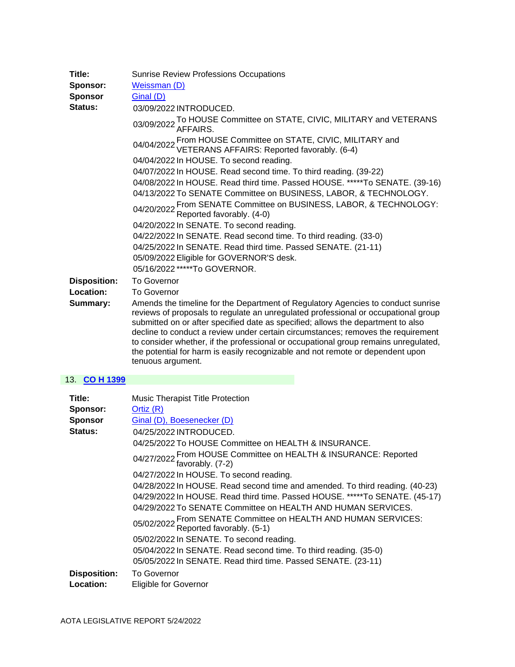| Title:<br>Sponsor:<br><b>Sponsor</b><br>Status: | <b>Sunrise Review Professions Occupations</b><br>Weissman (D)<br>Ginal (D)                                                                                                                                                                                                                                                                                                                                                                                                                                                                   |
|-------------------------------------------------|----------------------------------------------------------------------------------------------------------------------------------------------------------------------------------------------------------------------------------------------------------------------------------------------------------------------------------------------------------------------------------------------------------------------------------------------------------------------------------------------------------------------------------------------|
|                                                 | 03/09/2022 INTRODUCED.<br>03/09/2022 To HOUSE Committee on STATE, CIVIC, MILITARY and VETERANS<br>03/09/2022 AFFAIRS.                                                                                                                                                                                                                                                                                                                                                                                                                        |
|                                                 | 04/04/2022 From HOUSE Committee on STATE, CIVIC, MILITARY and<br>VETERANS AFFAIRS: Reported favorably. (6-4)<br>04/04/2022 In HOUSE. To second reading.                                                                                                                                                                                                                                                                                                                                                                                      |
|                                                 | 04/07/2022 In HOUSE. Read second time. To third reading. (39-22)<br>04/08/2022 In HOUSE. Read third time. Passed HOUSE. *****To SENATE. (39-16)                                                                                                                                                                                                                                                                                                                                                                                              |
|                                                 | 04/13/2022 To SENATE Committee on BUSINESS, LABOR, & TECHNOLOGY.<br>04/20/2022 From SENATE Committee on BUSINESS, LABOR, & TECHNOLOGY:<br>Reported favorably. (4-0)                                                                                                                                                                                                                                                                                                                                                                          |
|                                                 | 04/20/2022 In SENATE. To second reading.<br>04/22/2022 In SENATE. Read second time. To third reading. (33-0)                                                                                                                                                                                                                                                                                                                                                                                                                                 |
|                                                 | 04/25/2022 In SENATE. Read third time. Passed SENATE. (21-11)<br>05/09/2022 Eligible for GOVERNOR'S desk.<br>05/16/2022 *****To GOVERNOR.                                                                                                                                                                                                                                                                                                                                                                                                    |
| <b>Disposition:</b><br>Location:                | <b>To Governor</b><br><b>To Governor</b>                                                                                                                                                                                                                                                                                                                                                                                                                                                                                                     |
| Summary:                                        | Amends the timeline for the Department of Regulatory Agencies to conduct sunrise<br>reviews of proposals to regulate an unregulated professional or occupational group<br>submitted on or after specified date as specified; allows the department to also<br>decline to conduct a review under certain circumstances; removes the requirement<br>to consider whether, if the professional or occupational group remains unregulated,<br>the potential for harm is easily recognizable and not remote or dependent upon<br>tenuous argument. |

## 13. **[CO H 1399](https://protect-us.mimecast.com/s/q_CYCDkZ1mC5JJN5tWmgwgA?domain=custom.statenet.com)**

| Title:              | Music Therapist Title Protection                                                            |
|---------------------|---------------------------------------------------------------------------------------------|
| Sponsor:            | Ortiz $(R)$                                                                                 |
| <b>Sponsor</b>      | Ginal (D), Boesenecker (D)                                                                  |
| Status:             | 04/25/2022 INTRODUCED.                                                                      |
|                     | 04/25/2022 To HOUSE Committee on HEALTH & INSURANCE.                                        |
|                     | 04/27/2022 From HOUSE Committee on HEALTH & INSURANCE: Reported favorably. (7-2)            |
|                     | 04/27/2022 In HOUSE. To second reading.                                                     |
|                     | 04/28/2022 In HOUSE. Read second time and amended. To third reading. (40-23)                |
|                     | 04/29/2022 In HOUSE. Read third time. Passed HOUSE. *****To SENATE. (45-17)                 |
|                     | 04/29/2022 To SENATE Committee on HEALTH AND HUMAN SERVICES.                                |
|                     | 05/02/2022 From SENATE Committee on HEALTH AND HUMAN SERVICES:<br>Reported favorably. (5-1) |
|                     | 05/02/2022 In SENATE. To second reading.                                                    |
|                     | 05/04/2022 In SENATE. Read second time. To third reading. (35-0)                            |
|                     | 05/05/2022 In SENATE. Read third time. Passed SENATE. (23-11)                               |
| <b>Disposition:</b> | <b>To Governor</b>                                                                          |
| Location:           | <b>Eligible for Governor</b>                                                                |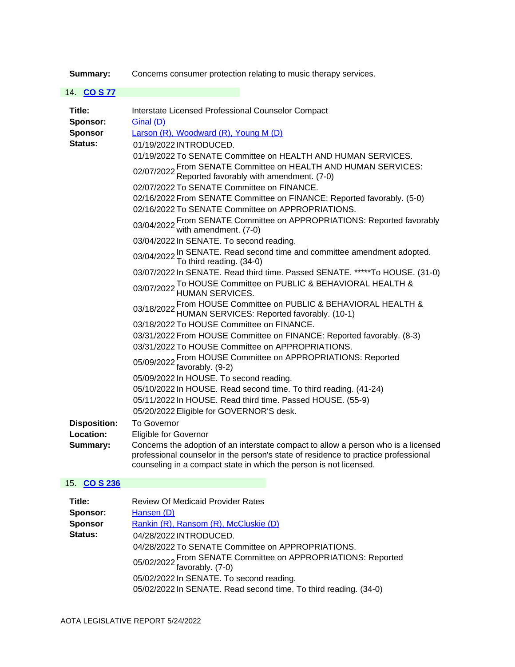**Summary:** Concerns consumer protection relating to music therapy services.

| 14. CO S 77                                     |                                                                                                                                                                                                                                                                                                                                                                                                                                                                                                                                                                                                                                                                                                                                                                                                                                                                                                                                                                                                                                                                                                                                                                                                                                                                                                                                                                                                                                                                                                                                                                     |
|-------------------------------------------------|---------------------------------------------------------------------------------------------------------------------------------------------------------------------------------------------------------------------------------------------------------------------------------------------------------------------------------------------------------------------------------------------------------------------------------------------------------------------------------------------------------------------------------------------------------------------------------------------------------------------------------------------------------------------------------------------------------------------------------------------------------------------------------------------------------------------------------------------------------------------------------------------------------------------------------------------------------------------------------------------------------------------------------------------------------------------------------------------------------------------------------------------------------------------------------------------------------------------------------------------------------------------------------------------------------------------------------------------------------------------------------------------------------------------------------------------------------------------------------------------------------------------------------------------------------------------|
| Title:<br>Sponsor:<br><b>Sponsor</b><br>Status: | Interstate Licensed Professional Counselor Compact<br>Ginal (D)<br>Larson (R), Woodward (R), Young M (D)<br>01/19/2022 INTRODUCED.<br>01/19/2022 To SENATE Committee on HEALTH AND HUMAN SERVICES.<br>02/07/2022 From SENATE Committee on HEALTH AND HUMAN SERVICES:<br>Reported favorably with amendment. (7-0)<br>02/07/2022 To SENATE Committee on FINANCE.<br>02/16/2022 From SENATE Committee on FINANCE: Reported favorably. (5-0)<br>02/16/2022 To SENATE Committee on APPROPRIATIONS.<br>03/04/2022 From SENATE Committee on APPROPRIATIONS: Reported favorably<br>with amendment. (7-0)<br>03/04/2022 In SENATE. To second reading.<br>03/04/2022 In SENATE. Read second time and committee amendment adopted.<br>03/04/2022 To third reading. (34-0)<br>03/07/2022 In SENATE. Read third time. Passed SENATE. *****To HOUSE. (31-0)<br>03/07/2022 To HOUSE Committee on PUBLIC & BEHAVIORAL HEALTH & 03/07/2022 HUMAN SERVICES.<br>03/18/2022 From HOUSE Committee on PUBLIC & BEHAVIORAL HEALTH & 03/18/2022 HUMAN SERVICES: Reported favorably. (10-1)<br>03/18/2022 To HOUSE Committee on FINANCE.<br>03/31/2022 From HOUSE Committee on FINANCE: Reported favorably. (8-3)<br>03/31/2022 To HOUSE Committee on APPROPRIATIONS.<br>05/09/2022 From HOUSE Committee on APPROPRIATIONS: Reported<br>05/09/2022 favorably. (9-2)<br>05/09/2022 In HOUSE. To second reading.<br>05/10/2022 In HOUSE. Read second time. To third reading. (41-24)<br>05/11/2022 In HOUSE. Read third time. Passed HOUSE. (55-9)<br>05/20/2022 Eligible for GOVERNOR'S desk. |
|                                                 |                                                                                                                                                                                                                                                                                                                                                                                                                                                                                                                                                                                                                                                                                                                                                                                                                                                                                                                                                                                                                                                                                                                                                                                                                                                                                                                                                                                                                                                                                                                                                                     |
| <b>Disposition:</b>                             | <b>To Governor</b>                                                                                                                                                                                                                                                                                                                                                                                                                                                                                                                                                                                                                                                                                                                                                                                                                                                                                                                                                                                                                                                                                                                                                                                                                                                                                                                                                                                                                                                                                                                                                  |
| Location:                                       | <b>Eligible for Governor</b>                                                                                                                                                                                                                                                                                                                                                                                                                                                                                                                                                                                                                                                                                                                                                                                                                                                                                                                                                                                                                                                                                                                                                                                                                                                                                                                                                                                                                                                                                                                                        |
| Summary:                                        | Concerns the adoption of an interstate compact to allow a person who is a licensed<br>professional counselor in the person's state of residence to practice professional<br>counseling in a compact state in which the person is not licensed.                                                                                                                                                                                                                                                                                                                                                                                                                                                                                                                                                                                                                                                                                                                                                                                                                                                                                                                                                                                                                                                                                                                                                                                                                                                                                                                      |
| 15. CO S 236                                    |                                                                                                                                                                                                                                                                                                                                                                                                                                                                                                                                                                                                                                                                                                                                                                                                                                                                                                                                                                                                                                                                                                                                                                                                                                                                                                                                                                                                                                                                                                                                                                     |

| Title:         | <b>Review Of Medicaid Provider Rates</b>                                         |
|----------------|----------------------------------------------------------------------------------|
| Sponsor:       | Hansen (D)                                                                       |
| <b>Sponsor</b> | Rankin (R), Ransom (R), McCluskie (D)                                            |
| <b>Status:</b> | 04/28/2022 INTRODUCED.                                                           |
|                | 04/28/2022 To SENATE Committee on APPROPRIATIONS.                                |
|                | 05/02/2022 From SENATE Committee on APPROPRIATIONS: Reported<br>favorably. (7-0) |
|                | 05/02/2022 In SENATE. To second reading.                                         |
|                | 05/02/2022 In SENATE. Read second time. To third reading. (34-0)                 |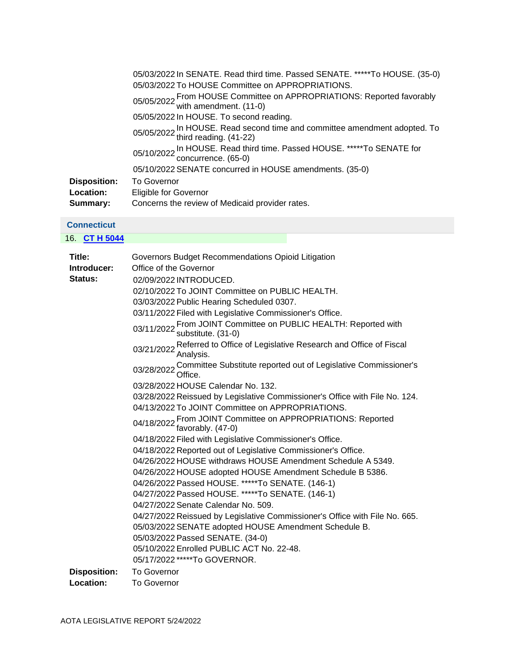|                     | 05/03/2022 In SENATE. Read third time. Passed SENATE. *****To HOUSE. (35-0)                      |
|---------------------|--------------------------------------------------------------------------------------------------|
|                     | 05/03/2022 To HOUSE Committee on APPROPRIATIONS.                                                 |
|                     | 05/05/2022 From HOUSE Committee on APPROPRIATIONS: Reported favorably<br>with amendment. (11-0)  |
|                     | 05/05/2022 In HOUSE. To second reading.                                                          |
|                     | 05/05/2022 In HOUSE. Read second time and committee amendment adopted. To third reading. (41-22) |
|                     | 05/10/2022 In HOUSE. Read third time. Passed HOUSE. *****To SENATE for<br>concurrence. (65-0)    |
|                     | 05/10/2022 SENATE concurred in HOUSE amendments. (35-0)                                          |
| <b>Disposition:</b> | <b>To Governor</b>                                                                               |
| <b>Location:</b>    | Eligible for Governor                                                                            |
| Summary:            | Concerns the review of Medicaid provider rates.                                                  |

## **Connecticut**

16. **[CT H 5044](https://protect-us.mimecast.com/s/ulX-CXDXLNIXDDVXI6PzGa-?domain=custom.statenet.com)**

| Title:              | Governors Budget Recommendations Opioid Litigation                                            |
|---------------------|-----------------------------------------------------------------------------------------------|
| Introducer:         | Office of the Governor                                                                        |
| <b>Status:</b>      | 02/09/2022 INTRODUCED.                                                                        |
|                     | 02/10/2022 To JOINT Committee on PUBLIC HEALTH.                                               |
|                     | 03/03/2022 Public Hearing Scheduled 0307.                                                     |
|                     | 03/11/2022 Filed with Legislative Commissioner's Office.                                      |
|                     | 03/11/2022 From JOINT Committee on PUBLIC HEALTH: Reported with<br>substitute. (31-0)         |
|                     | 03/21/2022 Referred to Office of Legislative Research and Office of Fiscal<br>Analysis.       |
|                     | 03/28/2022 Committee Substitute reported out of Legislative Commissioner's 03/28/2022 Office. |
|                     | 03/28/2022 HOUSE Calendar No. 132.                                                            |
|                     | 03/28/2022 Reissued by Legislative Commissioner's Office with File No. 124.                   |
|                     | 04/13/2022 To JOINT Committee on APPROPRIATIONS.                                              |
|                     | 04/18/2022 From JOINT Committee on APPROPRIATIONS: Reported<br>04/18/2022 favorably. (47-0)   |
|                     | 04/18/2022 Filed with Legislative Commissioner's Office.                                      |
|                     | 04/18/2022 Reported out of Legislative Commissioner's Office.                                 |
|                     | 04/26/2022 HOUSE withdraws HOUSE Amendment Schedule A 5349.                                   |
|                     | 04/26/2022 HOUSE adopted HOUSE Amendment Schedule B 5386.                                     |
|                     | 04/26/2022 Passed HOUSE. *****To SENATE. (146-1)                                              |
|                     | 04/27/2022 Passed HOUSE. *****To SENATE. (146-1)                                              |
|                     | 04/27/2022 Senate Calendar No. 509.                                                           |
|                     | 04/27/2022 Reissued by Legislative Commissioner's Office with File No. 665.                   |
|                     | 05/03/2022 SENATE adopted HOUSE Amendment Schedule B.                                         |
|                     | 05/03/2022 Passed SENATE. (34-0)                                                              |
|                     | 05/10/2022 Enrolled PUBLIC ACT No. 22-48.                                                     |
|                     | 05/17/2022 *****To GOVERNOR.                                                                  |
| <b>Disposition:</b> | <b>To Governor</b>                                                                            |
| Location:           | <b>To Governor</b>                                                                            |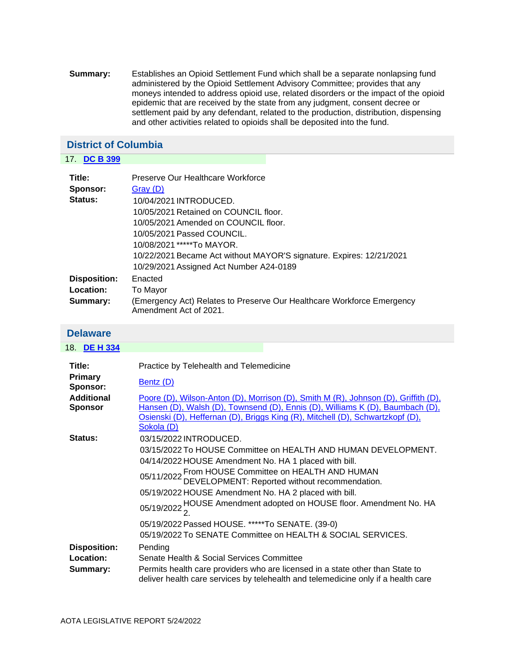**Summary:** Establishes an Opioid Settlement Fund which shall be a separate nonlapsing fund administered by the Opioid Settlement Advisory Committee; provides that any moneys intended to address opioid use, related disorders or the impact of the opioid epidemic that are received by the state from any judgment, consent decree or settlement paid by any defendant, related to the production, distribution, dispensing and other activities related to opioids shall be deposited into the fund.

## <span id="page-11-1"></span>**District of Columbia**

| <b>DC B 399</b><br>17. |                                                                                                  |
|------------------------|--------------------------------------------------------------------------------------------------|
| Title:                 | Preserve Our Healthcare Workforce                                                                |
| Sponsor:               | Gray(D)                                                                                          |
| Status:                | 10/04/2021 INTRODUCED.                                                                           |
|                        | 10/05/2021 Retained on COUNCIL floor.                                                            |
|                        | 10/05/2021 Amended on COUNCIL floor.                                                             |
|                        | 10/05/2021 Passed COUNCIL.                                                                       |
|                        | 10/08/2021 *****To MAYOR.                                                                        |
|                        | 10/22/2021 Became Act without MAYOR'S signature. Expires: 12/21/2021                             |
|                        | 10/29/2021 Assigned Act Number A24-0189                                                          |
| <b>Disposition:</b>    | Enacted                                                                                          |
| Location:              | To Mayor                                                                                         |
| Summary:               | (Emergency Act) Relates to Preserve Our Healthcare Workforce Emergency<br>Amendment Act of 2021. |

#### <span id="page-11-0"></span>**Delaware**

| 18. DE H 334                                 |                                                                                                                                                                                                                                                                                                                                                                                           |
|----------------------------------------------|-------------------------------------------------------------------------------------------------------------------------------------------------------------------------------------------------------------------------------------------------------------------------------------------------------------------------------------------------------------------------------------------|
| Title:<br><b>Primary</b><br>Sponsor:         | Practice by Telehealth and Telemedicine<br><b>Bentz (D)</b>                                                                                                                                                                                                                                                                                                                               |
| <b>Additional</b><br><b>Sponsor</b>          | Poore (D), Wilson-Anton (D), Morrison (D), Smith M (R), Johnson (D), Griffith (D),<br>Hansen (D), Walsh (D), Townsend (D), Ennis (D), Williams K (D), Baumbach (D),<br>Osienski (D), Heffernan (D), Briggs King (R), Mitchell (D), Schwartzkopf (D),<br>Sokola (D)                                                                                                                        |
| <b>Status:</b>                               | 03/15/2022 INTRODUCED.<br>03/15/2022 To HOUSE Committee on HEALTH AND HUMAN DEVELOPMENT.<br>04/14/2022 HOUSE Amendment No. HA 1 placed with bill.<br>05/11/2022 From HOUSE Committee on HEALTH AND HUMAN<br>DEVELOPMENT: Reported without recommendation.<br>05/19/2022 HOUSE Amendment No. HA 2 placed with bill.<br>05/19/2022 HOUSE Amendment adopted on HOUSE floor. Amendment No. HA |
|                                              | 05/19/2022 Passed HOUSE. *****To SENATE. (39-0)<br>05/19/2022 To SENATE Committee on HEALTH & SOCIAL SERVICES.                                                                                                                                                                                                                                                                            |
| <b>Disposition:</b><br>Location:<br>Summary: | Pending<br>Senate Health & Social Services Committee<br>Permits health care providers who are licensed in a state other than State to<br>deliver health care services by telehealth and telemedicine only if a health care                                                                                                                                                                |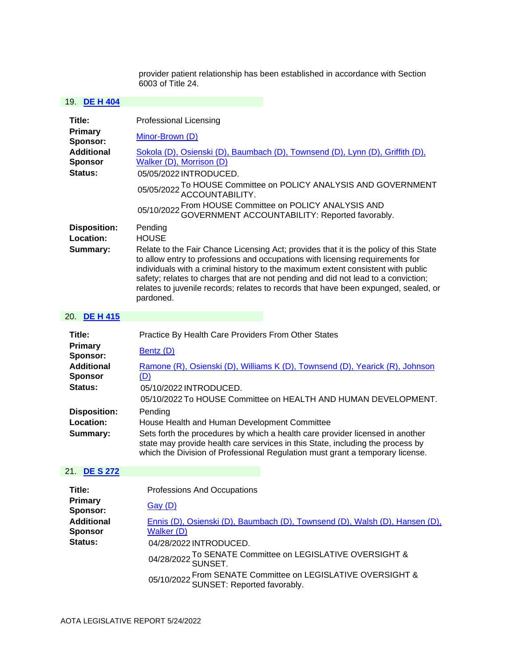provider patient relationship has been established in accordance with Section  $6003$  of Title 24.

### 19. **[DE H 404](https://protect-us.mimecast.com/s/KXdVC73y1QUAVV4AfW71mAP?domain=custom.statenet.com)**

| Title:                                         | <b>Professional Licensing</b>                                                                                                                                                                                                                                                                                                                                                                                                                                                  |
|------------------------------------------------|--------------------------------------------------------------------------------------------------------------------------------------------------------------------------------------------------------------------------------------------------------------------------------------------------------------------------------------------------------------------------------------------------------------------------------------------------------------------------------|
| Primary<br>Sponsor:                            | Minor-Brown (D)                                                                                                                                                                                                                                                                                                                                                                                                                                                                |
| <b>Additional</b><br><b>Sponsor</b><br>Status: | Sokola (D), Osienski (D), Baumbach (D), Townsend (D), Lynn (D), Griffith (D),<br>Walker (D), Morrison (D)<br>05/05/2022 INTRODUCED.                                                                                                                                                                                                                                                                                                                                            |
|                                                | 05/05/2022 To HOUSE Committee on POLICY ANALYSIS AND GOVERNMENT<br>ACCOUNTABILITY.<br>05/10/2022 From HOUSE Committee on POLICY ANALYSIS AND<br>05/10/2022 GOVERNMENT ACCOUNTABILITY: Reported favorably.                                                                                                                                                                                                                                                                      |
| <b>Disposition:</b><br>Location:<br>Summary:   | Pending<br><b>HOUSE</b><br>Relate to the Fair Chance Licensing Act; provides that it is the policy of this State<br>to allow entry to professions and occupations with licensing requirements for<br>individuals with a criminal history to the maximum extent consistent with public<br>safety; relates to charges that are not pending and did not lead to a conviction;<br>relates to juvenile records; relates to records that have been expunged, sealed, or<br>pardoned. |
| ົ່<br><b>BEIL 115</b>                          |                                                                                                                                                                                                                                                                                                                                                                                                                                                                                |

#### 20. **[DE H 415](https://protect-us.mimecast.com/s/IHwPCo2nVwFrPPjrIzKF8ac?domain=custom.statenet.com)**

| Title:                                                | Practice By Health Care Providers From Other States                                                                                                                                                                                              |
|-------------------------------------------------------|--------------------------------------------------------------------------------------------------------------------------------------------------------------------------------------------------------------------------------------------------|
| <b>Primary</b><br>Sponsor:                            | Bentz (D)                                                                                                                                                                                                                                        |
| <b>Additional</b><br><b>Sponsor</b><br><b>Status:</b> | Ramone (R), Osienski (D), Williams K (D), Townsend (D), Yearick (R), Johnson<br>(D)<br>05/10/2022 INTRODUCED.                                                                                                                                    |
|                                                       | 05/10/2022 To HOUSE Committee on HEALTH AND HUMAN DEVELOPMENT.                                                                                                                                                                                   |
| <b>Disposition:</b>                                   | Pending                                                                                                                                                                                                                                          |
| Location:                                             | House Health and Human Development Committee                                                                                                                                                                                                     |
| Summary:                                              | Sets forth the procedures by which a health care provider licensed in another<br>state may provide health care services in this State, including the process by<br>which the Division of Professional Regulation must grant a temporary license. |

## 21. **[DE S 272](https://protect-us.mimecast.com/s/vZDhCzp4vLsMwwQMtX9mmYA?domain=custom.statenet.com)**

| Title:                              | Professions And Occupations                                                                            |
|-------------------------------------|--------------------------------------------------------------------------------------------------------|
| Primary<br>Sponsor:                 | <u>Gay (D)</u>                                                                                         |
| <b>Additional</b><br><b>Sponsor</b> | Ennis (D), Osienski (D), Baumbach (D), Townsend (D), Walsh (D), Hansen (D),<br>Walker (D)              |
| Status:                             | 04/28/2022 INTRODUCED.<br>04/28/2022 To SENATE Committee on LEGISLATIVE OVERSIGHT & 04/28/2022 SUNSET. |
|                                     | 05/10/2022 From SENATE Committee on LEGISLATIVE OVERSIGHT & 05/10/2022 SUNSET: Reported favorably.     |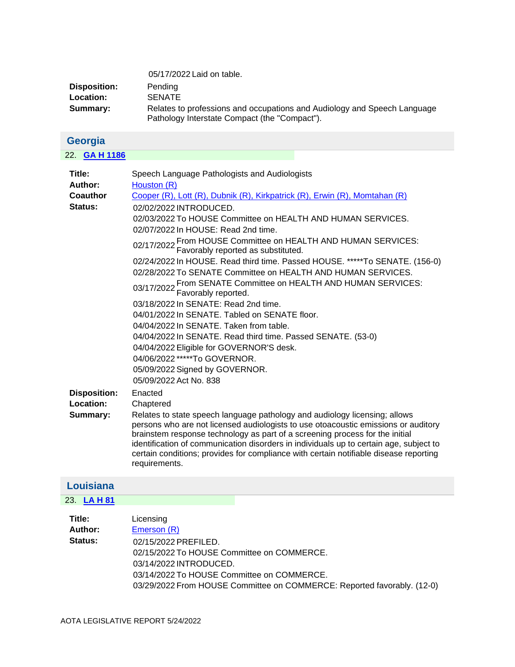|              | 05/17/2022 Laid on table.                                                                                                 |
|--------------|---------------------------------------------------------------------------------------------------------------------------|
| Disposition: | Pending                                                                                                                   |
| Location:    | <b>SENATE</b>                                                                                                             |
| Summary:     | Relates to professions and occupations and Audiology and Speech Language<br>Pathology Interstate Compact (the "Compact"). |

<span id="page-13-1"></span>

| Georgia |  |
|---------|--|
|         |  |

| 22. <b>GA H 1186</b>                                                                     |                                                                                                                                                                                                                                                                                                                                                                                                                                                                                                                                                                                                                                                                                                                                                                                                                                                                                                                                                                                                                                                                                                                                                                                                                                                                                                                                                                                                                                                       |
|------------------------------------------------------------------------------------------|-------------------------------------------------------------------------------------------------------------------------------------------------------------------------------------------------------------------------------------------------------------------------------------------------------------------------------------------------------------------------------------------------------------------------------------------------------------------------------------------------------------------------------------------------------------------------------------------------------------------------------------------------------------------------------------------------------------------------------------------------------------------------------------------------------------------------------------------------------------------------------------------------------------------------------------------------------------------------------------------------------------------------------------------------------------------------------------------------------------------------------------------------------------------------------------------------------------------------------------------------------------------------------------------------------------------------------------------------------------------------------------------------------------------------------------------------------|
| Title:<br>Author:<br>Coauthor<br>Status:<br><b>Disposition:</b><br>Location:<br>Summary: | Speech Language Pathologists and Audiologists<br>Houston (R)<br>Cooper (R), Lott (R), Dubnik (R), Kirkpatrick (R), Erwin (R), Momtahan (R)<br>02/02/2022 INTRODUCED.<br>02/03/2022 To HOUSE Committee on HEALTH AND HUMAN SERVICES.<br>02/07/2022 In HOUSE: Read 2nd time.<br>02/17/2022 From HOUSE Committee on HEALTH AND HUMAN SERVICES:<br>Favorably reported as substituted.<br>02/24/2022 In HOUSE. Read third time. Passed HOUSE. *****To SENATE. (156-0)<br>02/28/2022 To SENATE Committee on HEALTH AND HUMAN SERVICES.<br>03/17/2022 From SENATE Committee on HEALTH AND HUMAN SERVICES:<br>Favorably reported.<br>03/18/2022 In SENATE: Read 2nd time.<br>04/01/2022 In SENATE, Tabled on SENATE floor.<br>04/04/2022 In SENATE. Taken from table.<br>04/04/2022 In SENATE. Read third time. Passed SENATE. (53-0)<br>04/04/2022 Eligible for GOVERNOR'S desk.<br>04/06/2022 *****To GOVERNOR.<br>05/09/2022 Signed by GOVERNOR.<br>05/09/2022 Act No. 838<br>Enacted<br>Chaptered<br>Relates to state speech language pathology and audiology licensing; allows<br>persons who are not licensed audiologists to use otoacoustic emissions or auditory<br>brainstem response technology as part of a screening process for the initial<br>identification of communication disorders in individuals up to certain age, subject to<br>certain conditions; provides for compliance with certain notifiable disease reporting<br>requirements. |
| Louisiana                                                                                |                                                                                                                                                                                                                                                                                                                                                                                                                                                                                                                                                                                                                                                                                                                                                                                                                                                                                                                                                                                                                                                                                                                                                                                                                                                                                                                                                                                                                                                       |

<span id="page-13-0"></span>

| Title:         | Licensing                                                               |
|----------------|-------------------------------------------------------------------------|
| Author:        | Emerson (R)                                                             |
| <b>Status:</b> | 02/15/2022 PREFILED.                                                    |
|                | 02/15/2022 To HOUSE Committee on COMMERCE.                              |
|                | 03/14/2022 INTRODUCED.                                                  |
|                | 03/14/2022 To HOUSE Committee on COMMERCE.                              |
|                | 03/29/2022 From HOUSE Committee on COMMERCE: Reported favorably. (12-0) |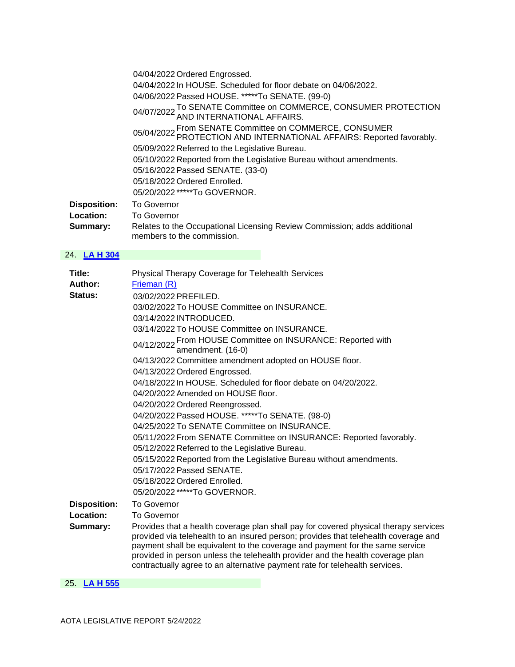|                     | 04/04/2022 Ordered Engrossed.                                                                                       |
|---------------------|---------------------------------------------------------------------------------------------------------------------|
|                     | 04/04/2022 In HOUSE. Scheduled for floor debate on 04/06/2022.                                                      |
|                     | 04/06/2022 Passed HOUSE. *****To SENATE. (99-0)                                                                     |
|                     | 04/07/2022 To SENATE Committee on COMMERCE, CONSUMER PROTECTION<br>04/07/2022 AND INTERNATIONAL AFFAIRS.            |
|                     | 05/04/2022 From SENATE Committee on COMMERCE, CONSUMER<br>PROTECTION AND INTERNATIONAL AFFAIRS: Reported favorably. |
|                     | 05/09/2022 Referred to the Legislative Bureau.                                                                      |
|                     | 05/10/2022 Reported from the Legislative Bureau without amendments.                                                 |
|                     | 05/16/2022 Passed SENATE. (33-0)                                                                                    |
|                     | 05/18/2022 Ordered Enrolled.                                                                                        |
|                     | 05/20/2022 *****To GOVERNOR.                                                                                        |
| <b>Disposition:</b> | <b>To Governor</b>                                                                                                  |
| <b>Location:</b>    | <b>To Governor</b>                                                                                                  |
| Summary:            | Relates to the Occupational Licensing Review Commission; adds additional<br>members to the commission.              |

| Title:              | Physical Therapy Coverage for Telehealth Services                                                                                                                                                                                                                                                                                                                                                                            |
|---------------------|------------------------------------------------------------------------------------------------------------------------------------------------------------------------------------------------------------------------------------------------------------------------------------------------------------------------------------------------------------------------------------------------------------------------------|
| Author:             | Frieman (R)                                                                                                                                                                                                                                                                                                                                                                                                                  |
| Status:             | 03/02/2022 PREFILED.                                                                                                                                                                                                                                                                                                                                                                                                         |
|                     | 03/02/2022 To HOUSE Committee on INSURANCE.                                                                                                                                                                                                                                                                                                                                                                                  |
|                     | 03/14/2022 INTRODUCED.                                                                                                                                                                                                                                                                                                                                                                                                       |
|                     | 03/14/2022 To HOUSE Committee on INSURANCE.                                                                                                                                                                                                                                                                                                                                                                                  |
|                     | 04/12/2022 From HOUSE Committee on INSURANCE: Reported with<br>04/12/2022 amendment. (16-0)                                                                                                                                                                                                                                                                                                                                  |
|                     | 04/13/2022 Committee amendment adopted on HOUSE floor.                                                                                                                                                                                                                                                                                                                                                                       |
|                     | 04/13/2022 Ordered Engrossed.                                                                                                                                                                                                                                                                                                                                                                                                |
|                     | 04/18/2022 In HOUSE. Scheduled for floor debate on 04/20/2022.                                                                                                                                                                                                                                                                                                                                                               |
|                     | 04/20/2022 Amended on HOUSE floor.                                                                                                                                                                                                                                                                                                                                                                                           |
|                     | 04/20/2022 Ordered Reengrossed.                                                                                                                                                                                                                                                                                                                                                                                              |
|                     | 04/20/2022 Passed HOUSE. *****To SENATE. (98-0)                                                                                                                                                                                                                                                                                                                                                                              |
|                     | 04/25/2022 To SENATE Committee on INSURANCE.                                                                                                                                                                                                                                                                                                                                                                                 |
|                     | 05/11/2022 From SENATE Committee on INSURANCE: Reported favorably.                                                                                                                                                                                                                                                                                                                                                           |
|                     | 05/12/2022 Referred to the Legislative Bureau.                                                                                                                                                                                                                                                                                                                                                                               |
|                     | 05/15/2022 Reported from the Legislative Bureau without amendments.                                                                                                                                                                                                                                                                                                                                                          |
|                     | 05/17/2022 Passed SENATE.                                                                                                                                                                                                                                                                                                                                                                                                    |
|                     | 05/18/2022 Ordered Enrolled.                                                                                                                                                                                                                                                                                                                                                                                                 |
|                     | 05/20/2022 *****To GOVERNOR.                                                                                                                                                                                                                                                                                                                                                                                                 |
| <b>Disposition:</b> | <b>To Governor</b>                                                                                                                                                                                                                                                                                                                                                                                                           |
| Location:           | <b>To Governor</b>                                                                                                                                                                                                                                                                                                                                                                                                           |
| Summary:            | Provides that a health coverage plan shall pay for covered physical therapy services<br>provided via telehealth to an insured person; provides that telehealth coverage and<br>payment shall be equivalent to the coverage and payment for the same service<br>provided in person unless the telehealth provider and the health coverage plan<br>contractually agree to an alternative payment rate for telehealth services. |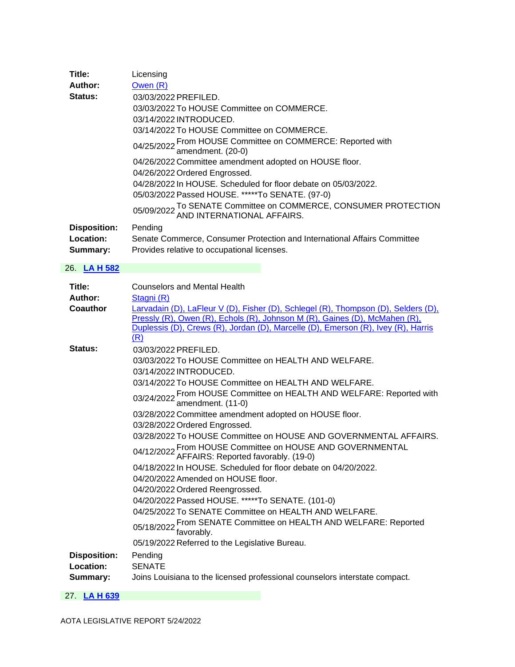| Title:              | Licensing                                                                                     |
|---------------------|-----------------------------------------------------------------------------------------------|
| Author:             | Owen (R)                                                                                      |
| <b>Status:</b>      | 03/03/2022 PREFILED.                                                                          |
|                     | 03/03/2022 To HOUSE Committee on COMMERCE.                                                    |
|                     | 03/14/2022 INTRODUCED.                                                                        |
|                     | 03/14/2022 To HOUSE Committee on COMMERCE.                                                    |
|                     | 04/25/2022 From HOUSE Committee on COMMERCE: Reported with<br>amendment. (20-0)               |
|                     | 04/26/2022 Committee amendment adopted on HOUSE floor.                                        |
|                     | 04/26/2022 Ordered Engrossed.                                                                 |
|                     | 04/28/2022 In HOUSE. Scheduled for floor debate on 05/03/2022.                                |
|                     | 05/03/2022 Passed HOUSE. *****To SENATE. (97-0)                                               |
|                     | 05/09/2022 To SENATE Committee on COMMERCE, CONSUMER PROTECTION<br>AND INTERNATIONAL AFFAIRS. |
| <b>Disposition:</b> | Pending                                                                                       |
| Location:           | Senate Commerce, Consumer Protection and International Affairs Committee                      |
| Summary:            | Provides relative to occupational licenses.                                                   |

| Title:              | <b>Counselors and Mental Health</b>                                                                                                                                                                                                                          |
|---------------------|--------------------------------------------------------------------------------------------------------------------------------------------------------------------------------------------------------------------------------------------------------------|
| Author:             | Stagni (R)                                                                                                                                                                                                                                                   |
| Coauthor            | Larvadain (D), LaFleur V (D), Fisher (D), Schlegel (R), Thompson (D), Selders (D),<br>Pressly (R), Owen (R), Echols (R), Johnson M (R), Gaines (D), McMahen (R),<br>Duplessis (D), Crews (R), Jordan (D), Marcelle (D), Emerson (R), Ivey (R), Harris<br>(R) |
| Status:             | 03/03/2022 PREFILED.                                                                                                                                                                                                                                         |
|                     | 03/03/2022 To HOUSE Committee on HEALTH AND WELFARE.                                                                                                                                                                                                         |
|                     | 03/14/2022 INTRODUCED.                                                                                                                                                                                                                                       |
|                     | 03/14/2022 To HOUSE Committee on HEALTH AND WELFARE.                                                                                                                                                                                                         |
|                     | 03/24/2022 From HOUSE Committee on HEALTH AND WELFARE: Reported with 03/24/2022 amendment. (11-0)                                                                                                                                                            |
|                     | 03/28/2022 Committee amendment adopted on HOUSE floor.                                                                                                                                                                                                       |
|                     | 03/28/2022 Ordered Engrossed.                                                                                                                                                                                                                                |
|                     | 03/28/2022 To HOUSE Committee on HOUSE AND GOVERNMENTAL AFFAIRS.                                                                                                                                                                                             |
|                     | 04/12/2022 From HOUSE Committee on HOUSE AND GOVERNMENTAL<br>AFFAIRS: Reported favorably. (19-0)                                                                                                                                                             |
|                     | 04/18/2022 In HOUSE. Scheduled for floor debate on 04/20/2022.                                                                                                                                                                                               |
|                     | 04/20/2022 Amended on HOUSE floor.                                                                                                                                                                                                                           |
|                     | 04/20/2022 Ordered Reengrossed.                                                                                                                                                                                                                              |
|                     | 04/20/2022 Passed HOUSE. *****To SENATE. (101-0)                                                                                                                                                                                                             |
|                     | 04/25/2022 To SENATE Committee on HEALTH AND WELFARE.                                                                                                                                                                                                        |
|                     | 05/18/2022 From SENATE Committee on HEALTH AND WELFARE: Reported<br>favorably.                                                                                                                                                                               |
|                     | 05/19/2022 Referred to the Legislative Bureau.                                                                                                                                                                                                               |
| <b>Disposition:</b> | Pending                                                                                                                                                                                                                                                      |
| Location:           | <b>SENATE</b>                                                                                                                                                                                                                                                |
| Summary:            | Joins Louisiana to the licensed professional counselors interstate compact.                                                                                                                                                                                  |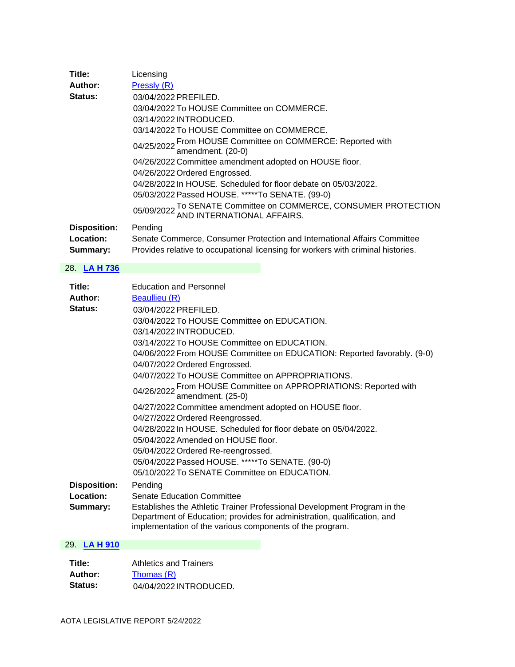| Title:              | Licensing                                                                                     |
|---------------------|-----------------------------------------------------------------------------------------------|
| Author:             | Pressly (R)                                                                                   |
| <b>Status:</b>      | 03/04/2022 PREFILED.                                                                          |
|                     | 03/04/2022 To HOUSE Committee on COMMERCE.                                                    |
|                     | 03/14/2022 INTRODUCED.                                                                        |
|                     | 03/14/2022 To HOUSE Committee on COMMERCE.                                                    |
|                     | 04/25/2022 From HOUSE Committee on COMMERCE: Reported with<br>amendment. (20-0)               |
|                     | 04/26/2022 Committee amendment adopted on HOUSE floor.                                        |
|                     | 04/26/2022 Ordered Engrossed.                                                                 |
|                     | 04/28/2022 In HOUSE. Scheduled for floor debate on 05/03/2022.                                |
|                     | 05/03/2022 Passed HOUSE. *****To SENATE. (99-0)                                               |
|                     | 05/09/2022 To SENATE Committee on COMMERCE, CONSUMER PROTECTION<br>AND INTERNATIONAL AFFAIRS. |
| <b>Disposition:</b> | Pending                                                                                       |
| Location:           | Senate Commerce, Consumer Protection and International Affairs Committee                      |
| Summary:            | Provides relative to occupational licensing for workers with criminal histories.              |

| Title:<br>Author:<br>Status:                 | <b>Education and Personnel</b><br><b>Beaullieu (R)</b><br>03/04/2022 PREFILED.                                                                                                                                                                                   |
|----------------------------------------------|------------------------------------------------------------------------------------------------------------------------------------------------------------------------------------------------------------------------------------------------------------------|
|                                              | 03/04/2022 To HOUSE Committee on EDUCATION.<br>03/14/2022 INTRODUCED.<br>03/14/2022 To HOUSE Committee on EDUCATION.                                                                                                                                             |
|                                              | 04/06/2022 From HOUSE Committee on EDUCATION: Reported favorably. (9-0)<br>04/07/2022 Ordered Engrossed.                                                                                                                                                         |
|                                              | 04/07/2022 To HOUSE Committee on APPROPRIATIONS.<br>04/26/2022 From HOUSE Committee on APPROPRIATIONS: Reported with and amendment. (25-0)                                                                                                                       |
|                                              | 04/27/2022 Committee amendment adopted on HOUSE floor.<br>04/27/2022 Ordered Reengrossed.                                                                                                                                                                        |
|                                              | 04/28/2022 In HOUSE. Scheduled for floor debate on 05/04/2022.<br>05/04/2022 Amended on HOUSE floor.                                                                                                                                                             |
|                                              | 05/04/2022 Ordered Re-reengrossed.<br>05/04/2022 Passed HOUSE. *****To SENATE. (90-0)<br>05/10/2022 To SENATE Committee on EDUCATION.                                                                                                                            |
| <b>Disposition:</b><br>Location:<br>Summary: | Pending<br><b>Senate Education Committee</b><br>Establishes the Athletic Trainer Professional Development Program in the<br>Department of Education; provides for administration, qualification, and<br>implementation of the various components of the program. |

| Title:         | Athletics and Trainers |
|----------------|------------------------|
| Author:        | Thomas(R)              |
| <b>Status:</b> | 04/04/2022 INTRODUCED. |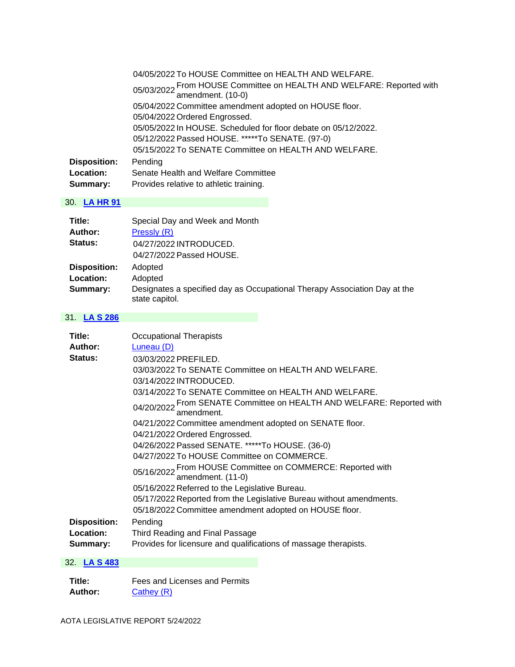|                     | 04/05/2022 To HOUSE Committee on HEALTH AND WELFARE.                                       |
|---------------------|--------------------------------------------------------------------------------------------|
|                     | 05/03/2022 From HOUSE Committee on HEALTH AND WELFARE: Reported with and amendment. (10-0) |
|                     | 05/04/2022 Committee amendment adopted on HOUSE floor.                                     |
|                     | 05/04/2022 Ordered Engrossed.                                                              |
|                     | 05/05/2022 In HOUSE. Scheduled for floor debate on 05/12/2022.                             |
|                     | 05/12/2022 Passed HOUSE. *****To SENATE. (97-0)                                            |
|                     | 05/15/2022 To SENATE Committee on HEALTH AND WELFARE.                                      |
| <b>Disposition:</b> | Pending                                                                                    |
| Location:           | Senate Health and Welfare Committee                                                        |
| Summary:            | Provides relative to athletic training.                                                    |

| Title:              | Special Day and Week and Month                                                              |
|---------------------|---------------------------------------------------------------------------------------------|
| Author:             | Pressly (R)                                                                                 |
| <b>Status:</b>      | 04/27/2022 INTRODUCED.                                                                      |
|                     | 04/27/2022 Passed HOUSE.                                                                    |
| <b>Disposition:</b> | Adopted                                                                                     |
| Location:           | Adopted                                                                                     |
| Summary:            | Designates a specified day as Occupational Therapy Association Day at the<br>state capitol. |

## 31. **[LA S 286](https://protect-us.mimecast.com/s/2tc5CL917xCRwwyRHP3mQXd?domain=custom.statenet.com)**

| Title:              | <b>Occupational Therapists</b>                                                      |
|---------------------|-------------------------------------------------------------------------------------|
| Author:<br>Status:  | Luneau (D)                                                                          |
|                     | 03/03/2022 PREFILED.                                                                |
|                     | 03/03/2022 To SENATE Committee on HEALTH AND WELFARE.                               |
|                     | 03/14/2022 INTRODUCED.                                                              |
|                     | 03/14/2022 To SENATE Committee on HEALTH AND WELFARE.                               |
|                     | 04/20/2022 From SENATE Committee on HEALTH AND WELFARE: Reported with<br>amendment. |
|                     | 04/21/2022 Committee amendment adopted on SENATE floor.                             |
|                     | 04/21/2022 Ordered Engrossed.                                                       |
|                     | 04/26/2022 Passed SENATE. *****To HOUSE. (36-0)                                     |
|                     | 04/27/2022 To HOUSE Committee on COMMERCE.                                          |
|                     | 05/16/2022 From HOUSE Committee on COMMERCE: Reported with<br>amendment. (11-0)     |
|                     | 05/16/2022 Referred to the Legislative Bureau.                                      |
|                     | 05/17/2022 Reported from the Legislative Bureau without amendments.                 |
|                     | 05/18/2022 Committee amendment adopted on HOUSE floor.                              |
| <b>Disposition:</b> | Pending                                                                             |
| <b>Location:</b>    | Third Reading and Final Passage                                                     |
| Summary:            | Provides for licensure and qualifications of massage therapists.                    |

## 32. **[LA S 483](https://protect-us.mimecast.com/s/EGqECNkKLzC0PPD0iRmtFwj?domain=custom.statenet.com)**

| Title:  | Fees and Licenses and Permits |
|---------|-------------------------------|
| Author: | Cathey (R)                    |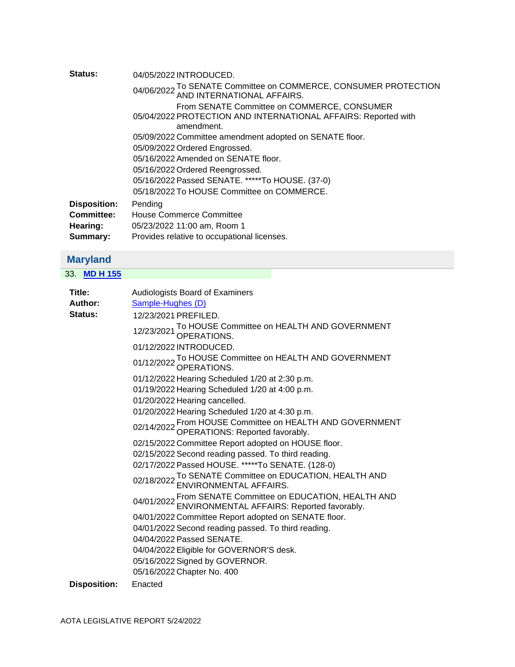| Status:             | 04/05/2022 INTRODUCED.                                                                                                      |
|---------------------|-----------------------------------------------------------------------------------------------------------------------------|
|                     | 04/06/2022 To SENATE Committee on COMMERCE, CONSUMER PROTECTION<br>04/06/2022 AND INTERNATIONAL AFFAIRS.                    |
|                     | From SENATE Committee on COMMERCE, CONSUMER<br>05/04/2022 PROTECTION AND INTERNATIONAL AFFAIRS: Reported with<br>amendment. |
|                     | 05/09/2022 Committee amendment adopted on SENATE floor.                                                                     |
|                     | 05/09/2022 Ordered Engrossed.                                                                                               |
|                     | 05/16/2022 Amended on SENATE floor.                                                                                         |
|                     | 05/16/2022 Ordered Reengrossed.                                                                                             |
|                     | 05/16/2022 Passed SENATE. *****To HOUSE. (37-0)                                                                             |
|                     | 05/18/2022 To HOUSE Committee on COMMERCE.                                                                                  |
| <b>Disposition:</b> | Pending                                                                                                                     |
| <b>Committee:</b>   | <b>House Commerce Committee</b>                                                                                             |
| Hearing:            | 05/23/2022 11:00 am, Room 1                                                                                                 |
| Summary:            | Provides relative to occupational licenses.                                                                                 |

# <span id="page-18-0"></span>**Maryland**

33. **[MD H 155](https://protect-us.mimecast.com/s/D0S4CPNK7BsKNN8KHj1Gars?domain=custom.statenet.com)**

| Title:              | <b>Audiologists Board of Examiners</b>                                                                          |
|---------------------|-----------------------------------------------------------------------------------------------------------------|
| Author:             | Sample-Hughes (D)                                                                                               |
| Status:             | 12/23/2021 PREFILED.                                                                                            |
|                     | 12/23/2021 To HOUSE Committee on HEALTH AND GOVERNMENT<br>0PERATIONS.                                           |
|                     | 01/12/2022 INTRODUCED.                                                                                          |
|                     | 01/12/2022 To HOUSE Committee on HEALTH AND GOVERNMENT<br>01/12/2022 OPERATIONS.                                |
|                     | 01/12/2022 Hearing Scheduled 1/20 at 2:30 p.m.                                                                  |
|                     | 01/19/2022 Hearing Scheduled 1/20 at 4:00 p.m.                                                                  |
|                     | 01/20/2022 Hearing cancelled.                                                                                   |
|                     | 01/20/2022 Hearing Scheduled 1/20 at 4:30 p.m.                                                                  |
|                     | 02/14/2022 From HOUSE Committee on HEALTH AND GOVERNMENT<br>OPERATIONS: Reported favorably.                     |
|                     | 02/15/2022 Committee Report adopted on HOUSE floor.                                                             |
|                     | 02/15/2022 Second reading passed. To third reading.                                                             |
|                     | 02/17/2022 Passed HOUSE. *****To SENATE. (128-0)                                                                |
|                     | 02/18/2022 To SENATE Committee on EDUCATION, HEALTH AND 02/18/2022 ENVIRONMENTAL AFFAIRS.                       |
|                     | 04/01/2022 From SENATE Committee on EDUCATION, HEALTH AND 04/01/2022 ENVIRONMENTAL AFFAIRS: Reported favorably. |
|                     | 04/01/2022 Committee Report adopted on SENATE floor.                                                            |
|                     | 04/01/2022 Second reading passed. To third reading.                                                             |
|                     | 04/04/2022 Passed SENATE.                                                                                       |
|                     | 04/04/2022 Eligible for GOVERNOR'S desk.                                                                        |
|                     | 05/16/2022 Signed by GOVERNOR.                                                                                  |
|                     | 05/16/2022 Chapter No. 400                                                                                      |
| <b>Disposition:</b> | Enacted                                                                                                         |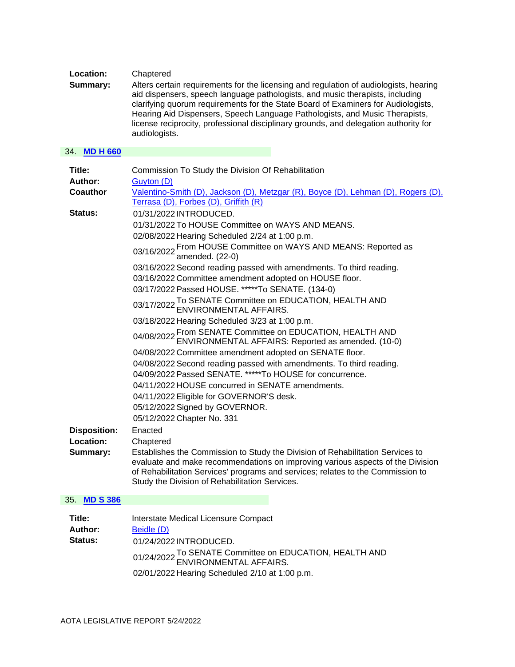#### **Location:** Chaptered

**Summary:** Alters certain requirements for the licensing and regulation of audiologists, hearing aid dispensers, speech language pathologists, and music therapists, including clarifying quorum requirements for the State Board of Examiners for Audiologists, Hearing Aid Dispensers, Speech Language Pathologists, and Music Therapists, license reciprocity, professional disciplinary grounds, and delegation authority for audiologists.

#### 34. **[MD H 660](https://protect-us.mimecast.com/s/1PFLCR6KOEhv00jvIOq8og6?domain=custom.statenet.com)**

| Title:<br>Author:                   | Commission To Study the Division Of Rehabilitation<br>Guyton (D)                                                                                                                                                                                                                                      |
|-------------------------------------|-------------------------------------------------------------------------------------------------------------------------------------------------------------------------------------------------------------------------------------------------------------------------------------------------------|
| Coauthor                            | Valentino-Smith (D), Jackson (D), Metzgar (R), Boyce (D), Lehman (D), Rogers (D),                                                                                                                                                                                                                     |
|                                     | Terrasa (D), Forbes (D), Griffith (R)                                                                                                                                                                                                                                                                 |
| <b>Status:</b>                      | 01/31/2022 INTRODUCED.                                                                                                                                                                                                                                                                                |
|                                     | 01/31/2022 To HOUSE Committee on WAYS AND MEANS.                                                                                                                                                                                                                                                      |
|                                     | 02/08/2022 Hearing Scheduled 2/24 at 1:00 p.m.                                                                                                                                                                                                                                                        |
|                                     | 03/16/2022 From HOUSE Committee on WAYS AND MEANS: Reported as<br>amended. (22-0)                                                                                                                                                                                                                     |
|                                     | 03/16/2022 Second reading passed with amendments. To third reading.                                                                                                                                                                                                                                   |
|                                     | 03/16/2022 Committee amendment adopted on HOUSE floor.                                                                                                                                                                                                                                                |
|                                     | 03/17/2022 Passed HOUSE. *****To SENATE. (134-0)                                                                                                                                                                                                                                                      |
|                                     | 03/17/2022 To SENATE Committee on EDUCATION, HEALTH AND<br>ENVIRONMENTAL AFFAIRS.                                                                                                                                                                                                                     |
|                                     | 03/18/2022 Hearing Scheduled 3/23 at 1:00 p.m.                                                                                                                                                                                                                                                        |
|                                     | 04/08/2022 From SENATE Committee on EDUCATION, HEALTH AND<br>04/08/2022 ENVIRONMENTAL AFFAIRS: Reported as amended. (10-0)                                                                                                                                                                            |
|                                     | 04/08/2022 Committee amendment adopted on SENATE floor.                                                                                                                                                                                                                                               |
|                                     | 04/08/2022 Second reading passed with amendments. To third reading.                                                                                                                                                                                                                                   |
|                                     | 04/09/2022 Passed SENATE. *****To HOUSE for concurrence.                                                                                                                                                                                                                                              |
|                                     | 04/11/2022 HOUSE concurred in SENATE amendments.                                                                                                                                                                                                                                                      |
|                                     | 04/11/2022 Eligible for GOVERNOR'S desk.                                                                                                                                                                                                                                                              |
|                                     | 05/12/2022 Signed by GOVERNOR.                                                                                                                                                                                                                                                                        |
|                                     | 05/12/2022 Chapter No. 331                                                                                                                                                                                                                                                                            |
| <b>Disposition:</b>                 | Enacted                                                                                                                                                                                                                                                                                               |
| Location:                           | Chaptered                                                                                                                                                                                                                                                                                             |
| Summary:                            | Establishes the Commission to Study the Division of Rehabilitation Services to<br>evaluate and make recommendations on improving various aspects of the Division<br>of Rehabilitation Services' programs and services; relates to the Commission to<br>Study the Division of Rehabilitation Services. |
| 35. MD S 386                        |                                                                                                                                                                                                                                                                                                       |
| Title:<br>Author:<br><b>Status:</b> | Interstate Medical Licensure Compact<br>Beidle (D)<br>01/24/2022 INTRODUCED.<br>$T_{\rm s}$ CENATE $Q_{\rm max}$ $\mu_{\rm tot}$ on ENHO ATION LIEALTI                                                                                                                                                |

01/24/2022 To SENATE Committee on EDUCATION, HEALTH AND ENVIRONMENTAL AFFAIRS.

02/01/2022 Hearing Scheduled 2/10 at 1:00 p.m.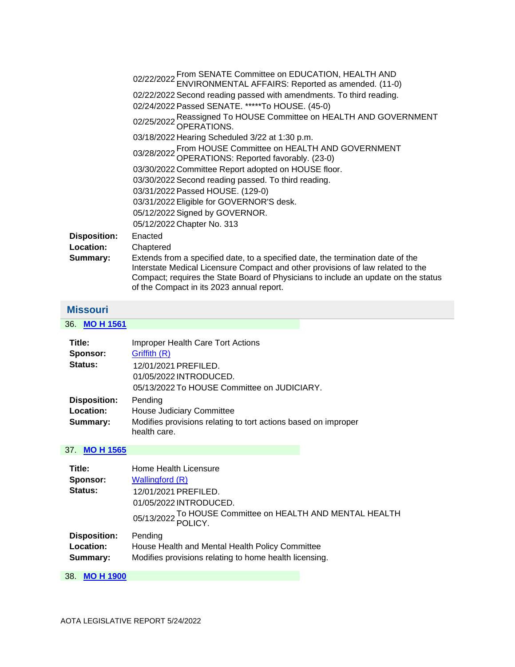|                     | 02/22/2022 From SENATE Committee on EDUCATION, HEALTH AND<br>ENVIRONMENTAL AFFAIRS: Reported as amended. (11-0)                                                                                                                                                                                       |
|---------------------|-------------------------------------------------------------------------------------------------------------------------------------------------------------------------------------------------------------------------------------------------------------------------------------------------------|
|                     | 02/22/2022 Second reading passed with amendments. To third reading.                                                                                                                                                                                                                                   |
|                     | 02/24/2022 Passed SENATE. *****To HOUSE. (45-0)                                                                                                                                                                                                                                                       |
|                     | 02/25/2022 Reassigned To HOUSE Committee on HEALTH AND GOVERNMENT<br>OPERATIONS.                                                                                                                                                                                                                      |
|                     | 03/18/2022 Hearing Scheduled 3/22 at 1:30 p.m.                                                                                                                                                                                                                                                        |
|                     | 03/28/2022 From HOUSE Committee on HEALTH AND GOVERNMENT<br>03/28/2022 OPERATIONS: Reported favorably. (23-0)                                                                                                                                                                                         |
|                     | 03/30/2022 Committee Report adopted on HOUSE floor.                                                                                                                                                                                                                                                   |
|                     | 03/30/2022 Second reading passed. To third reading.                                                                                                                                                                                                                                                   |
|                     | 03/31/2022 Passed HOUSE. (129-0)                                                                                                                                                                                                                                                                      |
|                     | 03/31/2022 Eligible for GOVERNOR'S desk.                                                                                                                                                                                                                                                              |
|                     | 05/12/2022 Signed by GOVERNOR.                                                                                                                                                                                                                                                                        |
|                     | 05/12/2022 Chapter No. 313                                                                                                                                                                                                                                                                            |
| <b>Disposition:</b> | Enacted                                                                                                                                                                                                                                                                                               |
| Location:           | Chaptered                                                                                                                                                                                                                                                                                             |
| Summary:            | Extends from a specified date, to a specified date, the termination date of the<br>Interstate Medical Licensure Compact and other provisions of law related to the<br>Compact; requires the State Board of Physicians to include an update on the status<br>of the Compact in its 2023 annual report. |

# <span id="page-20-0"></span>**Missouri**

36. **[MO H 1561](https://protect-us.mimecast.com/s/A3ZVC82z1RF6PPD6uMZ9pjL?domain=custom.statenet.com)**

| Title:              | Improper Health Care Tort Actions                              |
|---------------------|----------------------------------------------------------------|
| Sponsor:            | Griffith (R)                                                   |
| Status:             | 12/01/2021 PREFILED.                                           |
|                     | 01/05/2022 INTRODUCED.                                         |
|                     | 05/13/2022 To HOUSE Committee on JUDICIARY.                    |
| <b>Disposition:</b> | Pending                                                        |
| Location:           | <b>House Judiciary Committee</b>                               |
| Summary:            | Modifies provisions relating to tort actions based on improper |
|                     | health care.                                                   |

| Title:                  | Home Health Licensure                                                |
|-------------------------|----------------------------------------------------------------------|
| Sponsor:                | Wallingford (R)                                                      |
| Status:                 | 12/01/2021 PREFILED.                                                 |
|                         | 01/05/2022 INTRODUCED.                                               |
|                         | 05/13/2022 To HOUSE Committee on HEALTH AND MENTAL HEALTH<br>POLICY. |
| <b>Disposition:</b>     | Pending                                                              |
| <b>Location:</b>        | House Health and Mental Health Policy Committee                      |
| Summary:                | Modifies provisions relating to home health licensing.               |
| 38.<br><b>MO H 1900</b> |                                                                      |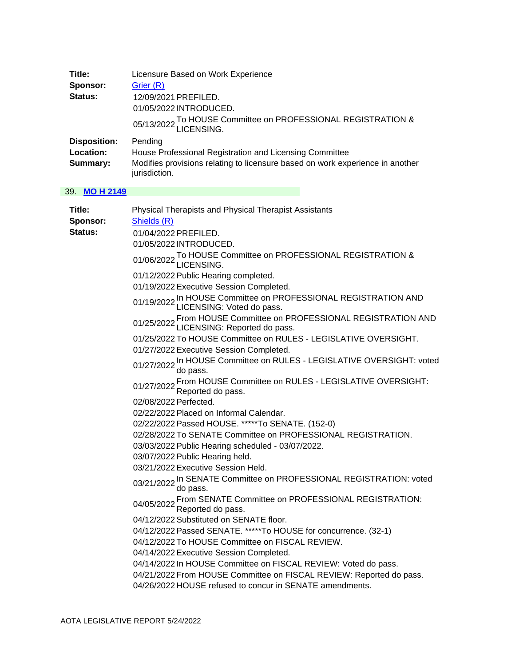| Title:              | Licensure Based on Work Experience                                                             |
|---------------------|------------------------------------------------------------------------------------------------|
| Sponsor:            | Grier (R)                                                                                      |
| Status:             | 12/09/2021 PREFILED.                                                                           |
|                     | 01/05/2022 INTRODUCED.                                                                         |
|                     | 05/13/2022 To HOUSE Committee on PROFESSIONAL REGISTRATION &                                   |
| <b>Disposition:</b> | Pending                                                                                        |
| Location:           | House Professional Registration and Licensing Committee                                        |
| Summary:            | Modifies provisions relating to licensure based on work experience in another<br>jurisdiction. |

| Title:   | Physical Therapists and Physical Therapist Assistants                                                       |
|----------|-------------------------------------------------------------------------------------------------------------|
| Sponsor: | Shields (R)                                                                                                 |
| Status:  | 01/04/2022 PREFILED.                                                                                        |
|          | 01/05/2022 INTRODUCED.                                                                                      |
|          | 01/06/2022 To HOUSE Committee on PROFESSIONAL REGISTRATION &<br>LICENSING.                                  |
|          | 01/12/2022 Public Hearing completed.                                                                        |
|          | 01/19/2022 Executive Session Completed.                                                                     |
|          | 01/19/2022 In HOUSE Committee on PROFESSIONAL REGISTRATION AND<br>01/19/2022 LICENSING: Voted do pass.      |
|          | 01/25/2022 From HOUSE Committee on PROFESSIONAL REGISTRATION AND<br>01/25/2022 LICENSING: Reported do pass. |
|          | 01/25/2022 To HOUSE Committee on RULES - LEGISLATIVE OVERSIGHT.                                             |
|          | 01/27/2022 Executive Session Completed.                                                                     |
|          | 01/27/2022 In HOUSE Committee on RULES - LEGISLATIVE OVERSIGHT: voted<br>do pass.                           |
|          | 01/27/2022 From HOUSE Committee on RULES - LEGISLATIVE OVERSIGHT:<br>Reported do pass.                      |
|          | 02/08/2022 Perfected.                                                                                       |
|          | 02/22/2022 Placed on Informal Calendar.                                                                     |
|          | 02/22/2022 Passed HOUSE. *****To SENATE. (152-0)                                                            |
|          | 02/28/2022 To SENATE Committee on PROFESSIONAL REGISTRATION.                                                |
|          | 03/03/2022 Public Hearing scheduled - 03/07/2022.                                                           |
|          | 03/07/2022 Public Hearing held.                                                                             |
|          | 03/21/2022 Executive Session Held.                                                                          |
|          | 03/21/2022 In SENATE Committee on PROFESSIONAL REGISTRATION: voted<br>do pass.                              |
|          | From SENATE Committee on PROFESSIONAL REGISTRATION:<br>04/05/2022 Reported do pass.                         |
|          | 04/12/2022 Substituted on SENATE floor.                                                                     |
|          | 04/12/2022 Passed SENATE. *****To HOUSE for concurrence. (32-1)                                             |
|          | 04/12/2022 To HOUSE Committee on FISCAL REVIEW.                                                             |
|          | 04/14/2022 Executive Session Completed.                                                                     |
|          | 04/14/2022 In HOUSE Committee on FISCAL REVIEW: Voted do pass.                                              |
|          | 04/21/2022 From HOUSE Committee on FISCAL REVIEW: Reported do pass.                                         |
|          | 04/26/2022 HOUSE refused to concur in SENATE amendments.                                                    |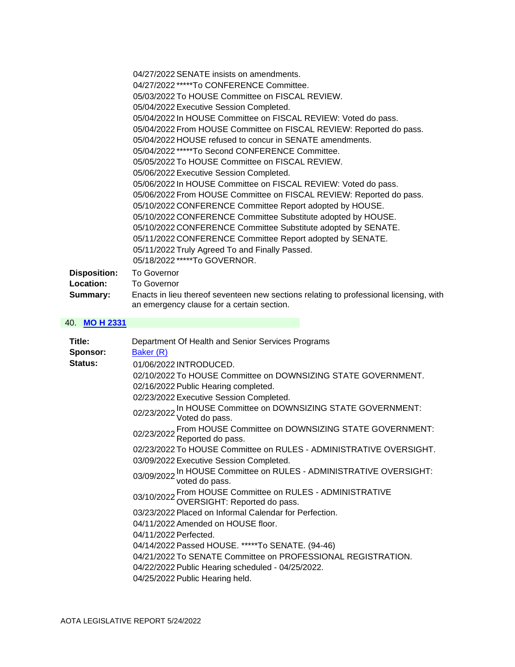|                     | 04/27/2022 SENATE insists on amendments.                                               |
|---------------------|----------------------------------------------------------------------------------------|
|                     | 04/27/2022 *****To CONFERENCE Committee.                                               |
|                     | 05/03/2022 To HOUSE Committee on FISCAL REVIEW.                                        |
|                     | 05/04/2022 Executive Session Completed.                                                |
|                     | 05/04/2022 In HOUSE Committee on FISCAL REVIEW: Voted do pass.                         |
|                     | 05/04/2022 From HOUSE Committee on FISCAL REVIEW: Reported do pass.                    |
|                     | 05/04/2022 HOUSE refused to concur in SENATE amendments.                               |
|                     | 05/04/2022 *****To Second CONFERENCE Committee.                                        |
|                     | 05/05/2022 To HOUSE Committee on FISCAL REVIEW.                                        |
|                     | 05/06/2022 Executive Session Completed.                                                |
|                     | 05/06/2022 In HOUSE Committee on FISCAL REVIEW: Voted do pass.                         |
|                     | 05/06/2022 From HOUSE Committee on FISCAL REVIEW: Reported do pass.                    |
|                     | 05/10/2022 CONFERENCE Committee Report adopted by HOUSE.                               |
|                     | 05/10/2022 CONFERENCE Committee Substitute adopted by HOUSE.                           |
|                     | 05/10/2022 CONFERENCE Committee Substitute adopted by SENATE.                          |
|                     | 05/11/2022 CONFERENCE Committee Report adopted by SENATE.                              |
|                     | 05/11/2022 Truly Agreed To and Finally Passed.                                         |
|                     | 05/18/2022 *****To GOVERNOR.                                                           |
| <b>Disposition:</b> | <b>To Governor</b>                                                                     |
| Location:           | <b>To Governor</b>                                                                     |
| Summary:            | Enacts in lieu thereof seventeen new sections relating to professional licensing, with |

an emergency clause for a certain section.

| Title:<br>Sponsor: | Department Of Health and Senior Services Programs<br>Baker (R)                             |
|--------------------|--------------------------------------------------------------------------------------------|
| Status:            | 01/06/2022 INTRODUCED.                                                                     |
|                    | 02/10/2022 To HOUSE Committee on DOWNSIZING STATE GOVERNMENT.                              |
|                    | 02/16/2022 Public Hearing completed.                                                       |
|                    | 02/23/2022 Executive Session Completed.                                                    |
|                    | 02/23/2022 In HOUSE Committee on DOWNSIZING STATE GOVERNMENT:<br>02/23/2022 Voted do pass. |
|                    | 02/23/2022 From HOUSE Committee on DOWNSIZING STATE GOVERNMENT:<br>Reported do pass.       |
|                    | 02/23/2022 To HOUSE Committee on RULES - ADMINISTRATIVE OVERSIGHT.                         |
|                    | 03/09/2022 Executive Session Completed.                                                    |
|                    | 03/09/2022 In HOUSE Committee on RULES - ADMINISTRATIVE OVERSIGHT:<br>voted do pass.       |
|                    | 03/10/2022 From HOUSE Committee on RULES - ADMINISTRATIVE<br>OVERSIGHT: Reported do pass.  |
|                    | 03/23/2022 Placed on Informal Calendar for Perfection.                                     |
|                    | 04/11/2022 Amended on HOUSE floor.                                                         |
|                    | 04/11/2022 Perfected.                                                                      |
|                    | 04/14/2022 Passed HOUSE. *****To SENATE. (94-46)                                           |
|                    | 04/21/2022 To SENATE Committee on PROFESSIONAL REGISTRATION.                               |
|                    | 04/22/2022 Public Hearing scheduled - 04/25/2022.                                          |
|                    | 04/25/2022 Public Hearing held.                                                            |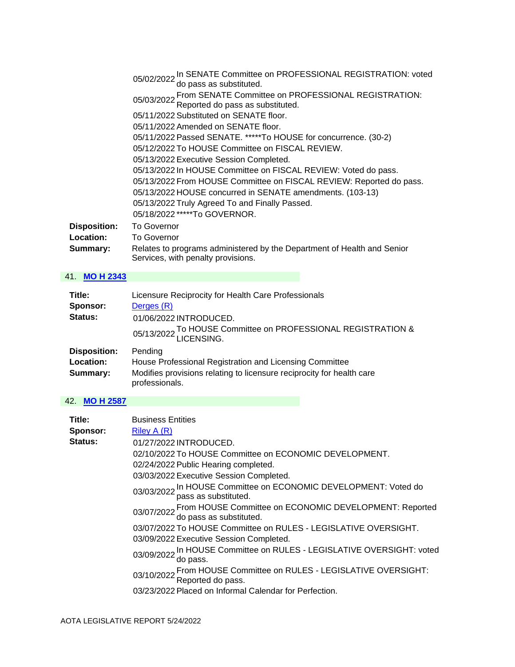|                     | 05/02/2022 In SENATE Committee on PROFESSIONAL REGISTRATION: voted<br>do pass as substituted.                 |
|---------------------|---------------------------------------------------------------------------------------------------------------|
|                     | 05/03/2022 From SENATE Committee on PROFESSIONAL REGISTRATION:<br>Reported do pass as substituted.            |
|                     | 05/11/2022 Substituted on SENATE floor.                                                                       |
|                     | 05/11/2022 Amended on SENATE floor.                                                                           |
|                     | 05/11/2022 Passed SENATE. *****To HOUSE for concurrence. (30-2)                                               |
|                     | 05/12/2022 To HOUSE Committee on FISCAL REVIEW.                                                               |
|                     | 05/13/2022 Executive Session Completed.                                                                       |
|                     | 05/13/2022 In HOUSE Committee on FISCAL REVIEW: Voted do pass.                                                |
|                     | 05/13/2022 From HOUSE Committee on FISCAL REVIEW: Reported do pass.                                           |
|                     | 05/13/2022 HOUSE concurred in SENATE amendments. (103-13)                                                     |
|                     | 05/13/2022 Truly Agreed To and Finally Passed.                                                                |
|                     | 05/18/2022 *****To GOVERNOR.                                                                                  |
| <b>Disposition:</b> | <b>To Governor</b>                                                                                            |
| Location:           | <b>To Governor</b>                                                                                            |
| Summary:            | Relates to programs administered by the Department of Health and Senior<br>Services, with penalty provisions. |

## 41. **[MO H 2343](https://protect-us.mimecast.com/s/uCQSC4xvQNFB99MBfWYdXX1?domain=custom.statenet.com)**

| Title:              | Licensure Reciprocity for Health Care Professionals                                     |
|---------------------|-----------------------------------------------------------------------------------------|
| Sponsor:            | Derges (R)                                                                              |
| Status:             | 01/06/2022 INTRODUCED.                                                                  |
|                     | 05/13/2022 To HOUSE Committee on PROFESSIONAL REGISTRATION &                            |
| <b>Disposition:</b> | Pending                                                                                 |
| Location:           | House Professional Registration and Licensing Committee                                 |
| Summary:            | Modifies provisions relating to licensure reciprocity for health care<br>professionals. |

| Title:   | <b>Business Entities</b>                                                                     |
|----------|----------------------------------------------------------------------------------------------|
| Sponsor: | Riley A (R)                                                                                  |
| Status:  | 01/27/2022 INTRODUCED.                                                                       |
|          | 02/10/2022 To HOUSE Committee on ECONOMIC DEVELOPMENT.                                       |
|          | 02/24/2022 Public Hearing completed.                                                         |
|          | 03/03/2022 Executive Session Completed.                                                      |
|          | 03/03/2022 In HOUSE Committee on ECONOMIC DEVELOPMENT: Voted do<br>pass as substituted.      |
|          | 03/07/2022 From HOUSE Committee on ECONOMIC DEVELOPMENT: Reported<br>do pass as substituted. |
|          | 03/07/2022 To HOUSE Committee on RULES - LEGISLATIVE OVERSIGHT.                              |
|          | 03/09/2022 Executive Session Completed.                                                      |
|          | 03/09/2022 In HOUSE Committee on RULES - LEGISLATIVE OVERSIGHT: voted<br>do pass.            |
|          | 03/10/2022 From HOUSE Committee on RULES - LEGISLATIVE OVERSIGHT:<br>Reported do pass.       |
|          | 03/23/2022 Placed on Informal Calendar for Perfection.                                       |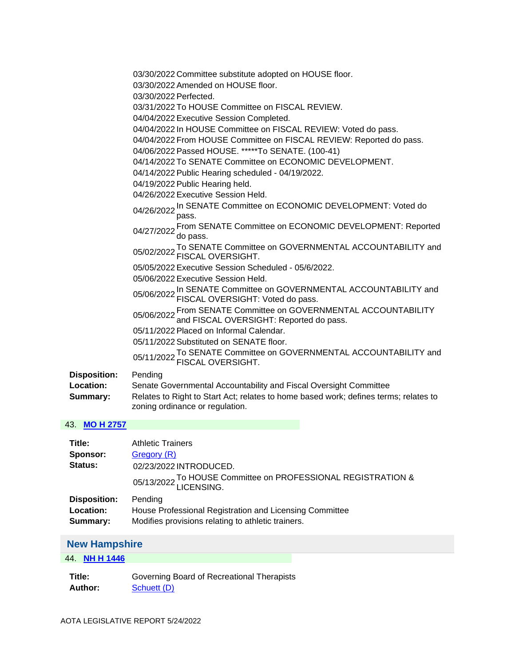|                                              | 03/30/2022 Committee substitute adopted on HOUSE floor.<br>03/30/2022 Amended on HOUSE floor.<br>03/30/2022 Perfected.<br>03/31/2022 To HOUSE Committee on FISCAL REVIEW.<br>04/04/2022 Executive Session Completed.<br>04/04/2022 In HOUSE Committee on FISCAL REVIEW: Voted do pass.<br>04/04/2022 From HOUSE Committee on FISCAL REVIEW: Reported do pass.<br>04/06/2022 Passed HOUSE. *****To SENATE. (100-41)<br>04/14/2022 To SENATE Committee on ECONOMIC DEVELOPMENT.<br>04/14/2022 Public Hearing scheduled - 04/19/2022.<br>04/19/2022 Public Hearing held.<br>04/26/2022 Executive Session Held.<br>04/26/2022 In SENATE Committee on ECONOMIC DEVELOPMENT: Voted do<br>pass.<br>04/27/2022 From SENATE Committee on ECONOMIC DEVELOPMENT: Reported<br>do pass.<br>05/02/2022 To SENATE Committee on GOVERNMENTAL ACCOUNTABILITY and<br>FISCAL OVERSIGHT.<br>05/05/2022 Executive Session Scheduled - 05/6/2022.<br>05/06/2022 Executive Session Held.<br>05/06/2022 In SENATE Committee on GOVERNMENTAL ACCOUNTABILITY and<br>05/06/2022 FISCAL OVERSIGHT: Voted do pass.<br>05/06/2022 From SENATE Committee on GOVERNMENTAL ACCOUNTABILITY<br>and FISCAL OVERSIGHT: Reported do pass.<br>05/11/2022 Placed on Informal Calendar. |
|----------------------------------------------|------------------------------------------------------------------------------------------------------------------------------------------------------------------------------------------------------------------------------------------------------------------------------------------------------------------------------------------------------------------------------------------------------------------------------------------------------------------------------------------------------------------------------------------------------------------------------------------------------------------------------------------------------------------------------------------------------------------------------------------------------------------------------------------------------------------------------------------------------------------------------------------------------------------------------------------------------------------------------------------------------------------------------------------------------------------------------------------------------------------------------------------------------------------------------------------------------------------------------------------------|
|                                              | 05/11/2022 Substituted on SENATE floor.<br>05/11/2022 To SENATE Committee on GOVERNMENTAL ACCOUNTABILITY and<br>FISCAL OVERSIGHT.                                                                                                                                                                                                                                                                                                                                                                                                                                                                                                                                                                                                                                                                                                                                                                                                                                                                                                                                                                                                                                                                                                              |
| <b>Disposition:</b><br>Location:<br>Summary: | Pending<br>Senate Governmental Accountability and Fiscal Oversight Committee<br>Relates to Right to Start Act; relates to home based work; defines terms; relates to<br>zoning ordinance or regulation.                                                                                                                                                                                                                                                                                                                                                                                                                                                                                                                                                                                                                                                                                                                                                                                                                                                                                                                                                                                                                                        |
| $2$ MO H 2757                                |                                                                                                                                                                                                                                                                                                                                                                                                                                                                                                                                                                                                                                                                                                                                                                                                                                                                                                                                                                                                                                                                                                                                                                                                                                                |

# 43. **[MO H 2757](https://protect-us.mimecast.com/s/Tog4C82z1RF6PPD6uMrtmin?domain=custom.statenet.com)**

| Title:<br>Sponsor:<br>Status: | <b>Athletic Trainers</b><br>Gregory (R)<br>02/23/2022 INTRODUCED.<br>05/13/2022 To HOUSE Committee on PROFESSIONAL REGISTRATION & |
|-------------------------------|-----------------------------------------------------------------------------------------------------------------------------------|
| <b>Disposition:</b>           | Pending                                                                                                                           |
| Location:                     | House Professional Registration and Licensing Committee                                                                           |
| Summary:                      | Modifies provisions relating to athletic trainers.                                                                                |

# <span id="page-24-0"></span>**New Hampshire**

## 44. **[NH H 1446](https://protect-us.mimecast.com/s/kiVUC0RoYJcGggqGfWvLxHx?domain=custom.statenet.com)**

**Title:** Governing Board of Recreational Therapists Author: **Schuett** (D)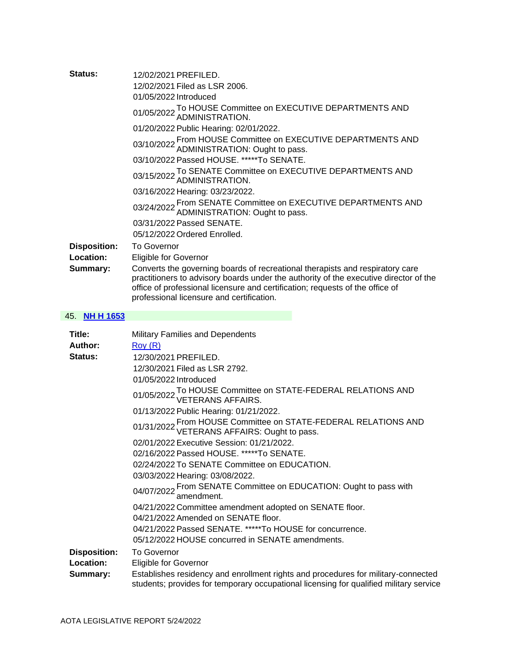| Status:             | 12/02/2021 PREFILED.                                                                                                                                                                                                                                                                                 |
|---------------------|------------------------------------------------------------------------------------------------------------------------------------------------------------------------------------------------------------------------------------------------------------------------------------------------------|
|                     | 12/02/2021 Filed as LSR 2006.                                                                                                                                                                                                                                                                        |
|                     | 01/05/2022 Introduced                                                                                                                                                                                                                                                                                |
|                     | 01/05/2022 To HOUSE Committee on EXECUTIVE DEPARTMENTS AND 01/05/2022 ADMINISTRATION.                                                                                                                                                                                                                |
|                     | 01/20/2022 Public Hearing: 02/01/2022.                                                                                                                                                                                                                                                               |
|                     | 03/10/2022 From HOUSE Committee on EXECUTIVE DEPARTMENTS AND 03/10/2022 ADMINISTRATION: Ought to pass.                                                                                                                                                                                               |
|                     | 03/10/2022 Passed HOUSE. *****To SENATE.                                                                                                                                                                                                                                                             |
|                     | 03/15/2022 To SENATE Committee on EXECUTIVE DEPARTMENTS AND 03/15/2022 ADMINISTRATION.                                                                                                                                                                                                               |
|                     | 03/16/2022 Hearing: 03/23/2022.                                                                                                                                                                                                                                                                      |
|                     | 03/24/2022 From SENATE Committee on EXECUTIVE DEPARTMENTS AND ADMINISTRATION: Ought to pass.                                                                                                                                                                                                         |
|                     | 03/31/2022 Passed SENATE.                                                                                                                                                                                                                                                                            |
|                     | 05/12/2022 Ordered Enrolled.                                                                                                                                                                                                                                                                         |
| <b>Disposition:</b> | <b>To Governor</b>                                                                                                                                                                                                                                                                                   |
| Location:           | <b>Eligible for Governor</b>                                                                                                                                                                                                                                                                         |
| Summary:            | Converts the governing boards of recreational therapists and respiratory care<br>practitioners to advisory boards under the authority of the executive director of the<br>office of professional licensure and certification; requests of the office of<br>professional licensure and certification. |
|                     |                                                                                                                                                                                                                                                                                                      |

## 45. **[NH H 1653](https://protect-us.mimecast.com/s/xkytCjRgZocnGGKns70STEW?domain=custom.statenet.com)**

| Title:              | Military Families and Dependents                                                                                                                                            |
|---------------------|-----------------------------------------------------------------------------------------------------------------------------------------------------------------------------|
| Author:             | Row(R)                                                                                                                                                                      |
| Status:             | 12/30/2021 PREFILED.                                                                                                                                                        |
|                     | 12/30/2021 Filed as LSR 2792.                                                                                                                                               |
|                     | 01/05/2022 Introduced                                                                                                                                                       |
|                     | 01/05/2022 To HOUSE Committee on STATE-FEDERAL RELATIONS AND VETERANS AFFAIRS.                                                                                              |
|                     | 01/13/2022 Public Hearing: 01/21/2022.                                                                                                                                      |
|                     | 01/31/2022 From HOUSE Committee on STATE-FEDERAL RELATIONS AND VETERANS AFFAIRS: Ought to pass.                                                                             |
|                     | 02/01/2022 Executive Session: 01/21/2022.                                                                                                                                   |
|                     | 02/16/2022 Passed HOUSE. *****To SENATE.                                                                                                                                    |
|                     | 02/24/2022 To SENATE Committee on EDUCATION.                                                                                                                                |
|                     | 03/03/2022 Hearing: 03/08/2022.                                                                                                                                             |
|                     | 04/07/2022 From SENATE Committee on EDUCATION: Ought to pass with and amendment.                                                                                            |
|                     | 04/21/2022 Committee amendment adopted on SENATE floor.                                                                                                                     |
|                     | 04/21/2022 Amended on SENATE floor.                                                                                                                                         |
|                     | 04/21/2022 Passed SENATE. *****To HOUSE for concurrence.                                                                                                                    |
|                     | 05/12/2022 HOUSE concurred in SENATE amendments.                                                                                                                            |
| <b>Disposition:</b> | <b>To Governor</b>                                                                                                                                                          |
| Location:           | <b>Eligible for Governor</b>                                                                                                                                                |
| Summary:            | Establishes residency and enrollment rights and procedures for military-connected<br>students; provides for temporary occupational licensing for qualified military service |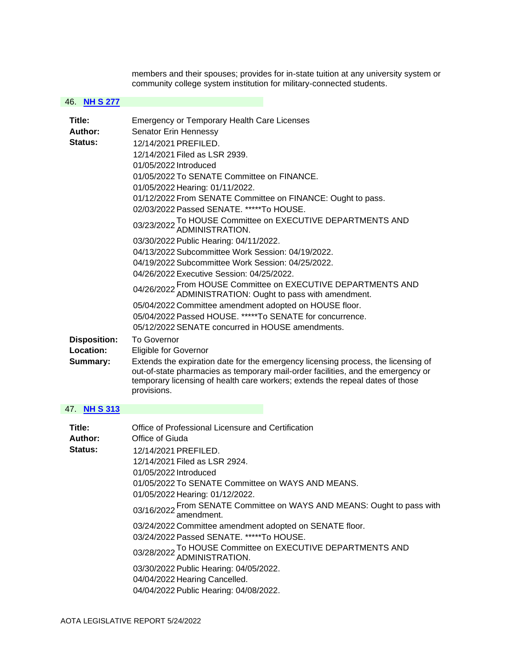members and their spouses; provides for in-state tuition at any university system or community college system institution for military-connected students.

#### 46. **[NH S 277](https://protect-us.mimecast.com/s/M_6pClYkxqC2PP02sqoG59u?domain=custom.statenet.com)**

| Title:              | <b>Emergency or Temporary Health Care Licenses</b>                                                                                                                                                                                                                    |
|---------------------|-----------------------------------------------------------------------------------------------------------------------------------------------------------------------------------------------------------------------------------------------------------------------|
| Author:             | Senator Erin Hennessy                                                                                                                                                                                                                                                 |
| Status:             | 12/14/2021 PREFILED.                                                                                                                                                                                                                                                  |
|                     | 12/14/2021 Filed as LSR 2939.                                                                                                                                                                                                                                         |
|                     | 01/05/2022 Introduced                                                                                                                                                                                                                                                 |
|                     | 01/05/2022 To SENATE Committee on FINANCE.                                                                                                                                                                                                                            |
|                     | 01/05/2022 Hearing: 01/11/2022.                                                                                                                                                                                                                                       |
|                     | 01/12/2022 From SENATE Committee on FINANCE: Ought to pass.                                                                                                                                                                                                           |
|                     | 02/03/2022 Passed SENATE. *****To HOUSE.                                                                                                                                                                                                                              |
|                     | 03/23/2022 To HOUSE Committee on EXECUTIVE DEPARTMENTS AND 03/23/2022 ADMINISTRATION.                                                                                                                                                                                 |
|                     | 03/30/2022 Public Hearing: 04/11/2022.                                                                                                                                                                                                                                |
|                     | 04/13/2022 Subcommittee Work Session: 04/19/2022.                                                                                                                                                                                                                     |
|                     | 04/19/2022 Subcommittee Work Session: 04/25/2022.                                                                                                                                                                                                                     |
|                     | 04/26/2022 Executive Session: 04/25/2022.                                                                                                                                                                                                                             |
|                     | 04/26/2022 From HOUSE Committee on EXECUTIVE DEPARTMENTS AND<br>ADMINISTRATION: Ought to pass with amendment.                                                                                                                                                         |
|                     | 05/04/2022 Committee amendment adopted on HOUSE floor.                                                                                                                                                                                                                |
|                     | 05/04/2022 Passed HOUSE, *****To SENATE for concurrence.                                                                                                                                                                                                              |
|                     | 05/12/2022 SENATE concurred in HOUSE amendments.                                                                                                                                                                                                                      |
| <b>Disposition:</b> | To Governor                                                                                                                                                                                                                                                           |
| Location:           | <b>Eligible for Governor</b>                                                                                                                                                                                                                                          |
| Summary:            | Extends the expiration date for the emergency licensing process, the licensing of<br>out-of-state pharmacies as temporary mail-order facilities, and the emergency or<br>temporary licensing of health care workers; extends the repeal dates of those<br>provisions. |
| 47. NH S 313        |                                                                                                                                                                                                                                                                       |
|                     |                                                                                                                                                                                                                                                                       |
| Title:              | Office of Professional Licensure and Certification                                                                                                                                                                                                                    |
| Author:             | Office of Giuda                                                                                                                                                                                                                                                       |
| Status:             | 12/14/2021 PREFILED.                                                                                                                                                                                                                                                  |
|                     | 12/14/2021 Filed as LSR 2924.                                                                                                                                                                                                                                         |
|                     | 01/05/2022 Introduced                                                                                                                                                                                                                                                 |
|                     | 01/05/2022 To SENATE Committee on WAYS AND MEANS.                                                                                                                                                                                                                     |
|                     | 01/05/2022 Hearing: 01/12/2022.                                                                                                                                                                                                                                       |
|                     | 03/16/2022 From SENATE Committee on WAYS AND MEANS: Ought to pass with<br>amendment.                                                                                                                                                                                  |
|                     | 03/24/2022 Committee amendment adopted on SENATE floor.                                                                                                                                                                                                               |
|                     | 03/24/2022 Passed SENATE. *****To HOUSE.                                                                                                                                                                                                                              |

03/28/2022 To HOUSE Committee on EXECUTIVE DEPARTMENTS AND ADMINISTRATION. 03/30/2022 Public Hearing: 04/05/2022.

04/04/2022 Hearing Cancelled.

04/04/2022 Public Hearing: 04/08/2022.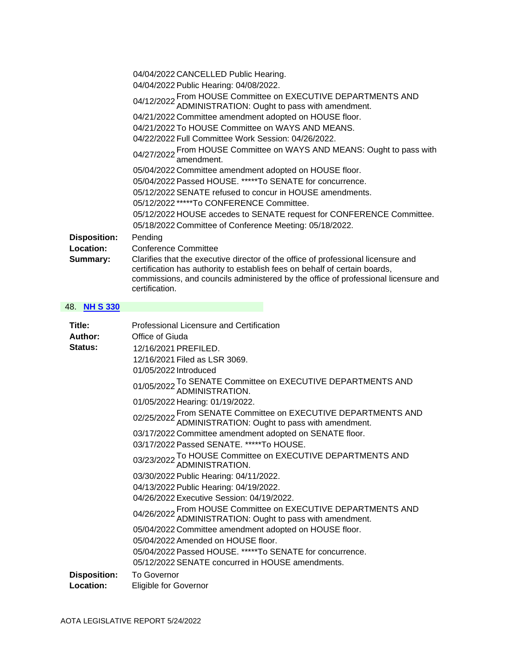|                     | 04/04/2022 CANCELLED Public Hearing.                                                                                                                                                                                                                                    |
|---------------------|-------------------------------------------------------------------------------------------------------------------------------------------------------------------------------------------------------------------------------------------------------------------------|
|                     | 04/04/2022 Public Hearing: 04/08/2022.                                                                                                                                                                                                                                  |
|                     | 04/12/2022 From HOUSE Committee on EXECUTIVE DEPARTMENTS AND 04/12/2022 ADMINISTRATION: Ought to pass with amendment.                                                                                                                                                   |
|                     | 04/21/2022 Committee amendment adopted on HOUSE floor.                                                                                                                                                                                                                  |
|                     | 04/21/2022 To HOUSE Committee on WAYS AND MEANS.                                                                                                                                                                                                                        |
|                     | 04/22/2022 Full Committee Work Session: 04/26/2022.                                                                                                                                                                                                                     |
|                     | 04/27/2022 From HOUSE Committee on WAYS AND MEANS: Ought to pass with and amendment.                                                                                                                                                                                    |
|                     | 05/04/2022 Committee amendment adopted on HOUSE floor.                                                                                                                                                                                                                  |
|                     | 05/04/2022 Passed HOUSE. *****To SENATE for concurrence.                                                                                                                                                                                                                |
|                     | 05/12/2022 SENATE refused to concur in HOUSE amendments.                                                                                                                                                                                                                |
|                     | 05/12/2022 *****To CONFERENCE Committee.                                                                                                                                                                                                                                |
|                     | 05/12/2022 HOUSE accedes to SENATE request for CONFERENCE Committee.<br>05/18/2022 Committee of Conference Meeting: 05/18/2022.                                                                                                                                         |
| <b>Disposition:</b> | Pending                                                                                                                                                                                                                                                                 |
| Location:           | <b>Conference Committee</b>                                                                                                                                                                                                                                             |
| Summary:            | Clarifies that the executive director of the office of professional licensure and<br>certification has authority to establish fees on behalf of certain boards,<br>commissions, and councils administered by the office of professional licensure and<br>certification. |

### 48. **[NH S 330](https://protect-us.mimecast.com/s/SI1hCn5mxvH733A7iZWgXUd?domain=custom.statenet.com)**

| Title:<br>Author:   | Professional Licensure and Certification<br>Office of Giuda                                                            |
|---------------------|------------------------------------------------------------------------------------------------------------------------|
| Status:             | 12/16/2021 PREFILED.                                                                                                   |
|                     | 12/16/2021 Filed as LSR 3069.                                                                                          |
|                     | 01/05/2022 Introduced                                                                                                  |
|                     | 01/05/2022 To SENATE Committee on EXECUTIVE DEPARTMENTS AND 01/05/2022 ADMINISTRATION.                                 |
|                     | 01/05/2022 Hearing: 01/19/2022.                                                                                        |
|                     | 02/25/2022 From SENATE Committee on EXECUTIVE DEPARTMENTS AND 02/25/2022 ADMINISTRATION: Ought to pass with amendment. |
|                     | 03/17/2022 Committee amendment adopted on SENATE floor.                                                                |
|                     | 03/17/2022 Passed SENATE. *****To HOUSE.                                                                               |
|                     | 03/23/2022 To HOUSE Committee on EXECUTIVE DEPARTMENTS AND<br>03/23/2022 ADMINISTRATION.                               |
|                     | 03/30/2022 Public Hearing: 04/11/2022.                                                                                 |
|                     | 04/13/2022 Public Hearing: 04/19/2022.                                                                                 |
|                     | 04/26/2022 Executive Session: 04/19/2022.                                                                              |
|                     | 04/26/2022 From HOUSE Committee on EXECUTIVE DEPARTMENTS AND<br>ADMINISTRATION: Ought to pass with amendment.          |
|                     | 05/04/2022 Committee amendment adopted on HOUSE floor.                                                                 |
|                     | 05/04/2022 Amended on HOUSE floor.                                                                                     |
|                     | 05/04/2022 Passed HOUSE. *****To SENATE for concurrence.                                                               |
|                     | 05/12/2022 SENATE concurred in HOUSE amendments.                                                                       |
| <b>Disposition:</b> | <b>To Governor</b>                                                                                                     |
| Location:           | <b>Eligible for Governor</b>                                                                                           |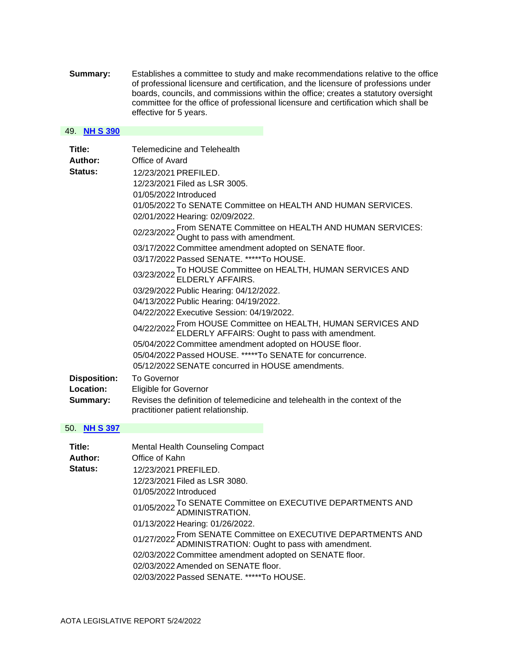**Summary:** Establishes a committee to study and make recommendations relative to the office of professional licensure and certification, and the licensure of professions under boards, councils, and commissions within the office; creates a statutory oversight committee for the office of professional licensure and certification which shall be effective for 5 years.

#### 49. **[NH S 390](https://protect-us.mimecast.com/s/RUm_Co2nVwFrPPjrI6ygOns?domain=custom.statenet.com)**

| Title:<br>Author:   | Telemedicine and Telehealth<br>Office of Avard                                                                          |
|---------------------|-------------------------------------------------------------------------------------------------------------------------|
| Status:             | 12/23/2021 PREFILED.                                                                                                    |
|                     | 12/23/2021 Filed as LSR 3005.                                                                                           |
|                     | 01/05/2022 Introduced                                                                                                   |
|                     | 01/05/2022 To SENATE Committee on HEALTH AND HUMAN SERVICES.                                                            |
|                     | 02/01/2022 Hearing: 02/09/2022.                                                                                         |
|                     | 02/23/2022 From SENATE Committee on HEALTH AND HUMAN SERVICES:<br>O2/23/2022 Ought to pass with amendment.              |
|                     | 03/17/2022 Committee amendment adopted on SENATE floor.                                                                 |
|                     | 03/17/2022 Passed SENATE. *****To HOUSE.                                                                                |
|                     | 03/23/2022 To HOUSE Committee on HEALTH, HUMAN SERVICES AND 03/23/2022 ELDERLY AFFAIRS.                                 |
|                     | 03/29/2022 Public Hearing: 04/12/2022.                                                                                  |
|                     | 04/13/2022 Public Hearing: 04/19/2022.                                                                                  |
|                     | 04/22/2022 Executive Session: 04/19/2022.                                                                               |
|                     | 04/22/2022 From HOUSE Committee on HEALTH, HUMAN SERVICES AND 04/22/2022 ELDERLY AFFAIRS: Ought to pass with amendment. |
|                     | 05/04/2022 Committee amendment adopted on HOUSE floor.                                                                  |
|                     | 05/04/2022 Passed HOUSE, *****To SENATE for concurrence.                                                                |
|                     | 05/12/2022 SENATE concurred in HOUSE amendments.                                                                        |
| <b>Disposition:</b> | <b>To Governor</b>                                                                                                      |
| Location:           | <b>Eligible for Governor</b>                                                                                            |
| Summary:            | Revises the definition of telemedicine and telehealth in the context of the<br>practitioner patient relationship.       |

## 50. **[NH S 397](https://protect-us.mimecast.com/s/Zxq0CpYo8xCnOO1nsGKzkm7?domain=custom.statenet.com)**

| Title:  | <b>Mental Health Counseling Compact</b>                                                                     |
|---------|-------------------------------------------------------------------------------------------------------------|
| Author: | Office of Kahn                                                                                              |
| Status: | 12/23/2021 PREFILED.                                                                                        |
|         | 12/23/2021 Filed as LSR 3080.                                                                               |
|         | 01/05/2022 Introduced                                                                                       |
|         | 01/05/2022 To SENATE Committee on EXECUTIVE DEPARTMENTS AND 01/05/2022 ADMINISTRATION.                      |
|         | 01/13/2022 Hearing: 01/26/2022.                                                                             |
|         | 01/27/2022 From SENATE Committee on EXECUTIVE DEPARTMENTS AND ADMINISTRATION: Ought to pass with amendment. |
|         | 02/03/2022 Committee amendment adopted on SENATE floor.                                                     |
|         | 02/03/2022 Amended on SENATE floor.                                                                         |
|         | 02/03/2022 Passed SENATE. *****To HOUSE.                                                                    |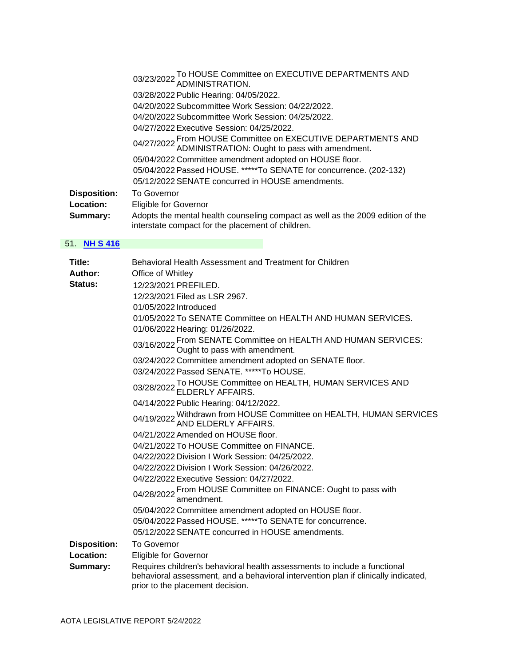03/23/2022 To HOUSE Committee on EXECUTIVE DEPARTMENTS AND ADMINISTRATION. 03/28/2022 Public Hearing: 04/05/2022. 04/20/2022 Subcommittee Work Session: 04/22/2022. 04/20/2022 Subcommittee Work Session: 04/25/2022. 04/27/2022 Executive Session: 04/25/2022. 04/27/2022 From HOUSE Committee on EXECUTIVE DEPARTMENTS AND ADMINISTRATION: Ought to pass with amendment. 05/04/2022 Committee amendment adopted on HOUSE floor. 05/04/2022 Passed HOUSE. \*\*\*\*\*To SENATE for concurrence. (202-132) 05/12/2022 SENATE concurred in HOUSE amendments. **Disposition:** To Governor **Location:** Eligible for Governor **Summary:** Adopts the mental health counseling compact as well as the 2009 edition of the interstate compact for the placement of children.

#### 51. **[NH S 416](https://protect-us.mimecast.com/s/-VZzCqxp7yF8kkK8HEnVLJL?domain=custom.statenet.com)**

| Behavioral Health Assessment and Treatment for Children                                                                                                                                             |
|-----------------------------------------------------------------------------------------------------------------------------------------------------------------------------------------------------|
| Office of Whitley                                                                                                                                                                                   |
| 12/23/2021 PREFILED.                                                                                                                                                                                |
| 12/23/2021 Filed as LSR 2967.                                                                                                                                                                       |
| 01/05/2022 Introduced                                                                                                                                                                               |
| 01/05/2022 To SENATE Committee on HEALTH AND HUMAN SERVICES.                                                                                                                                        |
| 01/06/2022 Hearing: 01/26/2022.                                                                                                                                                                     |
| 03/16/2022 From SENATE Committee on HEALTH AND HUMAN SERVICES:<br>03/16/2022 Ought to pass with amendment.                                                                                          |
| 03/24/2022 Committee amendment adopted on SENATE floor.                                                                                                                                             |
| 03/24/2022 Passed SENATE. *****To HOUSE.                                                                                                                                                            |
| 03/28/2022 To HOUSE Committee on HEALTH, HUMAN SERVICES AND<br>ELDERLY AFFAIRS.                                                                                                                     |
| 04/14/2022 Public Hearing: 04/12/2022.                                                                                                                                                              |
| 04/19/2022 Withdrawn from HOUSE Committee on HEALTH, HUMAN SERVICES<br>AND ELDERLY AFFAIRS.                                                                                                         |
| 04/21/2022 Amended on HOUSE floor.                                                                                                                                                                  |
| 04/21/2022 To HOUSE Committee on FINANCE.                                                                                                                                                           |
| 04/22/2022 Division I Work Session: 04/25/2022.                                                                                                                                                     |
| 04/22/2022 Division I Work Session: 04/26/2022.                                                                                                                                                     |
| 04/22/2022 Executive Session: 04/27/2022.                                                                                                                                                           |
| 04/28/2022 From HOUSE Committee on FINANCE: Ought to pass with<br>amendment.                                                                                                                        |
| 05/04/2022 Committee amendment adopted on HOUSE floor.                                                                                                                                              |
| 05/04/2022 Passed HOUSE. *****To SENATE for concurrence.                                                                                                                                            |
| 05/12/2022 SENATE concurred in HOUSE amendments.                                                                                                                                                    |
| <b>To Governor</b>                                                                                                                                                                                  |
| <b>Eligible for Governor</b>                                                                                                                                                                        |
| Requires children's behavioral health assessments to include a functional<br>behavioral assessment, and a behavioral intervention plan if clinically indicated,<br>prior to the placement decision. |
|                                                                                                                                                                                                     |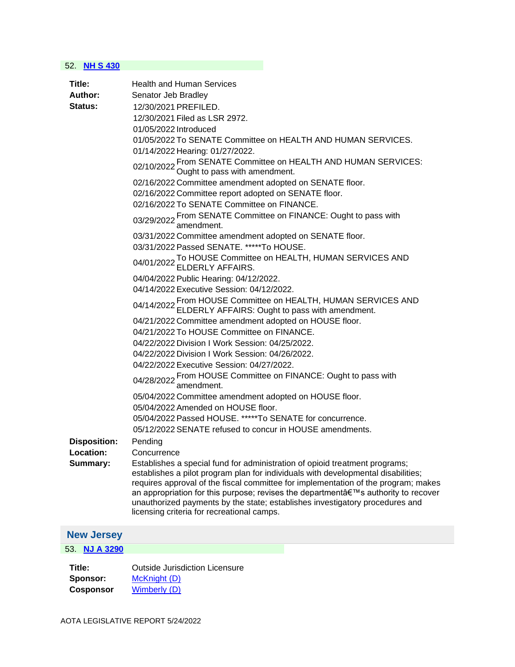### 52. **[NH S 430](https://protect-us.mimecast.com/s/FRb0Crkq8zC8nnP8HjKlpa9?domain=custom.statenet.com)**

| Title:<br>Author:<br>Status:                 | <b>Health and Human Services</b><br>Senator Jeb Bradley<br>12/30/2021 PREFILED.<br>12/30/2021 Filed as LSR 2972.<br>01/05/2022 Introduced<br>01/05/2022 To SENATE Committee on HEALTH AND HUMAN SERVICES.<br>01/14/2022 Hearing: 01/27/2022.<br>02/10/2022 From SENATE Committee on HEALTH AND HUMAN SERVICES:<br>Ought to pass with amendment.<br>02/16/2022 Committee amendment adopted on SENATE floor.<br>02/16/2022 Committee report adopted on SENATE floor.<br>02/16/2022 To SENATE Committee on FINANCE.<br>03/29/2022 From SENATE Committee on FINANCE: Ought to pass with<br>amendment.<br>03/31/2022 Committee amendment adopted on SENATE floor.<br>03/31/2022 Passed SENATE. *****To HOUSE.<br>04/01/2022 To HOUSE Committee on HEALTH, HUMAN SERVICES AND <b>CALCULTY AFFAIRS</b> .<br>04/04/2022 Public Hearing: 04/12/2022.<br>04/14/2022 Executive Session: 04/12/2022.<br>04/14/2022 From HOUSE Committee on HEALTH, HUMAN SERVICES AND<br>ELDERLY AFFAIRS: Ought to pass with amendment.<br>04/21/2022 Committee amendment adopted on HOUSE floor. |
|----------------------------------------------|-----------------------------------------------------------------------------------------------------------------------------------------------------------------------------------------------------------------------------------------------------------------------------------------------------------------------------------------------------------------------------------------------------------------------------------------------------------------------------------------------------------------------------------------------------------------------------------------------------------------------------------------------------------------------------------------------------------------------------------------------------------------------------------------------------------------------------------------------------------------------------------------------------------------------------------------------------------------------------------------------------------------------------------------------------------------------|
| <b>Disposition:</b><br>Location:<br>Summary: | 04/22/2022 Division I Work Session: 04/25/2022.<br>04/22/2022 Division I Work Session: 04/26/2022.<br>04/22/2022 Executive Session: 04/27/2022.<br>04/28/2022 From HOUSE Committee on FINANCE: Ought to pass with<br>amendment.<br>05/04/2022 Committee amendment adopted on HOUSE floor.<br>05/04/2022 Amended on HOUSE floor.<br>05/04/2022 Passed HOUSE. *****To SENATE for concurrence.<br>05/12/2022 SENATE refused to concur in HOUSE amendments.<br>Pending<br>Concurrence<br>Establishes a special fund for administration of opioid treatment programs;<br>establishes a pilot program plan for individuals with developmental disabilities;<br>requires approval of the fiscal committee for implementation of the program; makes<br>an appropriation for this purpose; revises the department's authority to recover<br>unauthorized payments by the state; establishes investigatory procedures and<br>licensing criteria for recreational camps.                                                                                                         |
| <b>New Jersey</b>                            |                                                                                                                                                                                                                                                                                                                                                                                                                                                                                                                                                                                                                                                                                                                                                                                                                                                                                                                                                                                                                                                                       |

<span id="page-30-0"></span>53. **[NJ A 3290](https://protect-us.mimecast.com/s/HfwWCv2xlEF7LLp7ioQzx8o?domain=custom.statenet.com)**

**Title:** Outside Jurisdiction Licensure **Sponsor:** McKnight (D)<br>**Cosponsor** Wimberly (D) **Wimberly (D)**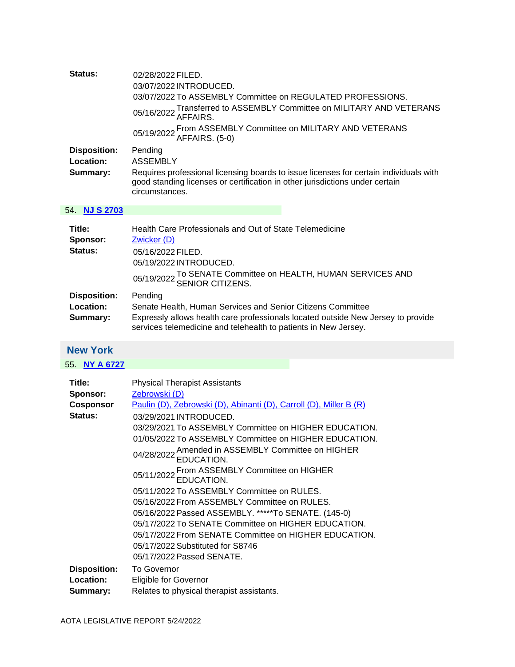<span id="page-31-0"></span>

| Status:<br><b>Disposition:</b><br>Location:<br>Summary: | 02/28/2022 FILED.<br>03/07/2022 INTRODUCED.<br>03/07/2022 To ASSEMBLY Committee on REGULATED PROFESSIONS.<br>Transferred to ASSEMBLY Committee on MILITARY AND VETERANS<br>05/16/2022 AFFAIRS.<br>05/19/2022 From ASSEMBLY Committee on MILITARY AND VETERANS<br>AFFAIRS. (5-0)<br>Pending<br><b>ASSEMBLY</b><br>Requires professional licensing boards to issue licenses for certain individuals with<br>good standing licenses or certification in other jurisdictions under certain<br>circumstances.                                                                                                                                                                                                                                        |
|---------------------------------------------------------|-------------------------------------------------------------------------------------------------------------------------------------------------------------------------------------------------------------------------------------------------------------------------------------------------------------------------------------------------------------------------------------------------------------------------------------------------------------------------------------------------------------------------------------------------------------------------------------------------------------------------------------------------------------------------------------------------------------------------------------------------|
| 54. NJ S 2703                                           |                                                                                                                                                                                                                                                                                                                                                                                                                                                                                                                                                                                                                                                                                                                                                 |
| Title:<br>Sponsor:<br>Status:                           | Health Care Professionals and Out of State Telemedicine<br>Zwicker (D)<br>05/16/2022 FILED.<br>05/19/2022 INTRODUCED.<br>To SENATE Committee on HEALTH, HUMAN SERVICES AND<br>05/19/2022 SENIOR CITIZENS.                                                                                                                                                                                                                                                                                                                                                                                                                                                                                                                                       |
| <b>Disposition:</b><br>Location:<br>Summary:            | Pending<br>Senate Health, Human Services and Senior Citizens Committee<br>Expressly allows health care professionals located outside New Jersey to provide<br>services telemedicine and telehealth to patients in New Jersey.                                                                                                                                                                                                                                                                                                                                                                                                                                                                                                                   |
| <b>New York</b>                                         |                                                                                                                                                                                                                                                                                                                                                                                                                                                                                                                                                                                                                                                                                                                                                 |
| 55. NY A 6727                                           |                                                                                                                                                                                                                                                                                                                                                                                                                                                                                                                                                                                                                                                                                                                                                 |
| Title:<br>Sponsor:<br><b>Cosponsor</b><br>Status:       | <b>Physical Therapist Assistants</b><br>Zebrowski (D)<br>Paulin (D), Zebrowski (D), Abinanti (D), Carroll (D), Miller B (R)<br>03/29/2021 INTRODUCED.<br>03/29/2021 To ASSEMBLY Committee on HIGHER EDUCATION.<br>01/05/2022 To ASSEMBLY Committee on HIGHER EDUCATION.<br>04/28/2022 Amended in ASSEMBLY Committee on HIGHER<br>EDUCATION.<br>05/11/2022 From ASSEMBLY Committee on HIGHER<br>EDUCATION.<br>05/11/2022 To ASSEMBLY Committee on RULES.<br>05/16/2022 From ASSEMBLY Committee on RULES.<br>05/16/2022 Passed ASSEMBLY. *****To SENATE. (145-0)<br>05/17/2022 To SENATE Committee on HIGHER EDUCATION.<br>05/17/2022 From SENATE Committee on HIGHER EDUCATION.<br>05/17/2022 Substituted for S8746<br>05/17/2022 Passed SENATE. |
| <b>Disposition:</b><br>Location:<br>Summary:            | <b>To Governor</b><br><b>Eligible for Governor</b><br>Relates to physical therapist assistants.                                                                                                                                                                                                                                                                                                                                                                                                                                                                                                                                                                                                                                                 |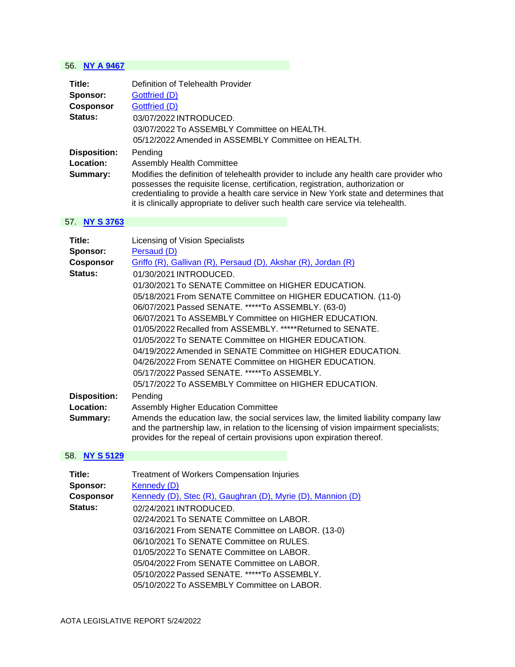### 56. **[NY A 9467](https://protect-us.mimecast.com/s/kM-_CKr71wF2MMz2sprxIM_?domain=custom.statenet.com)**

| Title:              | Definition of Telehealth Provider                                                                                                                                                                                                                                                                                                                    |
|---------------------|------------------------------------------------------------------------------------------------------------------------------------------------------------------------------------------------------------------------------------------------------------------------------------------------------------------------------------------------------|
| Sponsor:            | Gottfried (D)                                                                                                                                                                                                                                                                                                                                        |
| <b>Cosponsor</b>    | Gottfried (D)                                                                                                                                                                                                                                                                                                                                        |
| Status:             | 03/07/2022 INTRODUCED.                                                                                                                                                                                                                                                                                                                               |
|                     | 03/07/2022 To ASSEMBLY Committee on HEALTH.                                                                                                                                                                                                                                                                                                          |
|                     | 05/12/2022 Amended in ASSEMBLY Committee on HEALTH.                                                                                                                                                                                                                                                                                                  |
| <b>Disposition:</b> | Pending                                                                                                                                                                                                                                                                                                                                              |
| Location:           | <b>Assembly Health Committee</b>                                                                                                                                                                                                                                                                                                                     |
| Summary:            | Modifies the definition of telehealth provider to include any health care provider who<br>possesses the requisite license, certification, registration, authorization or<br>credentialing to provide a health care service in New York state and determines that<br>it is clinically appropriate to deliver such health care service via telehealth. |

## 57. **[NY S 3763](https://protect-us.mimecast.com/s/-tHACM8KwysqkkMqHQ3_5FQ?domain=custom.statenet.com)**

| Title:                       | Licensing of Vision Specialists                                                                                                                                                                                                                           |
|------------------------------|-----------------------------------------------------------------------------------------------------------------------------------------------------------------------------------------------------------------------------------------------------------|
| Sponsor:<br><b>Cosponsor</b> | Persaud (D)<br>Griffo (R), Gallivan (R), Persaud (D), Akshar (R), Jordan (R)                                                                                                                                                                              |
| Status:                      | 01/30/2021 INTRODUCED.                                                                                                                                                                                                                                    |
|                              | 01/30/2021 To SENATE Committee on HIGHER EDUCATION.                                                                                                                                                                                                       |
|                              | 05/18/2021 From SENATE Committee on HIGHER EDUCATION. (11-0)                                                                                                                                                                                              |
|                              | 06/07/2021 Passed SENATE. *****To ASSEMBLY. (63-0)                                                                                                                                                                                                        |
|                              | 06/07/2021 To ASSEMBLY Committee on HIGHER EDUCATION.                                                                                                                                                                                                     |
|                              | 01/05/2022 Recalled from ASSEMBLY. *****Returned to SENATE.                                                                                                                                                                                               |
|                              | 01/05/2022 To SENATE Committee on HIGHER EDUCATION.                                                                                                                                                                                                       |
|                              | 04/19/2022 Amended in SENATE Committee on HIGHER EDUCATION.                                                                                                                                                                                               |
|                              | 04/26/2022 From SENATE Committee on HIGHER EDUCATION.                                                                                                                                                                                                     |
|                              | 05/17/2022 Passed SENATE. *****To ASSEMBLY.                                                                                                                                                                                                               |
|                              | 05/17/2022 To ASSEMBLY Committee on HIGHER EDUCATION.                                                                                                                                                                                                     |
| <b>Disposition:</b>          | Pending                                                                                                                                                                                                                                                   |
| Location:                    | <b>Assembly Higher Education Committee</b>                                                                                                                                                                                                                |
| Summary:                     | Amends the education law, the social services law, the limited liability company law<br>and the partnership law, in relation to the licensing of vision impairment specialists;<br>provides for the repeal of certain provisions upon expiration thereof. |

## 58. **[NY S 5129](https://protect-us.mimecast.com/s/myTqCVO2ALtxkkNxHQmv_xk?domain=custom.statenet.com)**

| Title:           | <b>Treatment of Workers Compensation Injuries</b>           |
|------------------|-------------------------------------------------------------|
| Sponsor:         | Kennedy (D)                                                 |
| <b>Cosponsor</b> | Kennedy (D), Stec (R), Gaughran (D), Myrie (D), Mannion (D) |
| Status:          | 02/24/2021 INTRODUCED.                                      |
|                  | 02/24/2021 To SENATE Committee on LABOR.                    |
|                  | 03/16/2021 From SENATE Committee on LABOR. (13-0)           |
|                  | 06/10/2021 To SENATE Committee on RULES.                    |
|                  | 01/05/2022 To SENATE Committee on LABOR.                    |
|                  | 05/04/2022 From SENATE Committee on LABOR.                  |
|                  | 05/10/2022 Passed SENATE. *****To ASSEMBLY.                 |
|                  | 05/10/2022 To ASSEMBLY Committee on LABOR.                  |
|                  |                                                             |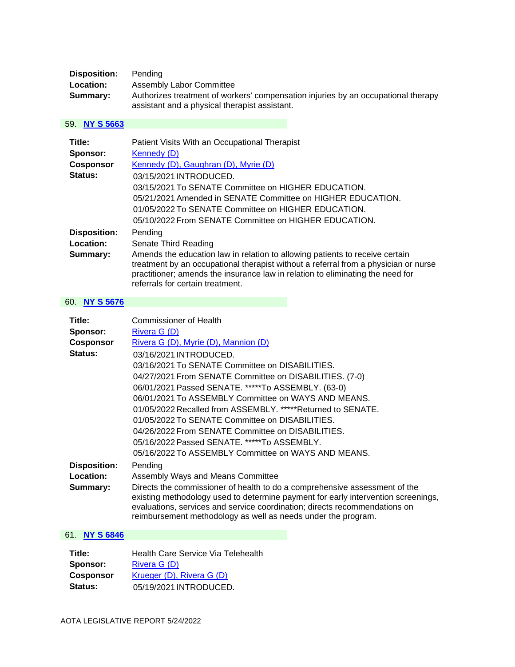| <b>Disposition:</b> | Pendina                                                                                                                            |
|---------------------|------------------------------------------------------------------------------------------------------------------------------------|
| <b>Location:</b>    | Assembly Labor Committee                                                                                                           |
| Summary:            | Authorizes treatment of workers' compensation injuries by an occupational therapy<br>assistant and a physical therapist assistant. |

## 59. **[NY S 5663](https://protect-us.mimecast.com/s/EcBOC2kqxLCpZZPpS9lXDvK?domain=custom.statenet.com)**

| Title:              | Patient Visits With an Occupational Therapist                                                                                                                                                                                                                                             |
|---------------------|-------------------------------------------------------------------------------------------------------------------------------------------------------------------------------------------------------------------------------------------------------------------------------------------|
| Sponsor:            | Kennedy (D)                                                                                                                                                                                                                                                                               |
| <b>Cosponsor</b>    | Kennedy (D), Gaughran (D), Myrie (D)                                                                                                                                                                                                                                                      |
| Status:             | 03/15/2021 INTRODUCED.                                                                                                                                                                                                                                                                    |
|                     | 03/15/2021 To SENATE Committee on HIGHER EDUCATION.                                                                                                                                                                                                                                       |
|                     | 05/21/2021 Amended in SENATE Committee on HIGHER EDUCATION.                                                                                                                                                                                                                               |
|                     | 01/05/2022 To SENATE Committee on HIGHER EDUCATION.                                                                                                                                                                                                                                       |
|                     | 05/10/2022 From SENATE Committee on HIGHER EDUCATION.                                                                                                                                                                                                                                     |
| <b>Disposition:</b> | Pending                                                                                                                                                                                                                                                                                   |
| Location:           | Senate Third Reading                                                                                                                                                                                                                                                                      |
| Summary:            | Amends the education law in relation to allowing patients to receive certain<br>treatment by an occupational therapist without a referral from a physician or nurse<br>practitioner; amends the insurance law in relation to eliminating the need for<br>referrals for certain treatment. |

## 60. **[NY S 5676](https://protect-us.mimecast.com/s/q7CFC68xXPsr00jrIxZowhh?domain=custom.statenet.com)**

| Title:<br>Sponsor:<br><b>Cosponsor</b><br>Status: | Commissioner of Health<br>Rivera G (D)<br>Rivera G (D), Myrie (D), Mannion (D)<br>03/16/2021 INTRODUCED.<br>03/16/2021 To SENATE Committee on DISABILITIES.<br>04/27/2021 From SENATE Committee on DISABILITIES. (7-0)<br>06/01/2021 Passed SENATE. *****To ASSEMBLY. (63-0)<br>06/01/2021 To ASSEMBLY Committee on WAYS AND MEANS.<br>01/05/2022 Recalled from ASSEMBLY. *****Returned to SENATE.<br>01/05/2022 To SENATE Committee on DISABILITIES.<br>04/26/2022 From SENATE Committee on DISABILITIES. |
|---------------------------------------------------|------------------------------------------------------------------------------------------------------------------------------------------------------------------------------------------------------------------------------------------------------------------------------------------------------------------------------------------------------------------------------------------------------------------------------------------------------------------------------------------------------------|
|                                                   | 05/16/2022 Passed SENATE. *****To ASSEMBLY.<br>05/16/2022 To ASSEMBLY Committee on WAYS AND MEANS.                                                                                                                                                                                                                                                                                                                                                                                                         |
| Disposition:<br>Location:<br>Summary:             | Pending<br>Assembly Ways and Means Committee<br>Directs the commissioner of health to do a comprehensive assessment of the<br>existing methodology used to determine payment for early intervention screenings,<br>evaluations, services and service coordination; directs recommendations on<br>reimbursement methodology as well as needs under the program.                                                                                                                                             |

# 61. **[NY S 6846](https://protect-us.mimecast.com/s/2V8KC0RoYJcGggqGfOvmmPZ?domain=custom.statenet.com)**

| Title:           | Health Care Service Via Telehealth |
|------------------|------------------------------------|
| Sponsor:         | Rivera G (D)                       |
| <b>Cosponsor</b> | Krueger (D), Rivera G (D)          |
| <b>Status:</b>   | 05/19/2021 INTRODUCED.             |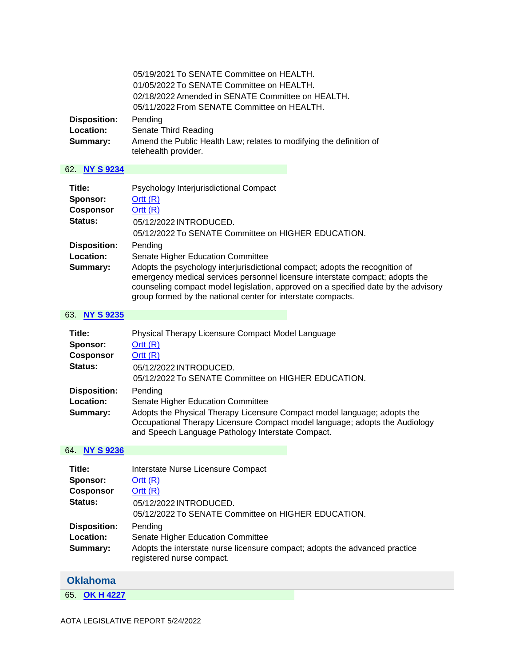|                                              | 05/19/2021 To SENATE Committee on HEALTH.<br>01/05/2022 To SENATE Committee on HEALTH.<br>02/18/2022 Amended in SENATE Committee on HEALTH.<br>05/11/2022 From SENATE Committee on HEALTH. |
|----------------------------------------------|--------------------------------------------------------------------------------------------------------------------------------------------------------------------------------------------|
| <b>Disposition:</b><br>Location:<br>Summary: | Pending<br>Senate Third Reading<br>Amend the Public Health Law; relates to modifying the definition of<br>telehealth provider.                                                             |

## 62. **[NY S 9234](https://protect-us.mimecast.com/s/oJe-CkRj8pcOXX8OCJOaAGk?domain=custom.statenet.com)**

| Title:              | Psychology Interjurisdictional Compact                                                                                                                                                                                                                                                                              |
|---------------------|---------------------------------------------------------------------------------------------------------------------------------------------------------------------------------------------------------------------------------------------------------------------------------------------------------------------|
| Sponsor:            | Ortt $(R)$                                                                                                                                                                                                                                                                                                          |
| <b>Cosponsor</b>    | Ortt $(R)$                                                                                                                                                                                                                                                                                                          |
| Status:             | 05/12/2022 INTRODUCED.                                                                                                                                                                                                                                                                                              |
|                     | 05/12/2022 To SENATE Committee on HIGHER EDUCATION.                                                                                                                                                                                                                                                                 |
| <b>Disposition:</b> | Pending                                                                                                                                                                                                                                                                                                             |
| Location:           | Senate Higher Education Committee                                                                                                                                                                                                                                                                                   |
| Summary:            | Adopts the psychology interjurisdictional compact; adopts the recognition of<br>emergency medical services personnel licensure interstate compact; adopts the<br>counseling compact model legislation, approved on a specified date by the advisory<br>group formed by the national center for interstate compacts. |

### 63. **[NY S 9235](https://protect-us.mimecast.com/s/YIIQCmZ0OrhjPPBjTQy4lLc?domain=custom.statenet.com)**

| Title:              | Physical Therapy Licensure Compact Model Language                                                                                                                                                            |
|---------------------|--------------------------------------------------------------------------------------------------------------------------------------------------------------------------------------------------------------|
| Sponsor:            | Ortt(R)                                                                                                                                                                                                      |
| <b>Cosponsor</b>    | Ortt(R)                                                                                                                                                                                                      |
| Status:             | 05/12/2022 INTRODUCED.                                                                                                                                                                                       |
|                     | 05/12/2022 To SENATE Committee on HIGHER EDUCATION.                                                                                                                                                          |
| <b>Disposition:</b> | Pending                                                                                                                                                                                                      |
| Location:           | <b>Senate Higher Education Committee</b>                                                                                                                                                                     |
| Summary:            | Adopts the Physical Therapy Licensure Compact model language; adopts the<br>Occupational Therapy Licensure Compact model language; adopts the Audiology<br>and Speech Language Pathology Interstate Compact. |

### 64. **[NY S 9236](https://protect-us.mimecast.com/s/rqBfCo2nVwFrPPjrIOyhiab?domain=custom.statenet.com)**

| Title:                                       | Interstate Nurse Licensure Compact                                                                                                                       |
|----------------------------------------------|----------------------------------------------------------------------------------------------------------------------------------------------------------|
| Sponsor:                                     | Ortt $(R)$                                                                                                                                               |
| <b>Cosponsor</b>                             | Ortt(R)                                                                                                                                                  |
| Status:                                      | 05/12/2022 INTRODUCED.<br>05/12/2022 To SENATE Committee on HIGHER EDUCATION.                                                                            |
| <b>Disposition:</b><br>Location:<br>Summary: | Pending<br>Senate Higher Education Committee<br>Adopts the interstate nurse licensure compact; adopts the advanced practice<br>registered nurse compact. |

## <span id="page-34-0"></span>**Oklahoma**

65. **[OK H 4227](https://protect-us.mimecast.com/s/YowzCqxp7yF8kkK8HNng3cq?domain=custom.statenet.com)**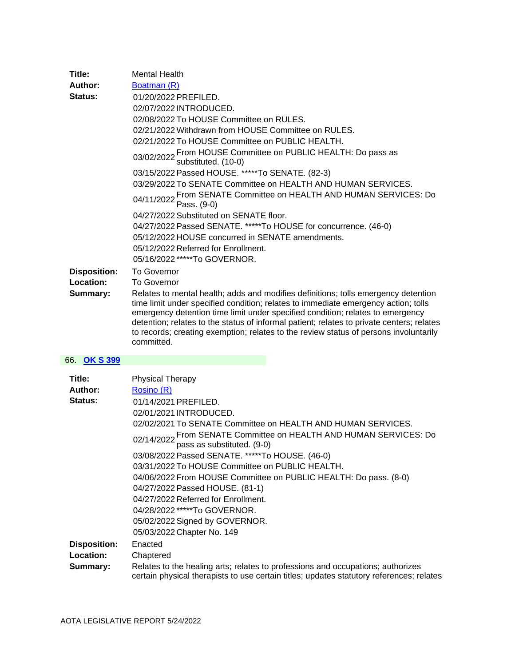| Title:              | <b>Mental Health</b>                                                                                                                                                                                                                                                                                                                                                                                                                                           |
|---------------------|----------------------------------------------------------------------------------------------------------------------------------------------------------------------------------------------------------------------------------------------------------------------------------------------------------------------------------------------------------------------------------------------------------------------------------------------------------------|
| Author:             | Boatman (R)                                                                                                                                                                                                                                                                                                                                                                                                                                                    |
| <b>Status:</b>      | 01/20/2022 PREFILED.                                                                                                                                                                                                                                                                                                                                                                                                                                           |
|                     | 02/07/2022 INTRODUCED.                                                                                                                                                                                                                                                                                                                                                                                                                                         |
|                     | 02/08/2022 To HOUSE Committee on RULES.                                                                                                                                                                                                                                                                                                                                                                                                                        |
|                     | 02/21/2022 Withdrawn from HOUSE Committee on RULES.                                                                                                                                                                                                                                                                                                                                                                                                            |
|                     | 02/21/2022 To HOUSE Committee on PUBLIC HEALTH.                                                                                                                                                                                                                                                                                                                                                                                                                |
|                     | 03/02/2022 From HOUSE Committee on PUBLIC HEALTH: Do pass as<br>03/02/2022 substituted. (10-0)                                                                                                                                                                                                                                                                                                                                                                 |
|                     | 03/15/2022 Passed HOUSE. *****To SENATE. (82-3)                                                                                                                                                                                                                                                                                                                                                                                                                |
|                     | 03/29/2022 To SENATE Committee on HEALTH AND HUMAN SERVICES.                                                                                                                                                                                                                                                                                                                                                                                                   |
|                     | 04/11/2022 From SENATE Committee on HEALTH AND HUMAN SERVICES: Do<br>04/11/2022 Pass. (9-0)                                                                                                                                                                                                                                                                                                                                                                    |
|                     | 04/27/2022 Substituted on SENATE floor.                                                                                                                                                                                                                                                                                                                                                                                                                        |
|                     | 04/27/2022 Passed SENATE. *****To HOUSE for concurrence. (46-0)                                                                                                                                                                                                                                                                                                                                                                                                |
|                     | 05/12/2022 HOUSE concurred in SENATE amendments.                                                                                                                                                                                                                                                                                                                                                                                                               |
|                     | 05/12/2022 Referred for Enrollment.                                                                                                                                                                                                                                                                                                                                                                                                                            |
|                     | 05/16/2022 *****To GOVERNOR.                                                                                                                                                                                                                                                                                                                                                                                                                                   |
| <b>Disposition:</b> | <b>To Governor</b>                                                                                                                                                                                                                                                                                                                                                                                                                                             |
| Location:           | <b>To Governor</b>                                                                                                                                                                                                                                                                                                                                                                                                                                             |
| Summary:            | Relates to mental health; adds and modifies definitions; tolls emergency detention<br>time limit under specified condition; relates to immediate emergency action; tolls<br>emergency detention time limit under specified condition; relates to emergency<br>detention; relates to the status of informal patient; relates to private centers; relates<br>to records; creating exemption; relates to the review status of persons involuntarily<br>committed. |
| 66. OK S 399        |                                                                                                                                                                                                                                                                                                                                                                                                                                                                |
|                     |                                                                                                                                                                                                                                                                                                                                                                                                                                                                |

#### 66. **[OK S 399](https://protect-us.mimecast.com/s/Ti3gCv2xlEF7LLp7i5QA_K-?domain=custom.statenet.com)**

| Title:              | <b>Physical Therapy</b>                                                                                                                                                     |
|---------------------|-----------------------------------------------------------------------------------------------------------------------------------------------------------------------------|
| Author:             | Rosino (R)                                                                                                                                                                  |
| <b>Status:</b>      | 01/14/2021 PREFILED.                                                                                                                                                        |
|                     | 02/01/2021 INTRODUCED.                                                                                                                                                      |
|                     | 02/02/2021 To SENATE Committee on HEALTH AND HUMAN SERVICES.                                                                                                                |
|                     | 02/14/2022 From SENATE Committee on HEALTH AND HUMAN SERVICES: Do<br>pass as substituted. (9-0)                                                                             |
|                     | 03/08/2022 Passed SENATE. *****To HOUSE. (46-0)                                                                                                                             |
|                     | 03/31/2022 To HOUSE Committee on PUBLIC HEALTH.                                                                                                                             |
|                     | 04/06/2022 From HOUSE Committee on PUBLIC HEALTH: Do pass. (8-0)                                                                                                            |
|                     | 04/27/2022 Passed HOUSE. (81-1)                                                                                                                                             |
|                     | 04/27/2022 Referred for Enrollment.                                                                                                                                         |
|                     | 04/28/2022 *****To GOVERNOR.                                                                                                                                                |
|                     | 05/02/2022 Signed by GOVERNOR.                                                                                                                                              |
|                     | 05/03/2022 Chapter No. 149                                                                                                                                                  |
| <b>Disposition:</b> | Enacted                                                                                                                                                                     |
| Location:           | Chaptered                                                                                                                                                                   |
| Summary:            | Relates to the healing arts; relates to professions and occupations; authorizes<br>certain physical therapists to use certain titles; updates statutory references; relates |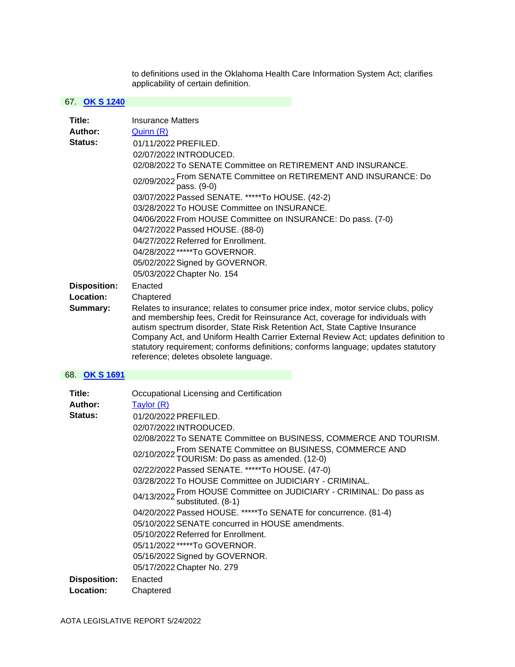to definitions used in the Oklahoma Health Care Information System Act; clarifies applicability of certain definition.

#### 67. **[OK S 1240](https://protect-us.mimecast.com/s/RBAdCxkznJC1RRn1tWYx3vY?domain=custom.statenet.com)**

| Title:                                       | <b>Insurance Matters</b>                                                                                                                                                                                                                                                                                                                                                                                                                                                                                                                                  |
|----------------------------------------------|-----------------------------------------------------------------------------------------------------------------------------------------------------------------------------------------------------------------------------------------------------------------------------------------------------------------------------------------------------------------------------------------------------------------------------------------------------------------------------------------------------------------------------------------------------------|
| Author:<br><b>Status:</b>                    | Quinn (R)<br>01/11/2022 PREFILED.<br>02/07/2022 INTRODUCED.<br>02/08/2022 To SENATE Committee on RETIREMENT AND INSURANCE.<br>02/09/2022 From SENATE Committee on RETIREMENT AND INSURANCE: Do<br>pass. (9-0)<br>03/07/2022 Passed SENATE. *****To HOUSE. (42-2)<br>03/28/2022 To HOUSE Committee on INSURANCE.<br>04/06/2022 From HOUSE Committee on INSURANCE: Do pass. (7-0)<br>04/27/2022 Passed HOUSE. (88-0)<br>04/27/2022 Referred for Enrollment.<br>04/28/2022 *****To GOVERNOR.<br>05/02/2022 Signed by GOVERNOR.<br>05/03/2022 Chapter No. 154 |
| <b>Disposition:</b><br>Location:<br>Summary: | Enacted<br>Chaptered<br>Relates to insurance; relates to consumer price index, motor service clubs, policy<br>and membership fees, Credit for Reinsurance Act, coverage for individuals with<br>autism spectrum disorder, State Risk Retention Act, State Captive Insurance<br>Company Act, and Uniform Health Carrier External Review Act; updates definition to<br>statutory requirement; conforms definitions; conforms language; updates statutory<br>reference; deletes obsolete language.                                                           |
| 68. OK S 1691                                |                                                                                                                                                                                                                                                                                                                                                                                                                                                                                                                                                           |
| Title:<br>Author:<br>Status:                 | Occupational Licensing and Certification<br>Taylor (R)<br>01/20/2022 PREFILED.<br>02/07/2022 INTRODUCED.<br>02/08/2022 To SENATE Committee on BUSINESS, COMMERCE AND TOURISM.<br>02/10/2022 From SENATE Committee on BUSINESS, COMMERCE AND<br>TOURISM: Do pass as amended. (12-0)<br>02/22/2022 Passed SENATE. *****To HOUSE. (47-0)<br>03/28/2022 To HOUSE Committee on JUDICIARY - CRIMINAL.<br>04/13/2022 From HOUSE Committee on JUDICIARY - CRIMINAL: Do pass as<br>substituted. (8-1)                                                              |

04/20/2022 Passed HOUSE. \*\*\*\*\*To SENATE for concurrence. (81-4)

05/10/2022 SENATE concurred in HOUSE amendments.

05/10/2022 Referred for Enrollment.

05/11/2022 \*\*\*\*\*To GOVERNOR.

05/16/2022 Signed by GOVERNOR.

05/17/2022 Chapter No. 279

**Disposition:** Enacted **Location:** Chaptered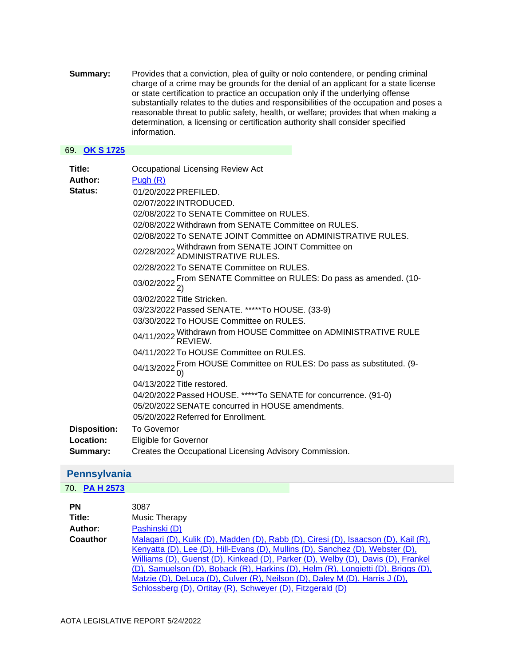**Summary:** Provides that a conviction, plea of guilty or nolo contendere, or pending criminal charge of a crime may be grounds for the denial of an applicant for a state license or state certification to practice an occupation only if the underlying offense substantially relates to the duties and responsibilities of the occupation and poses a reasonable threat to public safety, health, or welfare; provides that when making a determination, a licensing or certification authority shall consider specified information.

#### 69. **[OK S 1725](https://protect-us.mimecast.com/s/4XtiCBBXNkc7RRp7i1vr-p3?domain=custom.statenet.com)**

| Title:<br>Author:<br><b>Status:</b> | Occupational Licensing Review Act<br>Pugh $(R)$<br>01/20/2022 PREFILED.                |
|-------------------------------------|----------------------------------------------------------------------------------------|
|                                     | 02/07/2022 INTRODUCED.                                                                 |
|                                     | 02/08/2022 To SENATE Committee on RULES.                                               |
|                                     | 02/08/2022 Withdrawn from SENATE Committee on RULES.                                   |
|                                     | 02/08/2022 To SENATE JOINT Committee on ADMINISTRATIVE RULES.                          |
|                                     | 02/28/2022 Withdrawn from SENATE JOINT Committee on<br>ADMINISTRATIVE RULES.           |
|                                     | 02/28/2022 To SENATE Committee on RULES.                                               |
|                                     | 03/02/2022 From SENATE Committee on RULES: Do pass as amended. (10-<br>03/02/2022 2)   |
|                                     | 03/02/2022 Title Stricken.                                                             |
|                                     | 03/23/2022 Passed SENATE. *****To HOUSE. (33-9)                                        |
|                                     | 03/30/2022 To HOUSE Committee on RULES.                                                |
|                                     | 04/11/2022 Withdrawn from HOUSE Committee on ADMINISTRATIVE RULE<br>REVIEW             |
|                                     | 04/11/2022 To HOUSE Committee on RULES.                                                |
|                                     | 04/13/2022 From HOUSE Committee on RULES: Do pass as substituted. (9-<br>04/13/2022 0) |
|                                     | 04/13/2022 Title restored.                                                             |
|                                     | 04/20/2022 Passed HOUSE. *****To SENATE for concurrence. (91-0)                        |
|                                     | 05/20/2022 SENATE concurred in HOUSE amendments.                                       |
|                                     | 05/20/2022 Referred for Enrollment.                                                    |
| <b>Disposition:</b>                 | <b>To Governor</b>                                                                     |
| Location:                           | <b>Eligible for Governor</b>                                                           |
| Summary:                            | Creates the Occupational Licensing Advisory Commission.                                |

## <span id="page-37-0"></span>**Pennsylvania**

### 70. **[PA H 2573](https://protect-us.mimecast.com/s/q9PVCERX8nc300V3HQyvRlt?domain=custom.statenet.com)**

| <b>PN</b> | 3087                                                                                                                                                                                                                                                                                                                                                                                                                                                                                      |
|-----------|-------------------------------------------------------------------------------------------------------------------------------------------------------------------------------------------------------------------------------------------------------------------------------------------------------------------------------------------------------------------------------------------------------------------------------------------------------------------------------------------|
| Title:    | Music Therapy                                                                                                                                                                                                                                                                                                                                                                                                                                                                             |
| Author:   | Pashinski (D)                                                                                                                                                                                                                                                                                                                                                                                                                                                                             |
| Coauthor  | Malagari (D), Kulik (D), Madden (D), Rabb (D), Ciresi (D), Isaacson (D), Kail (R),<br>Kenyatta (D), Lee (D), Hill-Evans (D), Mullins (D), Sanchez (D), Webster (D),<br>Williams (D), Guenst (D), Kinkead (D), Parker (D), Welby (D), Davis (D), Frankel<br>(D), Samuelson (D), Boback (R), Harkins (D), Helm (R), Longietti (D), Briggs (D),<br>Matzie (D), DeLuca (D), Culver (R), Neilson (D), Daley M (D), Harris J (D),<br>Schlossberg (D), Ortitay (R), Schweyer (D), Fitzgerald (D) |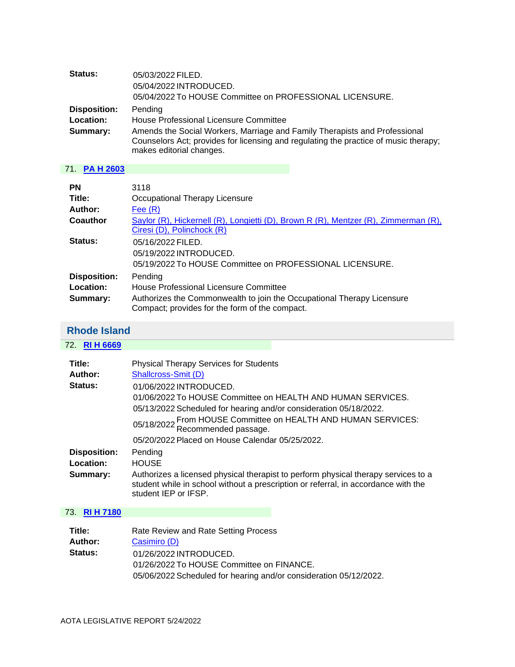| Status:                          | 05/03/2022 FILED.<br>05/04/2022 INTRODUCED.<br>05/04/2022 To HOUSE Committee on PROFESSIONAL LICENSURE.          |
|----------------------------------|------------------------------------------------------------------------------------------------------------------|
| <b>Disposition:</b><br>Location: | Pending<br>House Professional Licensure Committee                                                                |
| Summary:                         | Amends the Social Workers, Marriage and Family Therapists and Professional                                       |
|                                  | Counselors Act; provides for licensing and regulating the practice of music therapy;<br>makes editorial changes. |

## 71. **[PA H 2603](https://protect-us.mimecast.com/s/cubHC9rA1VFkNNLki039xJw?domain=custom.statenet.com)**

| <b>PN</b>           | 3118                                                                                                                     |
|---------------------|--------------------------------------------------------------------------------------------------------------------------|
| Title:              | Occupational Therapy Licensure                                                                                           |
| Author:             | Fee $(R)$                                                                                                                |
| Coauthor            | Saylor (R), Hickernell (R), Longietti (D), Brown R (R), Mentzer (R), Zimmerman (R),                                      |
|                     | Ciresi (D), Polinchock (R)                                                                                               |
| Status:             | 05/16/2022 FILED.                                                                                                        |
|                     | 05/19/2022 INTRODUCED.                                                                                                   |
|                     | 05/19/2022 To HOUSE Committee on PROFESSIONAL LICENSURE.                                                                 |
| <b>Disposition:</b> | Pending                                                                                                                  |
| Location:           | House Professional Licensure Committee                                                                                   |
| Summary:            | Authorizes the Commonwealth to join the Occupational Therapy Licensure<br>Compact; provides for the form of the compact. |

## <span id="page-38-0"></span>**Rhode Island**

72. **[RI H 6669](https://protect-us.mimecast.com/s/EQwSCqxp7yF8kkK8HqW9ugl?domain=custom.statenet.com)**

| Title:                           | <b>Physical Therapy Services for Students</b>                                                                                                                                                    |
|----------------------------------|--------------------------------------------------------------------------------------------------------------------------------------------------------------------------------------------------|
| Author:                          | Shallcross-Smit (D)                                                                                                                                                                              |
| Status:                          | 01/06/2022 INTRODUCED.                                                                                                                                                                           |
|                                  | 01/06/2022 To HOUSE Committee on HEALTH AND HUMAN SERVICES.                                                                                                                                      |
|                                  | 05/13/2022 Scheduled for hearing and/or consideration 05/18/2022.                                                                                                                                |
|                                  | 05/18/2022 From HOUSE Committee on HEALTH AND HUMAN SERVICES:<br>Recommended passage.                                                                                                            |
|                                  | 05/20/2022 Placed on House Calendar 05/25/2022.                                                                                                                                                  |
| <b>Disposition:</b><br>Location: | Pending<br><b>HOUSE</b>                                                                                                                                                                          |
| Summary:                         | Authorizes a licensed physical therapist to perform physical therapy services to a<br>student while in school without a prescription or referral, in accordance with the<br>student IEP or IFSP. |

## 73. **[RI H 7180](https://protect-us.mimecast.com/s/HRBOCv2xlEF7LLp7iyrrls-?domain=custom.statenet.com)**

| Title:         | Rate Review and Rate Setting Process                              |
|----------------|-------------------------------------------------------------------|
| Author:        | Casimiro (D)                                                      |
| <b>Status:</b> | 01/26/2022 INTRODUCED.                                            |
|                | 01/26/2022 To HOUSE Committee on FINANCE.                         |
|                | 05/06/2022 Scheduled for hearing and/or consideration 05/12/2022. |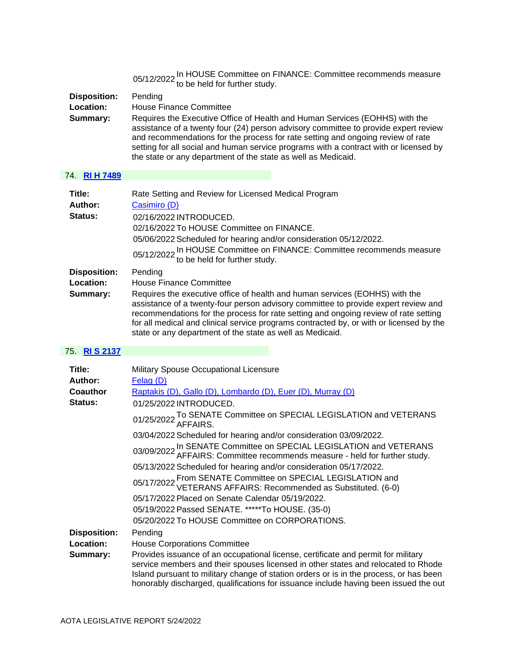| <b>Disposition:</b><br>Location:<br>Summary: | 05/12/2022 In HOUSE Committee on FINANCE: Committee recommends measure to be held for further study.<br>Pending<br>House Finance Committee<br>Requires the Executive Office of Health and Human Services (EOHHS) with the<br>assistance of a twenty four (24) person advisory committee to provide expert review<br>and recommendations for the process for rate setting and ongoing review of rate<br>setting for all social and human service programs with a contract with or licensed by<br>the state or any department of the state as well as Medicaid. |
|----------------------------------------------|---------------------------------------------------------------------------------------------------------------------------------------------------------------------------------------------------------------------------------------------------------------------------------------------------------------------------------------------------------------------------------------------------------------------------------------------------------------------------------------------------------------------------------------------------------------|
| 74. RIH 7489                                 |                                                                                                                                                                                                                                                                                                                                                                                                                                                                                                                                                               |
| Title:<br>Author:<br>Status:                 | Rate Setting and Review for Licensed Medical Program<br>Casimiro (D)<br>02/16/2022 INTRODUCED.<br>02/16/2022 To HOUSE Committee on FINANCE.<br>05/06/2022 Scheduled for hearing and/or consideration 05/12/2022.<br>05/12/2022 In HOUSE Committee on FINANCE: Committee recommends measure to be held for further study.                                                                                                                                                                                                                                      |
| <b>Disposition:</b><br>Location:<br>Summary: | Pending<br>House Finance Committee<br>Requires the executive office of health and human services (EOHHS) with the<br>assistance of a twenty-four person advisory committee to provide expert review and<br>recommendations for the process for rate setting and ongoing review of rate setting<br>for all medical and clinical service programs contracted by, or with or licensed by the<br>state or any department of the state as well as Medicaid.                                                                                                        |

## 75. **[RI S 2137](https://protect-us.mimecast.com/s/6hRuCzp4vLsMwwQMtBr1NIH?domain=custom.statenet.com)**

| Title:              | Military Spouse Occupational Licensure                                                                                                                                                                                                                                                                                                                   |
|---------------------|----------------------------------------------------------------------------------------------------------------------------------------------------------------------------------------------------------------------------------------------------------------------------------------------------------------------------------------------------------|
| Author:             | Felag (D)                                                                                                                                                                                                                                                                                                                                                |
| <b>Coauthor</b>     | Raptakis (D), Gallo (D), Lombardo (D), Euer (D), Murray (D)                                                                                                                                                                                                                                                                                              |
| Status:             | 01/25/2022 INTRODUCED.                                                                                                                                                                                                                                                                                                                                   |
|                     | 01/25/2022 To SENATE Committee on SPECIAL LEGISLATION and VETERANS                                                                                                                                                                                                                                                                                       |
|                     | 03/04/2022 Scheduled for hearing and/or consideration 03/09/2022.                                                                                                                                                                                                                                                                                        |
|                     | 03/09/2022 In SENATE Committee on SPECIAL LEGISLATION and VETERANS 03/09/2022 AFFAIRS: Committee recommends measure - held for further study.                                                                                                                                                                                                            |
|                     | 05/13/2022 Scheduled for hearing and/or consideration 05/17/2022.                                                                                                                                                                                                                                                                                        |
|                     | 05/17/2022 From SENATE Committee on SPECIAL LEGISLATION and<br>VETERANS AFFAIRS: Recommended as Substituted. (6-0)                                                                                                                                                                                                                                       |
|                     | 05/17/2022 Placed on Senate Calendar 05/19/2022.                                                                                                                                                                                                                                                                                                         |
|                     | 05/19/2022 Passed SENATE. *****To HOUSE. (35-0)                                                                                                                                                                                                                                                                                                          |
|                     | 05/20/2022 To HOUSE Committee on CORPORATIONS.                                                                                                                                                                                                                                                                                                           |
| <b>Disposition:</b> | Pending                                                                                                                                                                                                                                                                                                                                                  |
| Location:           | <b>House Corporations Committee</b>                                                                                                                                                                                                                                                                                                                      |
| Summary:            | Provides issuance of an occupational license, certificate and permit for military<br>service members and their spouses licensed in other states and relocated to Rhode<br>Island pursuant to military change of station orders or is in the process, or has been<br>honorably discharged, qualifications for issuance include having been issued the out |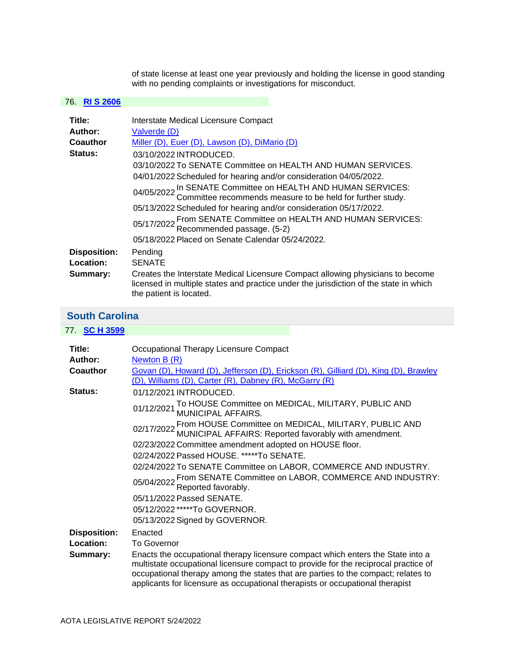of state license at least one year previously and holding the license in good standing with no pending complaints or investigations for misconduct.

### 76. **[RI S 2606](https://protect-us.mimecast.com/s/h6xuCKr71wF2MMz2soYuqNS?domain=custom.statenet.com)**

| Title:              | Interstate Medical Licensure Compact                                                                                                                                                               |
|---------------------|----------------------------------------------------------------------------------------------------------------------------------------------------------------------------------------------------|
| Author:             | Valverde (D)                                                                                                                                                                                       |
| <b>Coauthor</b>     | Miller (D), Euer (D), Lawson (D), DiMario (D)                                                                                                                                                      |
| Status:             | 03/10/2022 INTRODUCED.                                                                                                                                                                             |
|                     | 03/10/2022 To SENATE Committee on HEALTH AND HUMAN SERVICES.                                                                                                                                       |
|                     | 04/01/2022 Scheduled for hearing and/or consideration 04/05/2022.                                                                                                                                  |
|                     | 04/05/2022 In SENATE Committee on HEALTH AND HUMAN SERVICES:<br>Committee recommends measure to be held for further study.                                                                         |
|                     | 05/13/2022 Scheduled for hearing and/or consideration 05/17/2022.                                                                                                                                  |
|                     | 05/17/2022 From SENATE Committee on HEALTH AND HUMAN SERVICES:<br>Recommended passage. (5-2)                                                                                                       |
|                     | 05/18/2022 Placed on Senate Calendar 05/24/2022.                                                                                                                                                   |
| <b>Disposition:</b> | Pending                                                                                                                                                                                            |
| Location:           | <b>SENATE</b>                                                                                                                                                                                      |
| Summary:            | Creates the Interstate Medical Licensure Compact allowing physicians to become<br>licensed in multiple states and practice under the jurisdiction of the state in which<br>the patient is located. |

## <span id="page-40-0"></span>**South Carolina**

| 77. <b>SC H 3599</b> |                                                                                                                                                                                                                                                                                                                                              |
|----------------------|----------------------------------------------------------------------------------------------------------------------------------------------------------------------------------------------------------------------------------------------------------------------------------------------------------------------------------------------|
|                      |                                                                                                                                                                                                                                                                                                                                              |
| Title:               | Occupational Therapy Licensure Compact                                                                                                                                                                                                                                                                                                       |
| Author:              | Newton $B(R)$                                                                                                                                                                                                                                                                                                                                |
| Coauthor             | Govan (D), Howard (D), Jefferson (D), Erickson (R), Gilliard (D), King (D), Brawley<br>(D), Williams (D), Carter (R), Dabney (R), McGarry (R)                                                                                                                                                                                                |
| <b>Status:</b>       | 01/12/2021 INTRODUCED.                                                                                                                                                                                                                                                                                                                       |
|                      | 01/12/2021 To HOUSE Committee on MEDICAL, MILITARY, PUBLIC AND 01/12/2021 MUNICIPAL AFFAIRS.                                                                                                                                                                                                                                                 |
|                      | 02/17/2022 From HOUSE Committee on MEDICAL, MILITARY, PUBLIC AND<br>02/17/2022 MUNICIPAL AFFAIRS: Reported favorably with amendment.                                                                                                                                                                                                         |
|                      | 02/23/2022 Committee amendment adopted on HOUSE floor.                                                                                                                                                                                                                                                                                       |
|                      | 02/24/2022 Passed HOUSE. *****To SENATE.                                                                                                                                                                                                                                                                                                     |
|                      | 02/24/2022 To SENATE Committee on LABOR, COMMERCE AND INDUSTRY.                                                                                                                                                                                                                                                                              |
|                      | 05/04/2022 From SENATE Committee on LABOR, COMMERCE AND INDUSTRY:<br>Reported favorably.                                                                                                                                                                                                                                                     |
|                      | 05/11/2022 Passed SENATE.                                                                                                                                                                                                                                                                                                                    |
|                      | 05/12/2022 *****To GOVERNOR.                                                                                                                                                                                                                                                                                                                 |
|                      | 05/13/2022 Signed by GOVERNOR.                                                                                                                                                                                                                                                                                                               |
| <b>Disposition:</b>  | Enacted                                                                                                                                                                                                                                                                                                                                      |
| Location:            | <b>To Governor</b>                                                                                                                                                                                                                                                                                                                           |
| Summary:             | Enacts the occupational therapy licensure compact which enters the State into a<br>multistate occupational licensure compact to provide for the reciprocal practice of<br>occupational therapy among the states that are parties to the compact; relates to<br>applicants for licensure as occupational therapists or occupational therapist |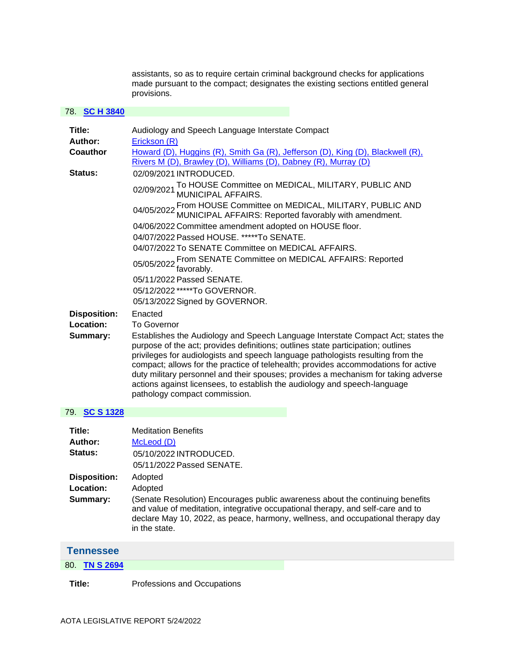assistants, so as to require certain criminal background checks for applications made pursuant to the compact; designates the existing sections entitled general provisions.

#### 78. **[SC H 3840](https://protect-us.mimecast.com/s/03onC73y1QUAVV4Af289JS1?domain=custom.statenet.com)**

| Title:              | Audiology and Speech Language Interstate Compact                                                                                                                                                                                                                                                                                                                                                                                                                                                                                                  |
|---------------------|---------------------------------------------------------------------------------------------------------------------------------------------------------------------------------------------------------------------------------------------------------------------------------------------------------------------------------------------------------------------------------------------------------------------------------------------------------------------------------------------------------------------------------------------------|
| Author:             | Erickson (R)                                                                                                                                                                                                                                                                                                                                                                                                                                                                                                                                      |
| Coauthor            | Howard (D), Huggins (R), Smith Ga (R), Jefferson (D), King (D), Blackwell (R),<br>Rivers M (D), Brawley (D), Williams (D), Dabney (R), Murray (D)                                                                                                                                                                                                                                                                                                                                                                                                 |
| Status:             | 02/09/2021 INTRODUCED.                                                                                                                                                                                                                                                                                                                                                                                                                                                                                                                            |
|                     | 02/09/2021 To HOUSE Committee on MEDICAL, MILITARY, PUBLIC AND 02/09/2021 MUNICIPAL AFFAIRS.                                                                                                                                                                                                                                                                                                                                                                                                                                                      |
|                     | 04/05/2022 From HOUSE Committee on MEDICAL, MILITARY, PUBLIC AND 04/05/2022 MUNICIPAL AFFAIRS: Reported favorably with amendment.                                                                                                                                                                                                                                                                                                                                                                                                                 |
|                     | 04/06/2022 Committee amendment adopted on HOUSE floor.                                                                                                                                                                                                                                                                                                                                                                                                                                                                                            |
|                     | 04/07/2022 Passed HOUSE. *****To SENATE.                                                                                                                                                                                                                                                                                                                                                                                                                                                                                                          |
|                     | 04/07/2022 To SENATE Committee on MEDICAL AFFAIRS.                                                                                                                                                                                                                                                                                                                                                                                                                                                                                                |
|                     | 05/05/2022 From SENATE Committee on MEDICAL AFFAIRS: Reported<br>favorably.                                                                                                                                                                                                                                                                                                                                                                                                                                                                       |
|                     | 05/11/2022 Passed SENATE.                                                                                                                                                                                                                                                                                                                                                                                                                                                                                                                         |
|                     | 05/12/2022 *****To GOVERNOR.                                                                                                                                                                                                                                                                                                                                                                                                                                                                                                                      |
|                     | 05/13/2022 Signed by GOVERNOR.                                                                                                                                                                                                                                                                                                                                                                                                                                                                                                                    |
| <b>Disposition:</b> | Enacted                                                                                                                                                                                                                                                                                                                                                                                                                                                                                                                                           |
| Location:           | <b>To Governor</b>                                                                                                                                                                                                                                                                                                                                                                                                                                                                                                                                |
| Summary:            | Establishes the Audiology and Speech Language Interstate Compact Act; states the<br>purpose of the act; provides definitions; outlines state participation; outlines<br>privileges for audiologists and speech language pathologists resulting from the<br>compact; allows for the practice of telehealth; provides accommodations for active<br>duty military personnel and their spouses; provides a mechanism for taking adverse<br>actions against licensees, to establish the audiology and speech-language<br>pathology compact commission. |
| 79. SC S 1328       |                                                                                                                                                                                                                                                                                                                                                                                                                                                                                                                                                   |
| ·Title              | Meditation Renefits                                                                                                                                                                                                                                                                                                                                                                                                                                                                                                                               |

| Title:              | <b>Meditation Benefits</b>                                                                                                                                                                                                                                           |
|---------------------|----------------------------------------------------------------------------------------------------------------------------------------------------------------------------------------------------------------------------------------------------------------------|
| Author:             | McLeod (D)                                                                                                                                                                                                                                                           |
| <b>Status:</b>      | 05/10/2022 INTRODUCED.                                                                                                                                                                                                                                               |
|                     | 05/11/2022 Passed SENATE.                                                                                                                                                                                                                                            |
| <b>Disposition:</b> | Adopted                                                                                                                                                                                                                                                              |
| Location:           | Adopted                                                                                                                                                                                                                                                              |
| Summary:            | (Senate Resolution) Encourages public awareness about the continuing benefits<br>and value of meditation, integrative occupational therapy, and self-care and to<br>declare May 10, 2022, as peace, harmony, wellness, and occupational therapy day<br>in the state. |

<span id="page-41-0"></span>

| <b>Tennessee</b> |  |
|------------------|--|
| 80. TN S 2694    |  |
|                  |  |

**Title:** Professions and Occupations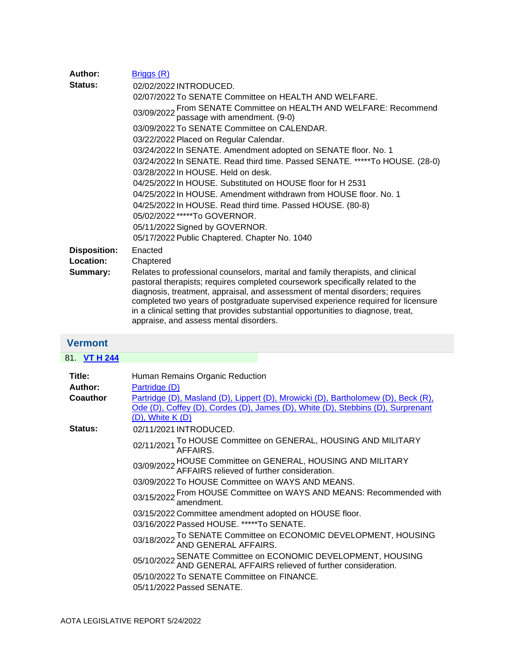| Author:             | Briggs (R)                                                                                                                                                                                                                                                                                                                                                                                                                                                            |
|---------------------|-----------------------------------------------------------------------------------------------------------------------------------------------------------------------------------------------------------------------------------------------------------------------------------------------------------------------------------------------------------------------------------------------------------------------------------------------------------------------|
| Status:             | 02/02/2022 INTRODUCED.                                                                                                                                                                                                                                                                                                                                                                                                                                                |
|                     | 02/07/2022 To SENATE Committee on HEALTH AND WELFARE.                                                                                                                                                                                                                                                                                                                                                                                                                 |
|                     | 03/09/2022 From SENATE Committee on HEALTH AND WELFARE: Recommend<br>passage with amendment. (9-0)                                                                                                                                                                                                                                                                                                                                                                    |
|                     | 03/09/2022 To SENATE Committee on CALENDAR.                                                                                                                                                                                                                                                                                                                                                                                                                           |
|                     | 03/22/2022 Placed on Regular Calendar.                                                                                                                                                                                                                                                                                                                                                                                                                                |
|                     | 03/24/2022 In SENATE. Amendment adopted on SENATE floor. No. 1                                                                                                                                                                                                                                                                                                                                                                                                        |
|                     | 03/24/2022 In SENATE. Read third time. Passed SENATE. *****To HOUSE. (28-0)                                                                                                                                                                                                                                                                                                                                                                                           |
|                     | $03/28/2022$ in HOUSE. Held on desk.                                                                                                                                                                                                                                                                                                                                                                                                                                  |
|                     | 04/25/2022 In HOUSE. Substituted on HOUSE floor for H 2531                                                                                                                                                                                                                                                                                                                                                                                                            |
|                     | 04/25/2022 In HOUSE, Amendment withdrawn from HOUSE floor, No. 1                                                                                                                                                                                                                                                                                                                                                                                                      |
|                     | 04/25/2022 In HOUSE. Read third time. Passed HOUSE. (80-8)                                                                                                                                                                                                                                                                                                                                                                                                            |
|                     | 05/02/2022 *****To GOVERNOR.                                                                                                                                                                                                                                                                                                                                                                                                                                          |
|                     | 05/11/2022 Signed by GOVERNOR.                                                                                                                                                                                                                                                                                                                                                                                                                                        |
|                     | 05/17/2022 Public Chaptered. Chapter No. 1040                                                                                                                                                                                                                                                                                                                                                                                                                         |
| <b>Disposition:</b> | Enacted                                                                                                                                                                                                                                                                                                                                                                                                                                                               |
| Location:           | Chaptered                                                                                                                                                                                                                                                                                                                                                                                                                                                             |
| Summary:            | Relates to professional counselors, marital and family therapists, and clinical<br>pastoral therapists; requires completed coursework specifically related to the<br>diagnosis, treatment, appraisal, and assessment of mental disorders; requires<br>completed two years of postgraduate supervised experience required for licensure<br>in a clinical setting that provides substantial opportunities to diagnose, treat,<br>appraise, and assess mental disorders. |
|                     |                                                                                                                                                                                                                                                                                                                                                                                                                                                                       |

## <span id="page-42-0"></span>**Vermont**

| 81. VT H 244    |                                                                                                                                                                                          |
|-----------------|------------------------------------------------------------------------------------------------------------------------------------------------------------------------------------------|
| Title:          | Human Remains Organic Reduction                                                                                                                                                          |
| Author:         | Partridge (D)                                                                                                                                                                            |
| <b>Coauthor</b> | Partridge (D), Masland (D), Lippert (D), Mrowicki (D), Bartholomew (D), Beck (R),<br>Ode (D), Coffey (D), Cordes (D), James (D), White (D), Stebbins (D), Surprenant<br>(D), White K (D) |
| Status:         | 02/11/2021 INTRODUCED.                                                                                                                                                                   |
|                 | 02/11/2021 To HOUSE Committee on GENERAL, HOUSING AND MILITARY<br>AFFAIRS.                                                                                                               |
|                 | 03/09/2022 HOUSE Committee on GENERAL, HOUSING AND MILITARY<br>03/09/2022 AFFAIRS relieved of further consideration.                                                                     |
|                 | 03/09/2022 To HOUSE Committee on WAYS AND MEANS.                                                                                                                                         |
|                 | 03/15/2022 From HOUSE Committee on WAYS AND MEANS: Recommended with and the amendment.                                                                                                   |
|                 | 03/15/2022 Committee amendment adopted on HOUSE floor.                                                                                                                                   |
|                 | 03/16/2022 Passed HOUSE. *****To SENATE.                                                                                                                                                 |
|                 | 03/18/2022 To SENATE Committee on ECONOMIC DEVELOPMENT, HOUSING<br>03/18/2022 AND GENERAL AFFAIRS.                                                                                       |
|                 | 05/10/2022 SENATE Committee on ECONOMIC DEVELOPMENT, HOUSING<br>AND GENERAL AFFAIRS relieved of further consideration.                                                                   |
|                 | 05/10/2022 To SENATE Committee on FINANCE.                                                                                                                                               |
|                 | 05/11/2022 Passed SENATE.                                                                                                                                                                |
|                 |                                                                                                                                                                                          |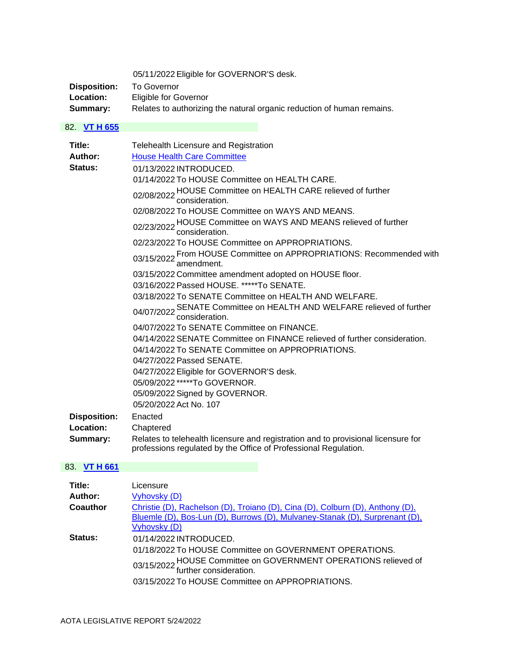05/11/2022 Eligible for GOVERNOR'S desk.

| Disposition:     | To Governor                                                            |
|------------------|------------------------------------------------------------------------|
| <b>Location:</b> | Eligible for Governor                                                  |
| Summary:         | Relates to authorizing the natural organic reduction of human remains. |

## 82. **[VT H 655](https://protect-us.mimecast.com/s/loARCR6KOEhv00jvI0n8MaJ?domain=custom.statenet.com)**

| Title:<br>Author:<br>Status:                 | Telehealth Licensure and Registration<br><b>House Health Care Committee</b><br>01/13/2022 INTRODUCED.<br>01/14/2022 To HOUSE Committee on HEALTH CARE.<br>02/08/2022 HOUSE Committee on HEALTH CARE relieved of further<br>consideration.<br>02/08/2022 To HOUSE Committee on WAYS AND MEANS.<br>02/23/2022 HOUSE Committee on WAYS AND MEANS relieved of further<br>consideration.<br>02/23/2022 To HOUSE Committee on APPROPRIATIONS.<br>03/15/2022 From HOUSE Committee on APPROPRIATIONS: Recommended with<br>amendment.<br>03/15/2022 Committee amendment adopted on HOUSE floor.<br>03/16/2022 Passed HOUSE. *****To SENATE.<br>03/18/2022 To SENATE Committee on HEALTH AND WELFARE.<br>04/07/2022 SENATE Committee on HEALTH AND WELFARE relieved of further<br>consideration.<br>04/07/2022 To SENATE Committee on FINANCE.<br>04/14/2022 SENATE Committee on FINANCE relieved of further consideration.<br>04/14/2022 To SENATE Committee on APPROPRIATIONS.<br>04/27/2022 Passed SENATE.<br>04/27/2022 Eligible for GOVERNOR'S desk.<br>05/09/2022 *****To GOVERNOR. |
|----------------------------------------------|---------------------------------------------------------------------------------------------------------------------------------------------------------------------------------------------------------------------------------------------------------------------------------------------------------------------------------------------------------------------------------------------------------------------------------------------------------------------------------------------------------------------------------------------------------------------------------------------------------------------------------------------------------------------------------------------------------------------------------------------------------------------------------------------------------------------------------------------------------------------------------------------------------------------------------------------------------------------------------------------------------------------------------------------------------------------------------|
|                                              | 05/09/2022 Signed by GOVERNOR.<br>05/20/2022 Act No. 107                                                                                                                                                                                                                                                                                                                                                                                                                                                                                                                                                                                                                                                                                                                                                                                                                                                                                                                                                                                                                        |
| <b>Disposition:</b><br>Location:<br>Summary: | Enacted<br>Chaptered<br>Relates to telehealth licensure and registration and to provisional licensure for<br>professions regulated by the Office of Professional Regulation.                                                                                                                                                                                                                                                                                                                                                                                                                                                                                                                                                                                                                                                                                                                                                                                                                                                                                                    |

## 83. **[VT H 661](https://protect-us.mimecast.com/s/SxS9CW6KLMh5XXR5tL4rl6J?domain=custom.statenet.com)**

| Title:   | Licensure                                                                                                                                                                                                                          |
|----------|------------------------------------------------------------------------------------------------------------------------------------------------------------------------------------------------------------------------------------|
| Author:  | Vyhovsky (D)                                                                                                                                                                                                                       |
| Coauthor | Christie (D), Rachelson (D), Troiano (D), Cina (D), Colburn (D), Anthony (D),<br>Bluemle (D), Bos-Lun (D), Burrows (D), Mulvaney-Stanak (D), Surprenant (D),<br>Vyhovsky (D)                                                       |
| Status:  | 01/14/2022 INTRODUCED.<br>01/18/2022 To HOUSE Committee on GOVERNMENT OPERATIONS.<br>03/15/2022 HOUSE Committee on GOVERNMENT OPERATIONS relieved of<br>further consideration.<br>03/15/2022 To HOUSE Committee on APPROPRIATIONS. |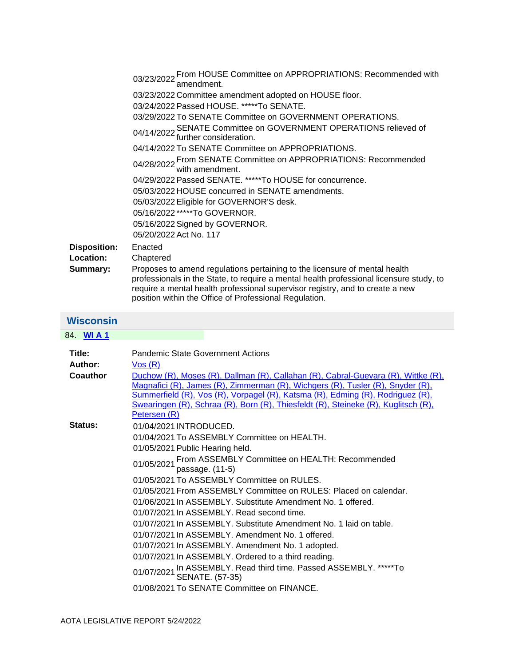<span id="page-44-0"></span>

| <b>Disposition:</b><br>Location: | 03/23/2022 From HOUSE Committee on APPROPRIATIONS: Recommended with<br>amendment.<br>03/23/2022 Committee amendment adopted on HOUSE floor.<br>03/24/2022 Passed HOUSE. *****To SENATE.<br>03/29/2022 To SENATE Committee on GOVERNMENT OPERATIONS.<br>04/14/2022 SENATE Committee on GOVERNMENT OPERATIONS relieved of<br>further consideration.<br>04/14/2022 To SENATE Committee on APPROPRIATIONS.<br>04/28/2022 From SENATE Committee on APPROPRIATIONS: Recommended<br>with amendment.<br>04/29/2022 Passed SENATE. *****To HOUSE for concurrence.<br>05/03/2022 HOUSE concurred in SENATE amendments.<br>05/03/2022 Eligible for GOVERNOR'S desk.<br>05/16/2022 *****To GOVERNOR.<br>05/16/2022 Signed by GOVERNOR.<br>05/20/2022 Act No. 117<br>Enacted<br>Chaptered                            |
|----------------------------------|---------------------------------------------------------------------------------------------------------------------------------------------------------------------------------------------------------------------------------------------------------------------------------------------------------------------------------------------------------------------------------------------------------------------------------------------------------------------------------------------------------------------------------------------------------------------------------------------------------------------------------------------------------------------------------------------------------------------------------------------------------------------------------------------------------|
| Summary:                         | Proposes to amend regulations pertaining to the licensure of mental health<br>professionals in the State, to require a mental health professional licensure study, to<br>require a mental health professional supervisor registry, and to create a new<br>position within the Office of Professional Regulation.                                                                                                                                                                                                                                                                                                                                                                                                                                                                                        |
| <b>Wisconsin</b>                 |                                                                                                                                                                                                                                                                                                                                                                                                                                                                                                                                                                                                                                                                                                                                                                                                         |
| 84. WIA1                         |                                                                                                                                                                                                                                                                                                                                                                                                                                                                                                                                                                                                                                                                                                                                                                                                         |
| Title:<br>Author:<br>Coauthor    | <b>Pandemic State Government Actions</b><br>Vos(R)<br>Duchow (R), Moses (R), Dallman (R), Callahan (R), Cabral-Guevara (R), Wittke (R),<br>Magnafici (R), James (R), Zimmerman (R), Wichgers (R), Tusler (R), Snyder (R),<br>Summerfield (R), Vos (R), Vorpagel (R), Katsma (R), Edming (R), Rodriguez (R),<br>Swearingen (R), Schraa (R), Born (R), Thiesfeldt (R), Steineke (R), Kuglitsch (R),<br>Petersen (R)                                                                                                                                                                                                                                                                                                                                                                                       |
| Status:                          | 01/04/2021 INTRODUCED.<br>01/04/2021 To ASSEMBLY Committee on HEALTH.<br>01/05/2021 Public Hearing held.<br>01/05/2021 From ASSEMBLY Committee on HEALTH: Recommended<br>passage. (11-5)<br>01/05/2021 To ASSEMBLY Committee on RULES.<br>01/05/2021 From ASSEMBLY Committee on RULES: Placed on calendar.<br>01/06/2021 In ASSEMBLY. Substitute Amendment No. 1 offered.<br>01/07/2021 In ASSEMBLY. Read second time.<br>01/07/2021 In ASSEMBLY, Substitute Amendment No. 1 laid on table.<br>01/07/2021 In ASSEMBLY. Amendment No. 1 offered.<br>01/07/2021 In ASSEMBLY. Amendment No. 1 adopted.<br>01/07/2021 In ASSEMBLY. Ordered to a third reading.<br>01/07/2021 In ASSEMBLY. Read third time. Passed ASSEMBLY. *****To<br><b>SENATE. (57-35)</b><br>01/08/2021 To SENATE Committee on FINANCE. |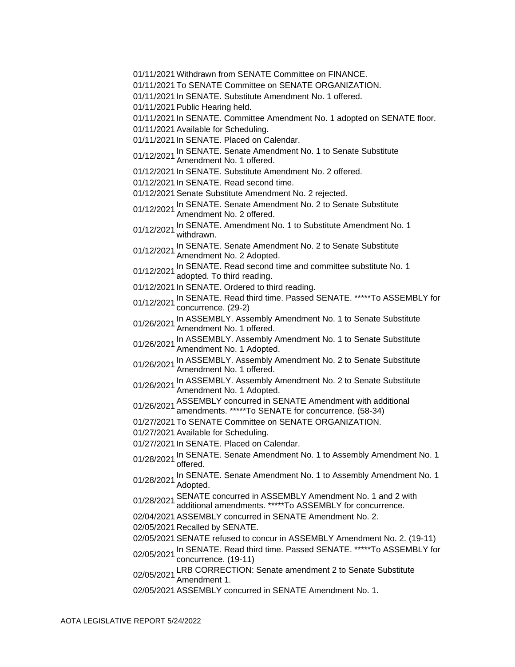- 01/11/2021 Withdrawn from SENATE Committee on FINANCE.
- 01/11/2021 To SENATE Committee on SENATE ORGANIZATION.
- 01/11/2021 In SENATE. Substitute Amendment No. 1 offered.
- 01/11/2021 Public Hearing held.
- 01/11/2021 In SENATE. Committee Amendment No. 1 adopted on SENATE floor.
- 01/11/2021 Available for Scheduling.
- 01/11/2021 In SENATE. Placed on Calendar.
- 01/12/2021 In SENATE. Senate Amendment No. 1 to Senate Substitute<br>Amendment No. 1 offered.
- 01/12/2021 In SENATE. Substitute Amendment No. 2 offered.
- 01/12/2021 In SENATE. Read second time.
- 01/12/2021 Senate Substitute Amendment No. 2 rejected.
- 01/12/2021 In SENATE. Senate Amendment No. 2 to Senate Substitute Amendment No. 2 offered.
- 01/12/2021 <sup>In</sup> SENATE. Amendment No. 1 to Substitute Amendment No. 1<br>01/12/2021 withdrawn.

01/12/2021 In SENATE. Senate Amendment No. 2 to Senate Substitute<br>Amendment No. 2 Adopted.

- 01/12/2021 In SENATE. Read second time and committee substitute No. 1 adopted. To third reading.
- 01/12/2021 In SENATE. Ordered to third reading.
- 01/12/2021 In SENATE. Read third time. Passed SENATE. \*\*\*\*\*To ASSEMBLY for concurrence. (29-2)
- 01/26/2021 In ASSEMBLY. Assembly Amendment No. 1 to Senate Substitute Amendment No. 1 offered.
- 01/26/2021 In ASSEMBLY. Assembly Amendment No. 1 to Senate Substitute<br>01/26/2021 Amendment No. 1 Adopted.
- 01/26/2021 In ASSEMBLY. Assembly Amendment No. 2 to Senate Substitute Amendment No. 1 offered.
- 01/26/2021 In ASSEMBLY. Assembly Amendment No. 2 to Senate Substitute<br>01/26/2021 Amendment No. 1 Adopted.
- 01/26/2021 ASSEMBLY concurred in SENATE Amendment with additional amendments. \*\*\*\*\*To SENATE for concurrence. (58-34)
- 01/27/2021 To SENATE Committee on SENATE ORGANIZATION.
- 01/27/2021 Available for Scheduling.
- 01/27/2021 In SENATE. Placed on Calendar.
- 01/28/2021 In SENATE. Senate Amendment No. 1 to Assembly Amendment No. 1 offered.
- 01/28/2021 In SENATE. Senate Amendment No. 1 to Assembly Amendment No. 1<br>01/28/2021 Adopted.
- 01/28/2021 SENATE concurred in ASSEMBLY Amendment No. 1 and 2 with
- additional amendments. \*\*\*\*\*To ASSEMBLY for concurrence.
- 02/04/2021 ASSEMBLY concurred in SENATE Amendment No. 2.
- 02/05/2021 Recalled by SENATE.
- 02/05/2021 SENATE refused to concur in ASSEMBLY Amendment No. 2. (19-11)
- 02/05/2021 In SENATE. Read third time. Passed SENATE. \*\*\*\*\*To ASSEMBLY for concurrence. (19-11)
- 02/05/2021 LRB CORRECTION: Senate amendment 2 to Senate Substitute Amendment 1.
- 02/05/2021 ASSEMBLY concurred in SENATE Amendment No. 1.